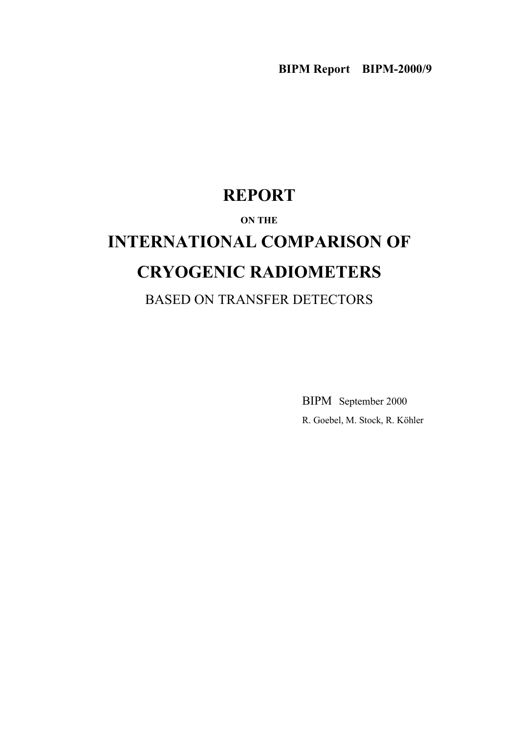# **REPORT**

# **ON THE**

# **INTERNATIONAL COMPARISON OF CRYOGENIC RADIOMETERS**

BASED ON TRANSFER DETECTORS

BIPM September 2000 R. Goebel, M. Stock, R. Köhler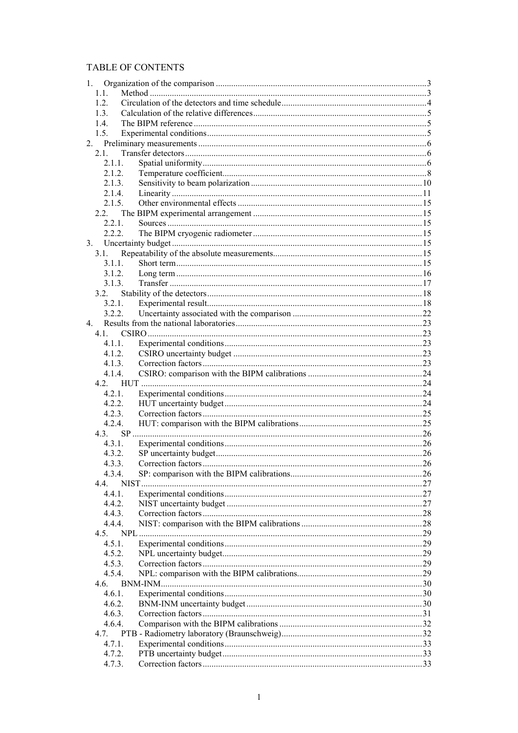# TABLE OF CONTENTS

| 1.             |        |  |
|----------------|--------|--|
|                | 1.1.   |  |
|                | 12     |  |
|                | 1.3.   |  |
|                | 1.4.   |  |
|                | 1.5.   |  |
| 2 <sub>1</sub> |        |  |
|                | 2.1.   |  |
|                | 2.1.1. |  |
|                | 2.1.2. |  |
|                | 2.1.3. |  |
|                |        |  |
|                | 2.1.4. |  |
|                | 2.1.5. |  |
|                | 2.2.   |  |
|                | 2.2.1. |  |
|                | 2.2.2. |  |
| 3.             |        |  |
|                | 3.1.   |  |
|                | 3 1 1  |  |
|                | 3.1.2. |  |
|                | 3.1.3. |  |
|                | 3.2.   |  |
|                | 3.2.1. |  |
|                | 3.2.2. |  |
| $\overline{4}$ |        |  |
|                | 4.1.   |  |
|                | 4.1.1. |  |
|                | 4.1.2. |  |
|                | 4.1.3. |  |
|                | 4.1.4. |  |
|                |        |  |
|                | 4.2.1. |  |
|                | 4.2.2. |  |
|                | 4.2.3. |  |
|                |        |  |
|                | 4.2.4. |  |
|                | 4.3.   |  |
|                | 4.3.1. |  |
|                | 4.3.2. |  |
|                | 4.3.3. |  |
|                | 4.3.4. |  |
|                | 4.4.   |  |
|                | 4.4.1. |  |
|                | 4.4.2. |  |
|                | 443    |  |
|                | 4.4.4. |  |
|                | 4.5.   |  |
|                | 4.5.1. |  |
|                | 4.5.2. |  |
|                | 4.5.3. |  |
|                | 4.5.4. |  |
|                | 4.6.   |  |
|                | 4.6.1. |  |
|                | 4.6.2. |  |
|                | 4.6.3. |  |
|                | 4.6.4. |  |
|                | 4.7.   |  |
|                | 4.7.1. |  |
|                | 4.7.2. |  |
|                | 4.7.3. |  |
|                |        |  |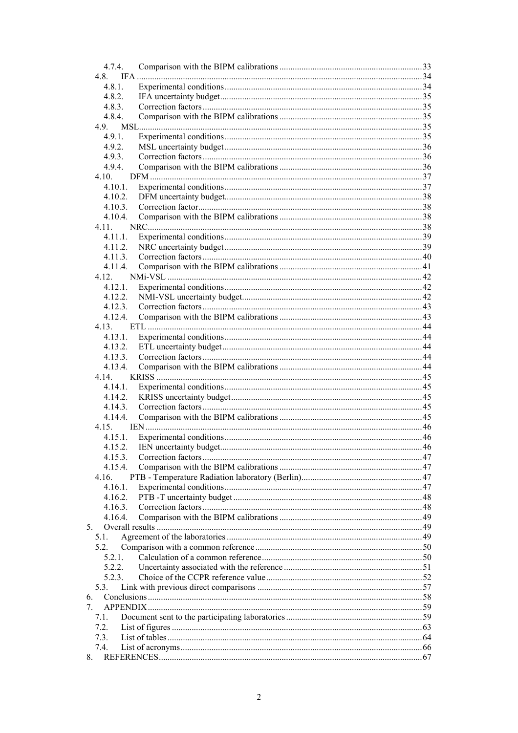| 4.7.4.      |  |
|-------------|--|
| 4.8.        |  |
| 4.8.1.      |  |
| 4.8.2.      |  |
| 4.8.3.      |  |
| 4.8.4.      |  |
| 4.9.        |  |
| 4.9.1.      |  |
| 4.9.2.      |  |
| 4.9.3.      |  |
| 494         |  |
| 4.10.       |  |
| $4.10.1$ .  |  |
| 4.10.2.     |  |
| 4.10.3.     |  |
| 4.10.4.     |  |
| 4.11.       |  |
| 4.11.1.     |  |
|             |  |
| 4.11.2.     |  |
| 4.11.3.     |  |
| 4.11.4.     |  |
| 4 1 2       |  |
| 4.12.1.     |  |
| 4.12.2.     |  |
| 4.12.3.     |  |
| 4.12.4.     |  |
| 4.13.       |  |
| 4.13.1.     |  |
| 4.13.2.     |  |
| 4.13.3.     |  |
| 4.13.4.     |  |
| 4.14.       |  |
| 4.14.1.     |  |
| 4.14.2.     |  |
| 4.14.3.     |  |
| 4.14.4.     |  |
| 4.15.       |  |
| 4.15.1.     |  |
|             |  |
| 4.15.2.     |  |
| 4.15.3.     |  |
| 4.15.4      |  |
| 4.16.       |  |
| 4.16.1.     |  |
| 4.16.2.     |  |
| 4.16.3.     |  |
| 4.16.4.     |  |
| $5_{-}$     |  |
| 5.1.        |  |
| 5.2.        |  |
| 5.2.1.      |  |
| 5.2.2.      |  |
| 5.2.3.      |  |
| 5.3.        |  |
| 6.          |  |
| $7^{\circ}$ |  |
| 7.1.        |  |
| 7.2.        |  |
|             |  |
| 7.3.        |  |
| 7.4.        |  |
| 8.          |  |
|             |  |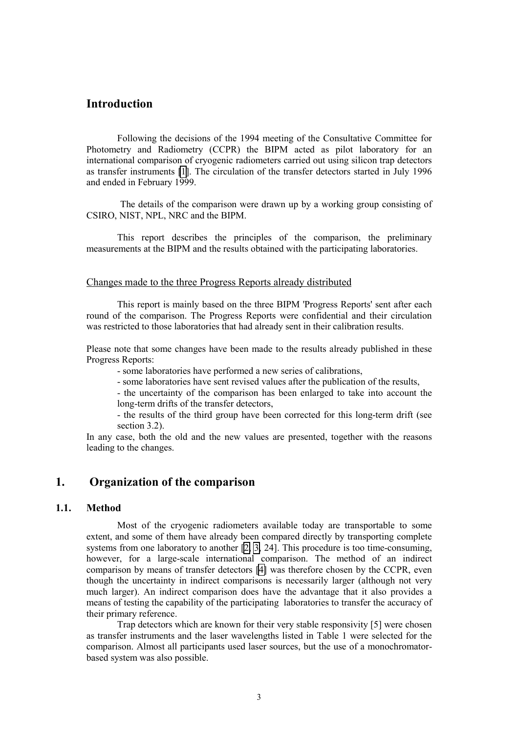# **Introduction**

Following the decisions of the 1994 meeting of the Consultative Committee for Photometry and Radiometry (CCPR) the BIPM acted as pilot laboratory for an international comparison of cryogenic radiometers carried out using silicon trap detectors as transfer instruments [\[1\]](#page-68-0). The circulation of the transfer detectors started in July 1996 and ended in February 1999.

 The details of the comparison were drawn up by a working group consisting of CSIRO, NIST, NPL, NRC and the BIPM.

This report describes the principles of the comparison, the preliminary measurements at the BIPM and the results obtained with the participating laboratories.

#### Changes made to the three Progress Reports already distributed

This report is mainly based on the three BIPM 'Progress Reports' sent after each round of the comparison. The Progress Reports were confidential and their circulation was restricted to those laboratories that had already sent in their calibration results.

Please note that some changes have been made to the results already published in these Progress Reports:

- some laboratories have performed a new series of calibrations,

- some laboratories have sent revised values after the publication of the results,

- the uncertainty of the comparison has been enlarged to take into account the long-term drifts of the transfer detectors,

- the results of the third group have been corrected for this long-term drift (see section 3.2).

In any case, both the old and the new values are presented, together with the reasons leading to the changes.

# **1. Organization of the comparison**

#### **1.1. Method**

Most of the cryogenic radiometers available today are transportable to some extent, and some of them have already been compared directly by transporting complete systems from one laboratory to another [\[2, 3,](#page-68-0) 24]. This procedure is too time-consuming, however, for a large-scale international comparison. The method of an indirect comparison by means of transfer detectors [\[4\]](#page-68-0) was therefore chosen by the CCPR, even though the uncertainty in indirect comparisons is necessarily larger (although not very much larger). An indirect comparison does have the advantage that it also provides a means of testing the capability of the participating laboratories to transfer the accuracy of their primary reference.

Trap detectors which are known for their very stable responsivity [5] were chosen as transfer instruments and the laser wavelengths listed in Table 1 were selected for the comparison. Almost all participants used laser sources, but the use of a monochromatorbased system was also possible.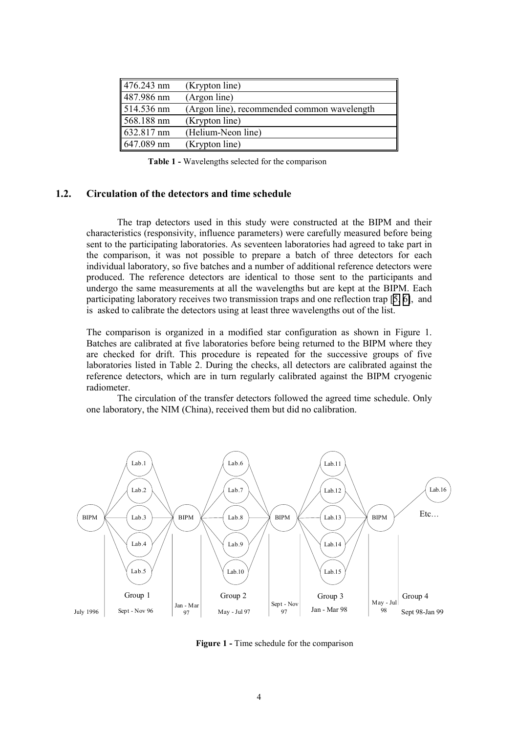| $\sqrt{476.243}$ nm  | (Krypton line)                              |
|----------------------|---------------------------------------------|
| 487.986 nm           | (Argon line)                                |
| $1514.536$ nm        | (Argon line), recommended common wavelength |
| $568.188$ nm         | (Krypton line)                              |
| $632.817 \text{ nm}$ | (Helium-Neon line)                          |
| $647.089$ nm         | (Krypton line)                              |

**Table 1 -** Wavelengths selected for the comparison

#### **1.2. Circulation of the detectors and time schedule**

The trap detectors used in this study were constructed at the BIPM and their characteristics (responsivity, influence parameters) were carefully measured before being sent to the participating laboratories. As seventeen laboratories had agreed to take part in the comparison, it was not possible to prepare a batch of three detectors for each individual laboratory, so five batches and a number of additional reference detectors were produced. The reference detectors are identical to those sent to the participants and undergo the same measurements at all the wavelengths but are kept at the BIPM. Each participating laboratory receives two transmission traps and one reflection trap [[5,](#page-68-0) [6\]](#page-68-0), and is asked to calibrate the detectors using at least three wavelengths out of the list.

The comparison is organized in a modified star configuration as shown in Figure 1. Batches are calibrated at five laboratories before being returned to the BIPM where they are checked for drift. This procedure is repeated for the successive groups of five laboratories listed in Table 2. During the checks, all detectors are calibrated against the reference detectors, which are in turn regularly calibrated against the BIPM cryogenic radiometer.

The circulation of the transfer detectors followed the agreed time schedule. Only one laboratory, the NIM (China), received them but did no calibration.



**Figure 1 - Time schedule for the comparison**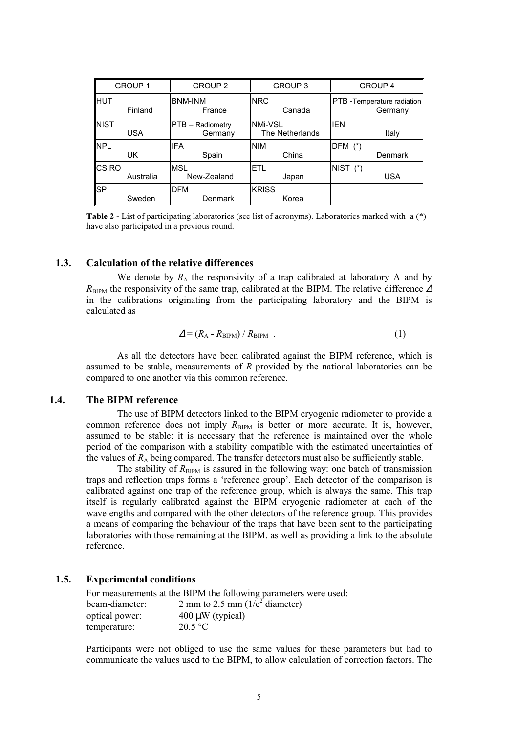| <b>GROUP 1</b> |            | <b>GROUP 2</b>              | GROUP 3                           | <b>GROUP 4</b>                       |  |
|----------------|------------|-----------------------------|-----------------------------------|--------------------------------------|--|
| <b>HUT</b>     | Finland    | <b>BNM-INM</b><br>France    | <b>NRC</b><br>Canada              | PTB-Temperature radiation<br>Germany |  |
| <b>NIST</b>    | <b>USA</b> | PTB - Radiometry<br>Germany | <b>NMi-VSL</b><br>The Netherlands | <b>IEN</b><br>Italy                  |  |
| <b>NPL</b>     | UK.        | <b>IFA</b><br>Spain         | <b>NIM</b><br>China               | $DFM$ $(*)$<br>Denmark               |  |
| <b>CSIRO</b>   | Australia  | <b>MSL</b><br>New-Zealand   | <b>ETL</b><br>Japan               | NIST (*)<br>USA                      |  |
| <b>SP</b>      | Sweden     | <b>DFM</b><br>Denmark       | <b>KRISS</b><br>Korea             |                                      |  |

**Table 2** - List of participating laboratories (see list of acronyms). Laboratories marked with a (\*) have also participated in a previous round.

# **1.3. Calculation of the relative differences**

We denote by  $R_A$  the responsivity of a trap calibrated at laboratory A and by  $R_{\text{BIPM}}$  the responsivity of the same trap, calibrated at the BIPM. The relative difference  $\Delta$ in the calibrations originating from the participating laboratory and the BIPM is calculated as

$$
\Delta = (R_A - R_{\text{BIPM}}) / R_{\text{BIPM}} \tag{1}
$$

As all the detectors have been calibrated against the BIPM reference, which is assumed to be stable, measurements of *R* provided by the national laboratories can be compared to one another via this common reference.

# **1.4. The BIPM reference**

The use of BIPM detectors linked to the BIPM cryogenic radiometer to provide a common reference does not imply  $R_{\text{BIPM}}$  is better or more accurate. It is, however, assumed to be stable: it is necessary that the reference is maintained over the whole period of the comparison with a stability compatible with the estimated uncertainties of the values of  $R_A$  being compared. The transfer detectors must also be sufficiently stable.

The stability of  $R_{\text{BIPM}}$  is assured in the following way: one batch of transmission traps and reflection traps forms a 'reference group'. Each detector of the comparison is calibrated against one trap of the reference group, which is always the same. This trap itself is regularly calibrated against the BIPM cryogenic radiometer at each of the wavelengths and compared with the other detectors of the reference group. This provides a means of comparing the behaviour of the traps that have been sent to the participating laboratories with those remaining at the BIPM, as well as providing a link to the absolute reference.

# **1.5. Experimental conditions**

|                | For measurements at the BIPM the following parameters were used: |
|----------------|------------------------------------------------------------------|
| beam-diameter: | 2 mm to 2.5 mm $(1/e^2$ diameter)                                |
| optical power: | $400 \mu W$ (typical)                                            |
| temperature:   | 20.5 °C                                                          |

Participants were not obliged to use the same values for these parameters but had to communicate the values used to the BIPM, to allow calculation of correction factors. The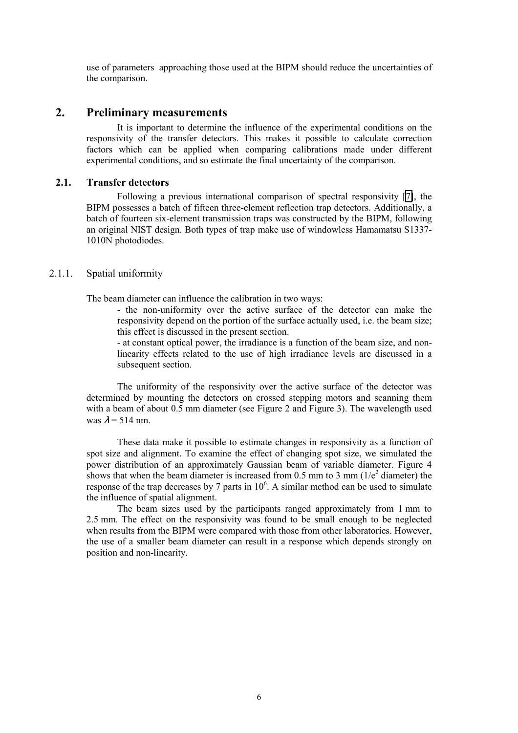use of parameters approaching those used at the BIPM should reduce the uncertainties of the comparison.

# **2. Preliminary measurements**

It is important to determine the influence of the experimental conditions on the responsivity of the transfer detectors. This makes it possible to calculate correction factors which can be applied when comparing calibrations made under different experimental conditions, and so estimate the final uncertainty of the comparison.

# **2.1. Transfer detectors**

Following a previous international comparison of spectral responsivity [\[7\]](#page-68-0), the BIPM possesses a batch of fifteen three-element reflection trap detectors. Additionally, a batch of fourteen six-element transmission traps was constructed by the BIPM, following an original NIST design. Both types of trap make use of windowless Hamamatsu S1337- 1010N photodiodes.

# 2.1.1. Spatial uniformity

The beam diameter can influence the calibration in two ways:

- the non-uniformity over the active surface of the detector can make the responsivity depend on the portion of the surface actually used, i.e. the beam size; this effect is discussed in the present section.

- at constant optical power, the irradiance is a function of the beam size, and nonlinearity effects related to the use of high irradiance levels are discussed in a subsequent section.

The uniformity of the responsivity over the active surface of the detector was determined by mounting the detectors on crossed stepping motors and scanning them with a beam of about 0.5 mm diameter (see Figure 2 and Figure 3). The wavelength used was  $\lambda$  = 514 nm.

These data make it possible to estimate changes in responsivity as a function of spot size and alignment. To examine the effect of changing spot size, we simulated the power distribution of an approximately Gaussian beam of variable diameter. Figure 4 shows that when the beam diameter is increased from 0.5 mm to 3 mm ( $1/e<sup>2</sup>$  diameter) the response of the trap decreases by 7 parts in  $10^6$ . A similar method can be used to simulate the influence of spatial alignment.

The beam sizes used by the participants ranged approximately from 1 mm to 2.5 mm. The effect on the responsivity was found to be small enough to be neglected when results from the BIPM were compared with those from other laboratories. However, the use of a smaller beam diameter can result in a response which depends strongly on position and non-linearity.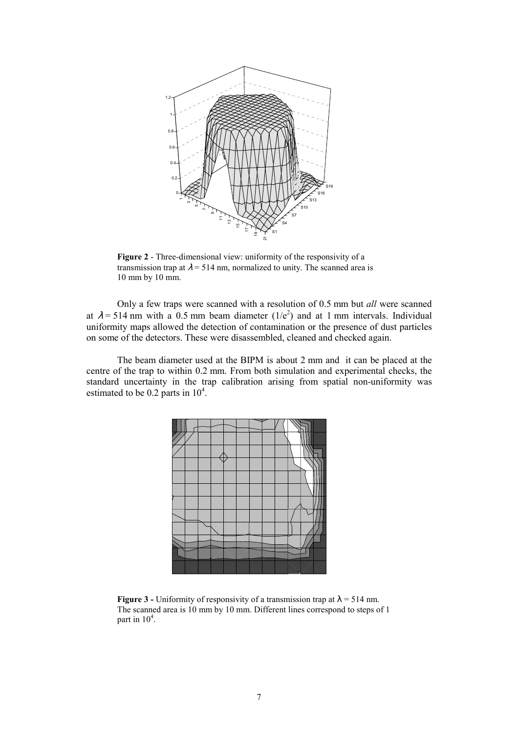

**Figure 2** - Three-dimensional view: uniformity of the responsivity of a transmission trap at  $\lambda$  = 514 nm, normalized to unity. The scanned area is 10 mm by 10 mm.

Only a few traps were scanned with a resolution of 0.5 mm but *all* were scanned at  $\lambda$  = 514 nm with a 0.5 mm beam diameter (1/e<sup>2</sup>) and at 1 mm intervals. Individual uniformity maps allowed the detection of contamination or the presence of dust particles on some of the detectors. These were disassembled, cleaned and checked again.

The beam diameter used at the BIPM is about 2 mm and it can be placed at the centre of the trap to within 0.2 mm. From both simulation and experimental checks, the standard uncertainty in the trap calibration arising from spatial non-uniformity was estimated to be 0.2 parts in  $10^4$ .



**Figure 3** - Uniformity of responsivity of a transmission trap at  $\lambda$  = 514 nm. The scanned area is 10 mm by 10 mm. Different lines correspond to steps of 1 part in  $10^4$ .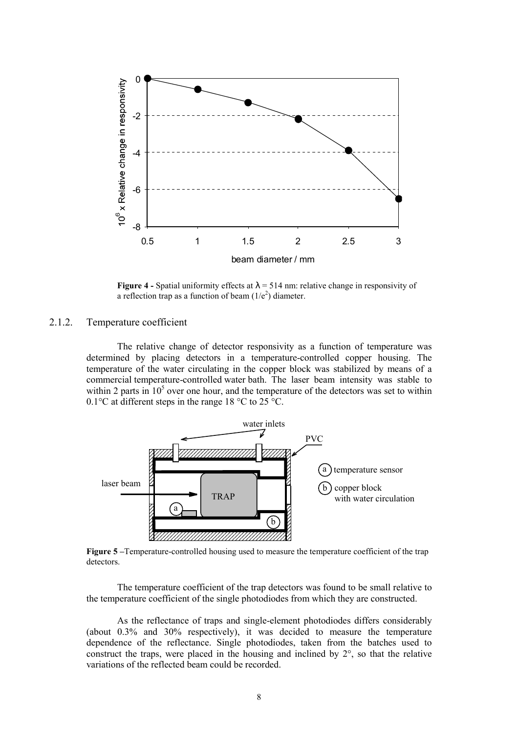

**Figure 4** - Spatial uniformity effects at  $\lambda = 514$  nm: relative change in responsivity of a reflection trap as a function of beam  $(1/e^2)$  diameter.

# 2.1.2. Temperature coefficient

The relative change of detector responsivity as a function of temperature was determined by placing detectors in a temperature-controlled copper housing. The temperature of the water circulating in the copper block was stabilized by means of a commercial temperature-controlled water bath. The laser beam intensity was stable to within 2 parts in  $10<sup>5</sup>$  over one hour, and the temperature of the detectors was set to within 0.1 $\degree$ C at different steps in the range 18 $\degree$ C to 25 $\degree$ C.



**Figure 5** – Temperature-controlled housing used to measure the temperature coefficient of the trap detectors.

The temperature coefficient of the trap detectors was found to be small relative to the temperature coefficient of the single photodiodes from which they are constructed.

As the reflectance of traps and single-element photodiodes differs considerably (about 0.3% and 30% respectively), it was decided to measure the temperature dependence of the reflectance. Single photodiodes, taken from the batches used to construct the traps, were placed in the housing and inclined by 2°, so that the relative variations of the reflected beam could be recorded.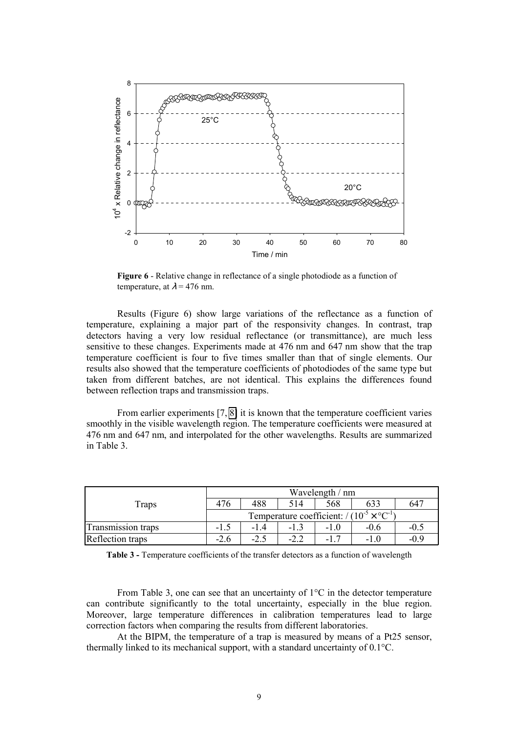

**Figure 6** - Relative change in reflectance of a single photodiode as a function of temperature, at  $\lambda$  = 476 nm.

Results (Figure 6) show large variations of the reflectance as a function of temperature, explaining a major part of the responsivity changes. In contrast, trap detectors having a very low residual reflectance (or transmittance), are much less sensitive to these changes. Experiments made at 476 nm and 647 nm show that the trap temperature coefficient is four to five times smaller than that of single elements. Our results also showed that the temperature coefficients of photodiodes of the same type but taken from different batches, are not identical. This explains the differences found between reflection traps and transmission traps.

From earlier experiments [7, [8\]](#page-68-0) it is known that the temperature coefficient varies smoothly in the visible wavelength region. The temperature coefficients were measured at 476 nm and 647 nm, and interpolated for the other wavelengths. Results are summarized in Table 3.

| Traps                     |                                                               | Wavelength / nm |        |        |        |                 |  |
|---------------------------|---------------------------------------------------------------|-----------------|--------|--------|--------|-----------------|--|
|                           | 476                                                           | 488             | 514    | 568    |        | 64 <sup>7</sup> |  |
|                           | Temperature coefficient: $/(10^{-5} \times {}^{\circ}C^{-1})$ |                 |        |        |        |                 |  |
| <b>Transmission traps</b> | $-1.5$                                                        | -14             |        | $-1.0$ | $-0.6$ | $-0.5$          |  |
| Reflection traps          | $-2.6$                                                        |                 | $-2.2$ | $-1$   | -10    | $-0.9$          |  |

**Table 3 -** Temperature coefficients of the transfer detectors as a function of wavelength

From Table 3, one can see that an uncertainty of  $1^{\circ}$ C in the detector temperature can contribute significantly to the total uncertainty, especially in the blue region. Moreover, large temperature differences in calibration temperatures lead to large correction factors when comparing the results from different laboratories.

At the BIPM, the temperature of a trap is measured by means of a Pt25 sensor, thermally linked to its mechanical support, with a standard uncertainty of 0.1°C.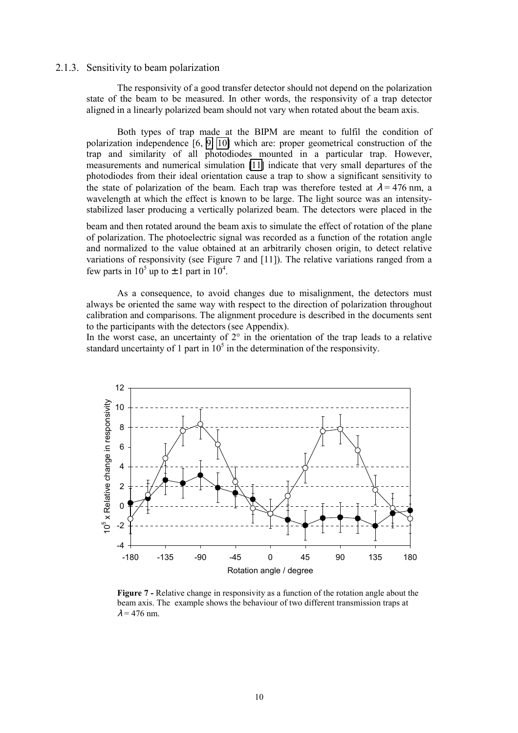#### 2.1.3. Sensitivity to beam polarization

The responsivity of a good transfer detector should not depend on the polarization state of the beam to be measured. In other words, the responsivity of a trap detector aligned in a linearly polarized beam should not vary when rotated about the beam axis.

Both types of trap made at the BIPM are meant to fulfil the condition of polarization independence [6, [9,](#page-68-0) [10\]](#page-68-0) which are: proper geometrical construction of the trap and similarity of all photodiodes mounted in a particular trap. However, measurements and numerical simulation [\[11\]](#page-68-0) indicate that very small departures of the photodiodes from their ideal orientation cause a trap to show a significant sensitivity to the state of polarization of the beam. Each trap was therefore tested at  $\lambda = 476$  nm, a wavelength at which the effect is known to be large. The light source was an intensitystabilized laser producing a vertically polarized beam. The detectors were placed in the

beam and then rotated around the beam axis to simulate the effect of rotation of the plane of polarization. The photoelectric signal was recorded as a function of the rotation angle and normalized to the value obtained at an arbitrarily chosen origin, to detect relative variations of responsivity (see Figure 7 and [11]). The relative variations ranged from a few parts in  $10^5$  up to  $\pm$  1 part in  $10^4$ .

As a consequence, to avoid changes due to misalignment, the detectors must always be oriented the same way with respect to the direction of polarization throughout calibration and comparisons. The alignment procedure is described in the documents sent to the participants with the detectors (see Appendix).

In the worst case, an uncertainty of 2° in the orientation of the trap leads to a relative standard uncertainty of 1 part in  $10<sup>5</sup>$  in the determination of the responsivity.



**Figure 7 -** Relative change in responsivity as a function of the rotation angle about the beam axis. The example shows the behaviour of two different transmission traps at  $\lambda$  = 476 nm.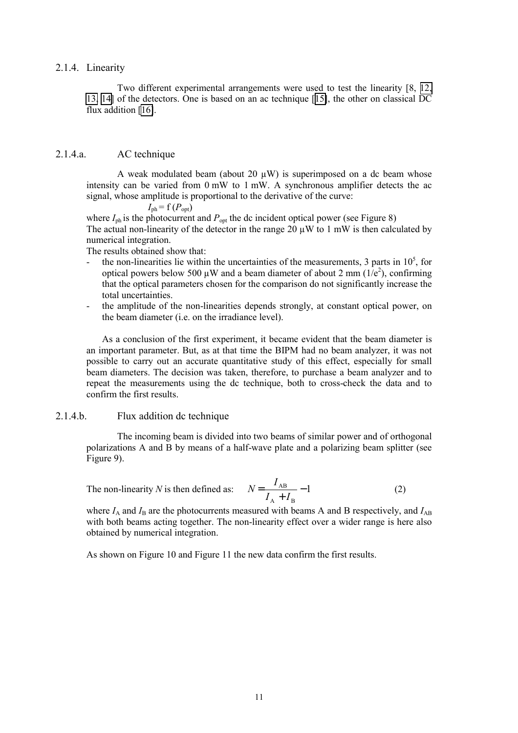#### 2.1.4. Linearity

Two different experimental arrangements were used to test the linearity [8, [12,](#page-68-0) [13,](#page-68-0) [14\]](#page-68-0) of the detectors. One is based on an ac technique [[15\]](#page-68-0), the other on classical DC flux addition [\[16\]](#page-68-0).

# 2.1.4.a. AC technique

A weak modulated beam (about 20  $\mu$ W) is superimposed on a dc beam whose intensity can be varied from 0 mW to 1 mW. A synchronous amplifier detects the ac signal, whose amplitude is proportional to the derivative of the curve:

 $I_{\text{ph}}$  = f  $(P_{\text{opt}})$ 

where  $I_{ph}$  is the photocurrent and  $P_{opt}$  the dc incident optical power (see Figure 8) The actual non-linearity of the detector in the range 20  $\mu$ W to 1 mW is then calculated by numerical integration.

The results obtained show that:

- the non-linearities lie within the uncertainties of the measurements, 3 parts in  $10^5$ , for optical powers below 500  $\mu$ W and a beam diameter of about 2 mm (1/e<sup>2</sup>), confirming that the optical parameters chosen for the comparison do not significantly increase the total uncertainties.
- the amplitude of the non-linearities depends strongly, at constant optical power, on the beam diameter (i.e. on the irradiance level).

As a conclusion of the first experiment, it became evident that the beam diameter is an important parameter. But, as at that time the BIPM had no beam analyzer, it was not possible to carry out an accurate quantitative study of this effect, especially for small beam diameters. The decision was taken, therefore, to purchase a beam analyzer and to repeat the measurements using the dc technique, both to cross-check the data and to confirm the first results.

# 2.1.4.b. Flux addition dc technique

The incoming beam is divided into two beams of similar power and of orthogonal polarizations A and B by means of a half-wave plate and a polarizing beam splitter (see Figure 9).

The non-linearity *N* is then defined as: 
$$
N = \frac{I_{AB}}{I_A + I_B} - 1
$$
 (2)

where  $I_A$  and  $I_B$  are the photocurrents measured with beams A and B respectively, and  $I_{AB}$ with both beams acting together. The non-linearity effect over a wider range is here also obtained by numerical integration.

As shown on Figure 10 and Figure 11 the new data confirm the first results.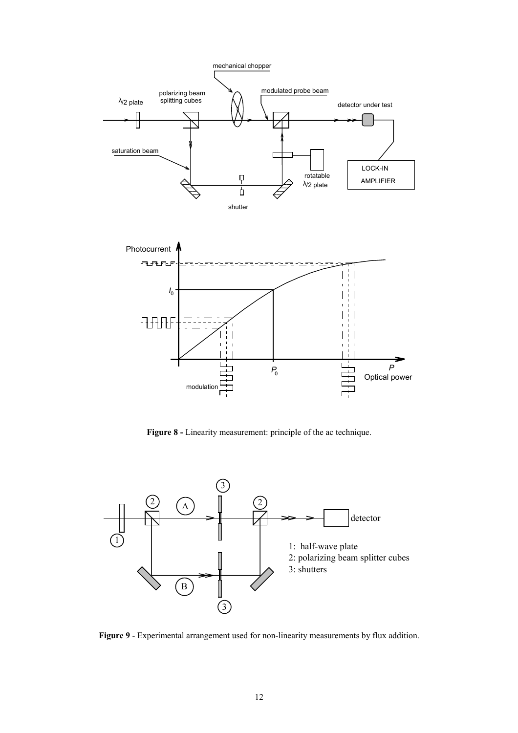

**Figure 8 -** Linearity measurement: principle of the ac technique.



**Figure 9** - Experimental arrangement used for non-linearity measurements by flux addition.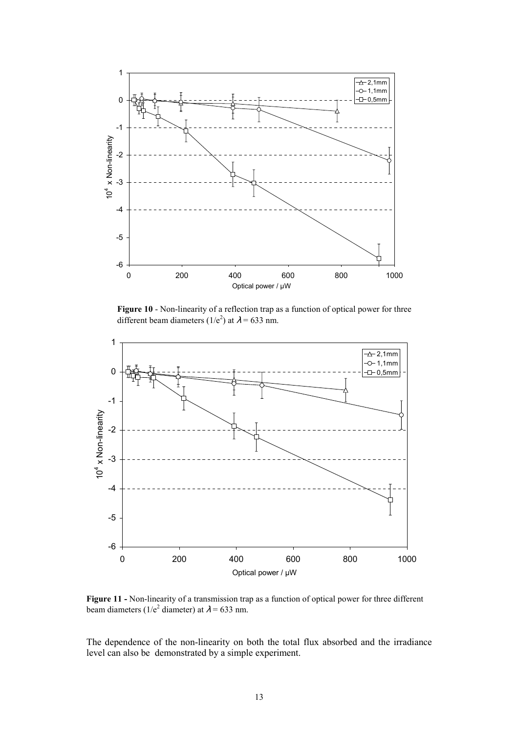

**Figure 10** - Non-linearity of a reflection trap as a function of optical power for three different beam diameters ( $1/e^2$ ) at  $\lambda = 633$  nm.



**Figure 11 -** Non-linearity of a transmission trap as a function of optical power for three different beam diameters ( $1/e^2$  diameter) at  $\lambda = 633$  nm.

The dependence of the non-linearity on both the total flux absorbed and the irradiance level can also be demonstrated by a simple experiment.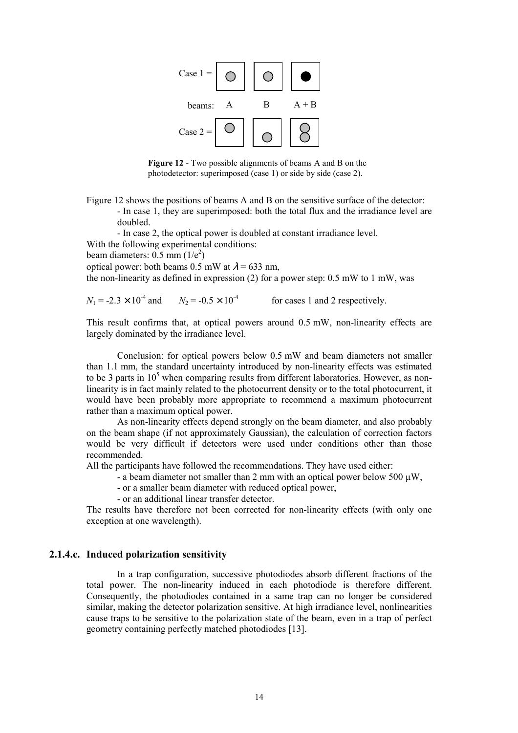

**Figure 12** - Two possible alignments of beams A and B on the photodetector: superimposed (case 1) or side by side (case 2).

Figure 12 shows the positions of beams A and B on the sensitive surface of the detector: - In case 1, they are superimposed: both the total flux and the irradiance level are doubled.

- In case 2, the optical power is doubled at constant irradiance level.

With the following experimental conditions:

beam diameters:  $0.5$  mm  $(1/e^2)$ 

optical power: both beams 0.5 mW at  $\lambda$  = 633 nm,

the non-linearity as defined in expression (2) for a power step: 0.5 mW to 1 mW, was

 $N_1 = -2.3 \times 10^{-4}$  and  $N_2 = -0.5 \times 10^{-4}$  for cases 1 and 2 respectively.

This result confirms that, at optical powers around 0.5 mW, non-linearity effects are largely dominated by the irradiance level.

Conclusion: for optical powers below 0.5 mW and beam diameters not smaller than 1.1 mm, the standard uncertainty introduced by non-linearity effects was estimated to be 3 parts in  $10<sup>5</sup>$  when comparing results from different laboratories. However, as nonlinearity is in fact mainly related to the photocurrent density or to the total photocurrent, it would have been probably more appropriate to recommend a maximum photocurrent rather than a maximum optical power.

As non-linearity effects depend strongly on the beam diameter, and also probably on the beam shape (if not approximately Gaussian), the calculation of correction factors would be very difficult if detectors were used under conditions other than those recommended.

All the participants have followed the recommendations. They have used either:

- a beam diameter not smaller than 2 mm with an optical power below 500  $\mu$ W.

- or a smaller beam diameter with reduced optical power,
- or an additional linear transfer detector.

The results have therefore not been corrected for non-linearity effects (with only one exception at one wavelength).

# **2.1.4.c. Induced polarization sensitivity**

In a trap configuration, successive photodiodes absorb different fractions of the total power. The non-linearity induced in each photodiode is therefore different. Consequently, the photodiodes contained in a same trap can no longer be considered similar, making the detector polarization sensitive. At high irradiance level, nonlinearities cause traps to be sensitive to the polarization state of the beam, even in a trap of perfect geometry containing perfectly matched photodiodes [13].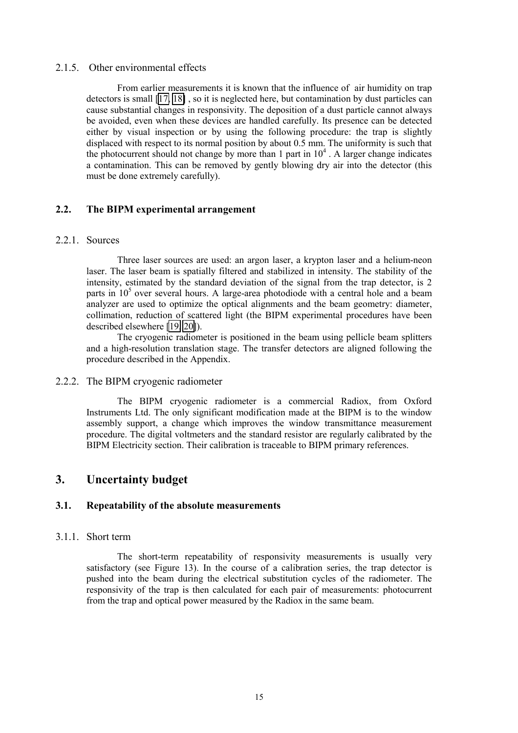## 2.1.5. Other environmental effects

From earlier measurements it is known that the influence of air humidity on trap detectors is small [\[17, 18\]](#page-68-0) , so it is neglected here, but contamination by dust particles can cause substantial changes in responsivity. The deposition of a dust particle cannot always be avoided, even when these devices are handled carefully. Its presence can be detected either by visual inspection or by using the following procedure: the trap is slightly displaced with respect to its normal position by about 0.5 mm. The uniformity is such that the photocurrent should not change by more than 1 part in  $10<sup>4</sup>$ . A larger change indicates a contamination. This can be removed by gently blowing dry air into the detector (this must be done extremely carefully).

# **2.2. The BIPM experimental arrangement**

#### 2.2.1. Sources

Three laser sources are used: an argon laser, a krypton laser and a helium-neon laser. The laser beam is spatially filtered and stabilized in intensity. The stability of the intensity, estimated by the standard deviation of the signal from the trap detector, is 2 parts in  $10<sup>5</sup>$  over several hours. A large-area photodiode with a central hole and a beam analyzer are used to optimize the optical alignments and the beam geometry: diameter, collimation, reduction of scattered light (the BIPM experimental procedures have been described elsewhere [\[19, 20\]](#page-68-0)).

The cryogenic radiometer is positioned in the beam using pellicle beam splitters and a high-resolution translation stage. The transfer detectors are aligned following the procedure described in the Appendix.

# 2.2.2. The BIPM cryogenic radiometer

The BIPM cryogenic radiometer is a commercial Radiox, from Oxford Instruments Ltd. The only significant modification made at the BIPM is to the window assembly support, a change which improves the window transmittance measurement procedure. The digital voltmeters and the standard resistor are regularly calibrated by the BIPM Electricity section. Their calibration is traceable to BIPM primary references.

# **3. Uncertainty budget**

# **3.1. Repeatability of the absolute measurements**

# 3.1.1. Short term

The short-term repeatability of responsivity measurements is usually very satisfactory (see Figure 13). In the course of a calibration series, the trap detector is pushed into the beam during the electrical substitution cycles of the radiometer. The responsivity of the trap is then calculated for each pair of measurements: photocurrent from the trap and optical power measured by the Radiox in the same beam.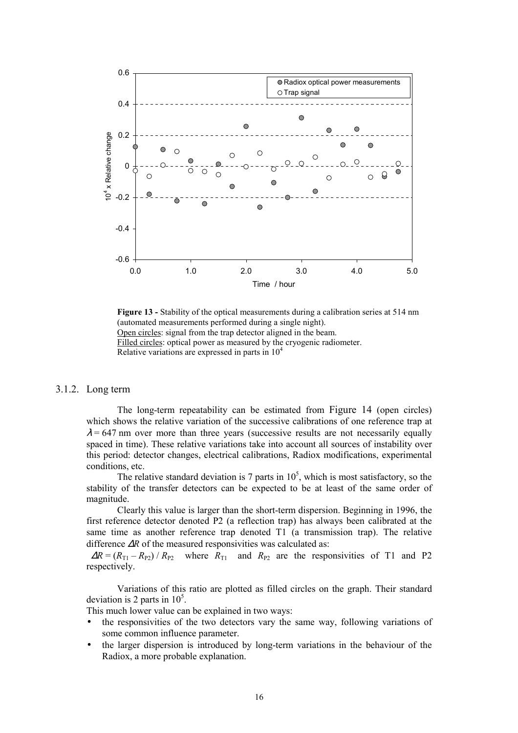

**Figure 13 -** Stability of the optical measurements during a calibration series at 514 nm (automated measurements performed during a single night). Open circles: signal from the trap detector aligned in the beam. Filled circles: optical power as measured by the cryogenic radiometer. Relative variations are expressed in parts in  $10<sup>4</sup>$ 

# 3.1.2. Long term

The long-term repeatability can be estimated from Figure 14 (open circles) which shows the relative variation of the successive calibrations of one reference trap at  $\lambda$  = 647 nm over more than three years (successive results are not necessarily equally spaced in time). These relative variations take into account all sources of instability over this period: detector changes, electrical calibrations, Radiox modifications, experimental conditions, etc.

The relative standard deviation is 7 parts in  $10^5$ , which is most satisfactory, so the stability of the transfer detectors can be expected to be at least of the same order of magnitude.

Clearly this value is larger than the short-term dispersion. Beginning in 1996, the first reference detector denoted P2 (a reflection trap) has always been calibrated at the same time as another reference trap denoted T1 (a transmission trap). The relative difference ∆*R* of the measured responsivities was calculated as:

 $\Delta R = (R_{T1} - R_{P2}) / R_{P2}$  where  $R_{T1}$  and  $R_{P2}$  are the responsivities of T1 and P2 respectively.

Variations of this ratio are plotted as filled circles on the graph. Their standard deviation is 2 parts in  $10^5$ .

This much lower value can be explained in two ways:

- the responsivities of the two detectors vary the same way, following variations of some common influence parameter.
- the larger dispersion is introduced by long-term variations in the behaviour of the Radiox, a more probable explanation.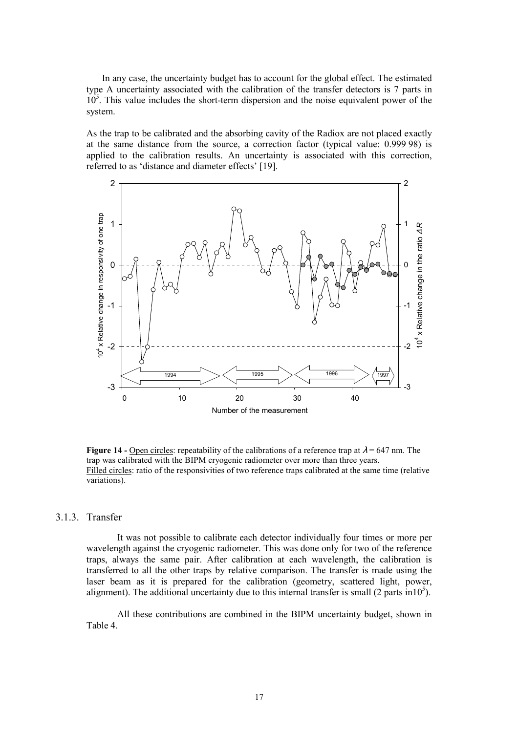In any case, the uncertainty budget has to account for the global effect. The estimated type A uncertainty associated with the calibration of the transfer detectors is 7 parts in  $10<sup>5</sup>$ . This value includes the short-term dispersion and the noise equivalent power of the system.

As the trap to be calibrated and the absorbing cavity of the Radiox are not placed exactly at the same distance from the source, a correction factor (typical value: 0.999 98) is applied to the calibration results. An uncertainty is associated with this correction, referred to as 'distance and diameter effects' [19].



**Figure 14 - Open circles:** repeatability of the calibrations of a reference trap at  $\lambda$  = 647 nm. The trap was calibrated with the BIPM cryogenic radiometer over more than three years. Filled circles: ratio of the responsivities of two reference traps calibrated at the same time (relative variations).

#### 3.1.3. Transfer

It was not possible to calibrate each detector individually four times or more per wavelength against the cryogenic radiometer. This was done only for two of the reference traps, always the same pair. After calibration at each wavelength, the calibration is transferred to all the other traps by relative comparison. The transfer is made using the laser beam as it is prepared for the calibration (geometry, scattered light, power, alignment). The additional uncertainty due to this internal transfer is small (2 parts  $\text{in}10^5$ ).

All these contributions are combined in the BIPM uncertainty budget, shown in Table 4.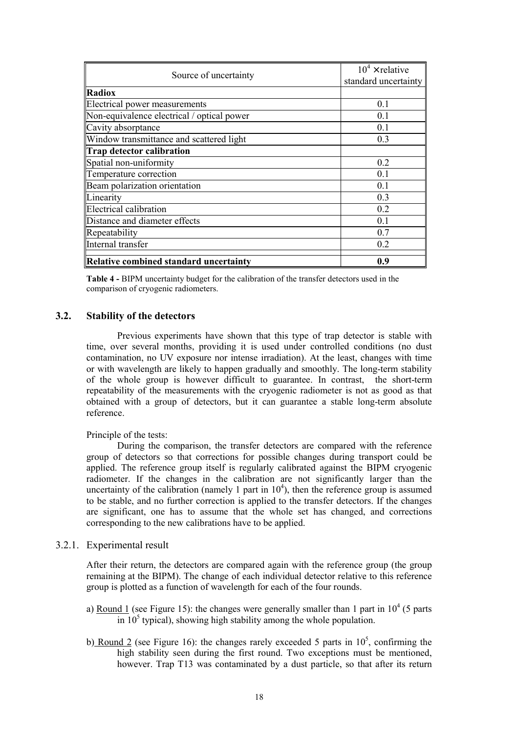| Source of uncertainty                      | $10^4 \times$ relative<br>standard uncertainty |
|--------------------------------------------|------------------------------------------------|
| <b>Radiox</b>                              |                                                |
| Electrical power measurements              | 0.1                                            |
| Non-equivalence electrical / optical power | 0.1                                            |
| Cavity absorptance                         | 0.1                                            |
| Window transmittance and scattered light   | 0.3                                            |
| Trap detector calibration                  |                                                |
| Spatial non-uniformity                     | 0.2                                            |
| Temperature correction                     | 0.1                                            |
| Beam polarization orientation              | 0.1                                            |
| Linearity                                  | 0.3                                            |
| Electrical calibration                     | 0.2                                            |
| Distance and diameter effects              | 0.1                                            |
| Repeatability                              | 0.7                                            |
| Internal transfer                          | 0.2                                            |
| Relative combined standard uncertainty     | 0.9                                            |

**Table 4 -** BIPM uncertainty budget for the calibration of the transfer detectors used in the comparison of cryogenic radiometers.

#### **3.2. Stability of the detectors**

Previous experiments have shown that this type of trap detector is stable with time, over several months, providing it is used under controlled conditions (no dust contamination, no UV exposure nor intense irradiation). At the least, changes with time or with wavelength are likely to happen gradually and smoothly. The long-term stability of the whole group is however difficult to guarantee. In contrast, the short-term repeatability of the measurements with the cryogenic radiometer is not as good as that obtained with a group of detectors, but it can guarantee a stable long-term absolute reference.

#### Principle of the tests:

During the comparison, the transfer detectors are compared with the reference group of detectors so that corrections for possible changes during transport could be applied. The reference group itself is regularly calibrated against the BIPM cryogenic radiometer. If the changes in the calibration are not significantly larger than the uncertainty of the calibration (namely 1 part in  $10<sup>4</sup>$ ), then the reference group is assumed to be stable, and no further correction is applied to the transfer detectors. If the changes are significant, one has to assume that the whole set has changed, and corrections corresponding to the new calibrations have to be applied.

# 3.2.1. Experimental result

After their return, the detectors are compared again with the reference group (the group remaining at the BIPM). The change of each individual detector relative to this reference group is plotted as a function of wavelength for each of the four rounds.

- a) Round 1 (see Figure 15): the changes were generally smaller than 1 part in  $10^4$  (5 parts  $\overline{10^5}$  typical), showing high stability among the whole population.
- b) Round 2 (see Figure 16): the changes rarely exceeded 5 parts in  $10^5$ , confirming the high stability seen during the first round. Two exceptions must be mentioned, however. Trap T13 was contaminated by a dust particle, so that after its return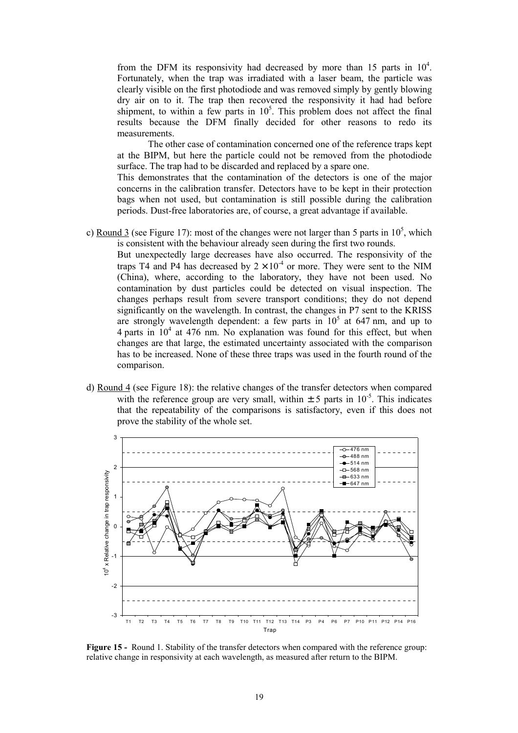from the DFM its responsivity had decreased by more than 15 parts in  $10^4$ . Fortunately, when the trap was irradiated with a laser beam, the particle was clearly visible on the first photodiode and was removed simply by gently blowing dry air on to it. The trap then recovered the responsivity it had had before shipment, to within a few parts in  $10^5$ . This problem does not affect the final results because the DFM finally decided for other reasons to redo its measurements.

The other case of contamination concerned one of the reference traps kept at the BIPM, but here the particle could not be removed from the photodiode surface. The trap had to be discarded and replaced by a spare one.

This demonstrates that the contamination of the detectors is one of the major concerns in the calibration transfer. Detectors have to be kept in their protection bags when not used, but contamination is still possible during the calibration periods. Dust-free laboratories are, of course, a great advantage if available.

c) Round 3 (see Figure 17): most of the changes were not larger than 5 parts in  $10^5$ , which is consistent with the behaviour already seen during the first two rounds.

But unexpectedly large decreases have also occurred. The responsivity of the traps T4 and P4 has decreased by  $2 \times 10^{-4}$  or more. They were sent to the NIM (China), where, according to the laboratory, they have not been used. No contamination by dust particles could be detected on visual inspection. The changes perhaps result from severe transport conditions; they do not depend significantly on the wavelength. In contrast, the changes in P7 sent to the KRISS are strongly wavelength dependent: a few parts in  $10^5$  at 647 nm, and up to 4 parts in  $10^4$  at 476 nm. No explanation was found for this effect, but when changes are that large, the estimated uncertainty associated with the comparison has to be increased. None of these three traps was used in the fourth round of the comparison.

d) Round 4 (see Figure 18): the relative changes of the transfer detectors when compared with the reference group are very small, within  $\pm$  5 parts in 10<sup>-5</sup>. This indicates that the repeatability of the comparisons is satisfactory, even if this does not prove the stability of the whole set.



**Figure 15 -** Round 1. Stability of the transfer detectors when compared with the reference group: relative change in responsivity at each wavelength, as measured after return to the BIPM.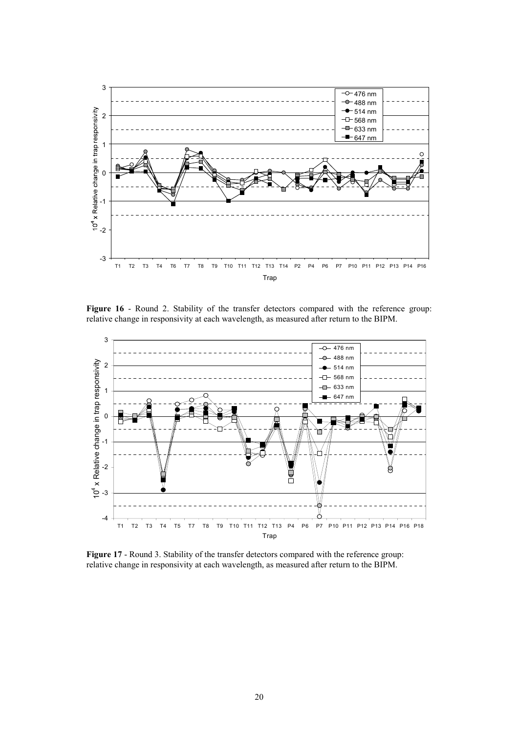

Figure 16 - Round 2. Stability of the transfer detectors compared with the reference group: relative change in responsivity at each wavelength, as measured after return to the BIPM.



Figure 17 - Round 3. Stability of the transfer detectors compared with the reference group: relative change in responsivity at each wavelength, as measured after return to the BIPM.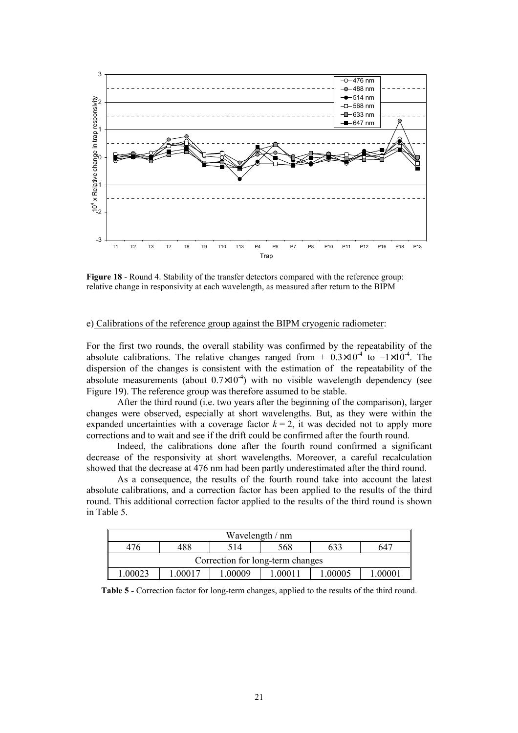

**Figure 18** - Round 4. Stability of the transfer detectors compared with the reference group: relative change in responsivity at each wavelength, as measured after return to the BIPM

# e) Calibrations of the reference group against the BIPM cryogenic radiometer:

For the first two rounds, the overall stability was confirmed by the repeatability of the absolute calibrations. The relative changes ranged from  $+ 0.3 \times 10^{-4}$  to  $-1 \times 10^{-4}$ . The dispersion of the changes is consistent with the estimation of the repeatability of the absolute measurements (about  $0.7\times10^{-4}$ ) with no visible wavelength dependency (see Figure 19). The reference group was therefore assumed to be stable.

After the third round (i.e. two years after the beginning of the comparison), larger changes were observed, especially at short wavelengths. But, as they were within the expanded uncertainties with a coverage factor  $k = 2$ , it was decided not to apply more corrections and to wait and see if the drift could be confirmed after the fourth round.

Indeed, the calibrations done after the fourth round confirmed a significant decrease of the responsivity at short wavelengths. Moreover, a careful recalculation showed that the decrease at 476 nm had been partly underestimated after the third round.

As a consequence, the results of the fourth round take into account the latest absolute calibrations, and a correction factor has been applied to the results of the third round. This additional correction factor applied to the results of the third round is shown in Table 5.

| Wavelength / nm                                             |                                 |  |  |  |  |  |  |  |
|-------------------------------------------------------------|---------------------------------|--|--|--|--|--|--|--|
| 476                                                         | 488<br>633<br>568<br>647<br>514 |  |  |  |  |  |  |  |
| Correction for long-term changes                            |                                 |  |  |  |  |  |  |  |
| - 00011<br>1.00009<br>1.00005<br>.00023<br>.00001<br>L00017 |                                 |  |  |  |  |  |  |  |

**Table 5 - Correction factor for long-term changes, applied to the results of the third round.**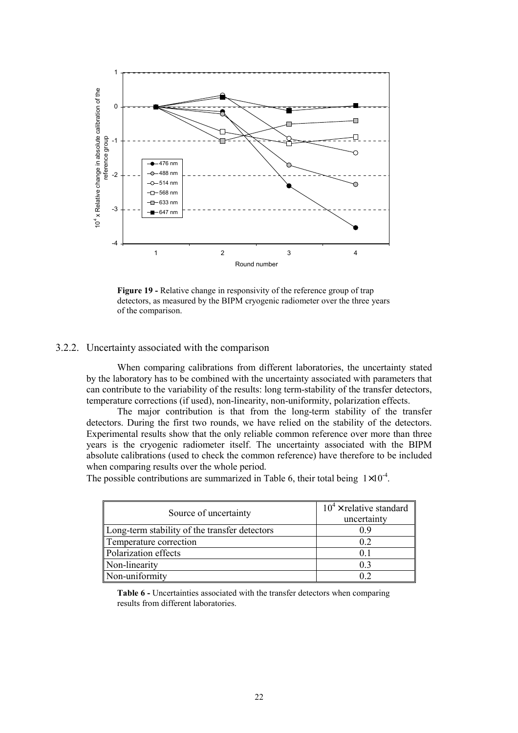

**Figure 19 -** Relative change in responsivity of the reference group of trap detectors, as measured by the BIPM cryogenic radiometer over the three years of the comparison.

# 3.2.2. Uncertainty associated with the comparison

When comparing calibrations from different laboratories, the uncertainty stated by the laboratory has to be combined with the uncertainty associated with parameters that can contribute to the variability of the results: long term-stability of the transfer detectors, temperature corrections (if used), non-linearity, non-uniformity, polarization effects.

The major contribution is that from the long-term stability of the transfer detectors. During the first two rounds, we have relied on the stability of the detectors. Experimental results show that the only reliable common reference over more than three years is the cryogenic radiometer itself. The uncertainty associated with the BIPM absolute calibrations (used to check the common reference) have therefore to be included when comparing results over the whole period.

The possible contributions are summarized in Table 6, their total being  $1 \times 10^{-4}$ .

| Source of uncertainty                         | $10^4 \times$ relative standard<br>uncertainty |
|-----------------------------------------------|------------------------------------------------|
| Long-term stability of the transfer detectors | 09                                             |
| Temperature correction                        | 02                                             |
| Polarization effects                          | (1)                                            |
| Non-linearity                                 | 0.3                                            |
| Non-uniformity                                |                                                |

**Table 6 -** Uncertainties associated with the transfer detectors when comparing results from different laboratories.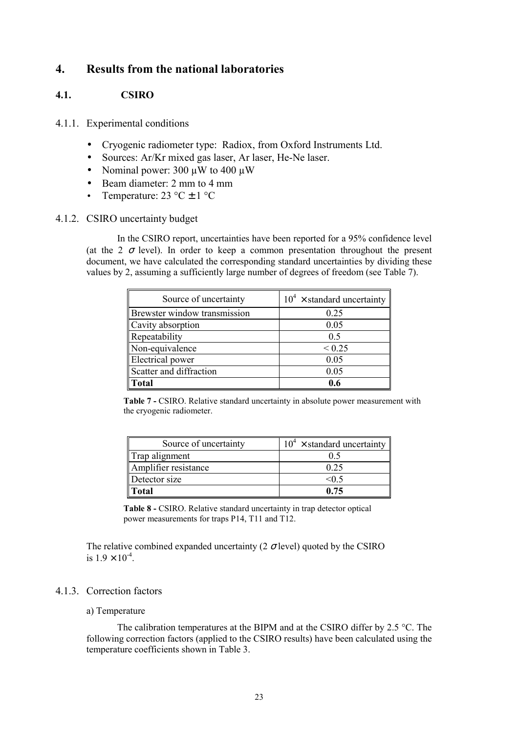# **4. Results from the national laboratories**

# **4.1. CSIRO**

# 4.1.1. Experimental conditions

- Cryogenic radiometer type: Radiox, from Oxford Instruments Ltd.
- Sources: Ar/Kr mixed gas laser, Ar laser, He-Ne laser.
- Nominal power: 300  $\mu$ W to 400  $\mu$ W
- Beam diameter: 2 mm to 4 mm
- Temperature:  $23 \text{ }^{\circ}C \pm 1 \text{ }^{\circ}C$

# 4.1.2. CSIRO uncertainty budget

In the CSIRO report, uncertainties have been reported for a 95% confidence level (at the 2  $\sigma$  level). In order to keep a common presentation throughout the present document, we have calculated the corresponding standard uncertainties by dividing these values by 2, assuming a sufficiently large number of degrees of freedom (see Table 7).

| Source of uncertainty        | $10^4 \times$ standard uncertainty |
|------------------------------|------------------------------------|
| Brewster window transmission | 0.25                               |
| Cavity absorption            | 0.05                               |
| Repeatability                | 0.5                                |
| Non-equivalence              | ${}< 0.25$                         |
| <b>Electrical</b> power      | 0.05                               |
| Scatter and diffraction      | 0.05                               |
| Total                        | 0.6                                |

**Table 7 -** CSIRO. Relative standard uncertainty in absolute power measurement with the cryogenic radiometer.

| Source of uncertainty | $10^4 \times$ standard uncertainty |
|-----------------------|------------------------------------|
| Trap alignment        | 0.5                                |
| Amplifier resistance  | 0.25                               |
| Detector size         | <∩ 5                               |
| <b>Total</b>          | 0.75                               |

**Table 8 -** CSIRO. Relative standard uncertainty in trap detector optical power measurements for traps P14, T11 and T12.

The relative combined expanded uncertainty (2  $\sigma$  level) quoted by the CSIRO is  $1.9 \times 10^{-4}$ .

# 4.1.3. Correction factors

# a) Temperature

The calibration temperatures at the BIPM and at the CSIRO differ by 2.5 °C. The following correction factors (applied to the CSIRO results) have been calculated using the temperature coefficients shown in Table 3.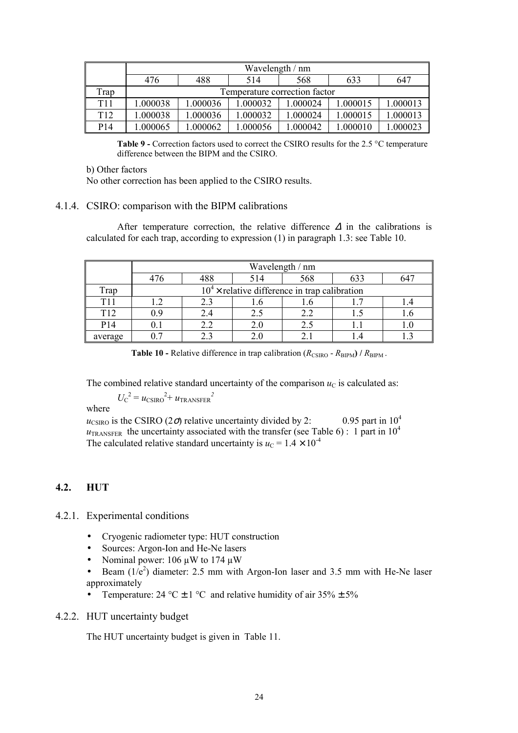|                 | Wavelength / nm                                                    |                               |         |          |          |          |  |  |
|-----------------|--------------------------------------------------------------------|-------------------------------|---------|----------|----------|----------|--|--|
|                 | 488<br>647<br>568<br>633<br>476<br>514                             |                               |         |          |          |          |  |  |
| Trap            |                                                                    | Temperature correction factor |         |          |          |          |  |  |
| T <sub>11</sub> | 1.000013<br>.000036<br>1.000038<br>1.000032<br>.000024<br>1.000015 |                               |         |          |          |          |  |  |
| T <sub>12</sub> | 1.000038                                                           | .000036                       | .000032 | 1.000024 | 1.000015 | 1.000013 |  |  |
| P14             | .000065                                                            | .000062                       | .000056 | .000042  | 1.000010 | 1.000023 |  |  |

**Table 9 -** Correction factors used to correct the CSIRO results for the 2.5 °C temperature difference between the BIPM and the CSIRO.

b) Other factors

No other correction has been applied to the CSIRO results.

# 4.1.4. CSIRO: comparison with the BIPM calibrations

After temperature correction, the relative difference  $\Delta$  in the calibrations is calculated for each trap, according to expression (1) in paragraph 1.3: see Table 10.

|                 | Wavelength / nm |                                                 |     |     |     |  |
|-----------------|-----------------|-------------------------------------------------|-----|-----|-----|--|
|                 |                 | 488                                             | 514 | 568 | 633 |  |
| Trap            |                 | $104$ x relative difference in trap calibration |     |     |     |  |
| T11             |                 | 2.3                                             |     |     |     |  |
| T <sub>12</sub> | 09              | 2.4                                             |     | 2.2 |     |  |
| P <sub>14</sub> |                 | 2.2                                             |     | 2.5 |     |  |
| average         |                 |                                                 |     |     |     |  |

**Table 10 -** Relative difference in trap calibration  $(R_{\text{CSIRO}} - R_{\text{BIPM}}) / R_{\text{BIPM}}$ .

The combined relative standard uncertainty of the comparison  $u<sub>C</sub>$  is calculated as:

 $U_{\rm C}^{2} = u_{\rm CSIRO}^{2} + u_{\rm TRANSFER}^{2}$ 

where

 $u_{\text{CSIRO}}$  is the CSIRO (2 $\sigma$ ) relative uncertainty divided by 2: 0.95 part in 10<sup>4</sup>  $u_{\text{TRANSFER}}$  the uncertainty associated with the transfer (see Table 6) : 1 part in 10<sup>4</sup> The calculated relative standard uncertainty is  $u_C = 1.4 \times 10^{-4}$ 

# **4.2. HUT**

- 4.2.1. Experimental conditions
	- Cryogenic radiometer type: HUT construction
	- Sources: Argon-Ion and He-Ne lasers
	- Nominal power: 106  $\mu$ W to 174  $\mu$ W
	- Beam  $(1/e^2)$  diameter: 2.5 mm with Argon-Ion laser and 3.5 mm with He-Ne laser approximately
	- Temperature:  $24 \text{ °C} \pm 1 \text{ °C}$  and relative humidity of air  $35\% \pm 5\%$

# 4.2.2. HUT uncertainty budget

The HUT uncertainty budget is given in Table 11.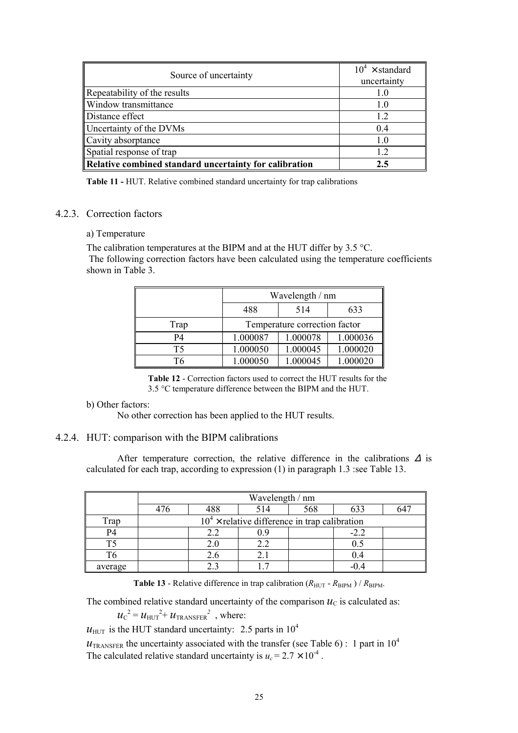| Source of uncertainty                                  | $10^4 \times$ standard<br>uncertainty |
|--------------------------------------------------------|---------------------------------------|
| Repeatability of the results                           | 1.0                                   |
| Window transmittance                                   | 1.0                                   |
| Distance effect                                        | 12                                    |
| Uncertainty of the DVMs                                | 04                                    |
| Cavity absorptance                                     | 10                                    |
| Spatial response of trap                               | 12                                    |
| Relative combined standard uncertainty for calibration | 2.5                                   |

**Table 11 -** HUT. Relative combined standard uncertainty for trap calibrations

# 4.2.3. Correction factors

# a) Temperature

The calibration temperatures at the BIPM and at the HUT differ by 3.5 °C. The following correction factors have been calculated using the temperature coefficients shown in Table 3.

|      | Wavelength / nm                  |          |          |  |
|------|----------------------------------|----------|----------|--|
|      | 488<br>633<br>514                |          |          |  |
| Trap | Temperature correction factor    |          |          |  |
| P4   | 1.000036<br>1.000078<br>1.000087 |          |          |  |
| T5   | 1.000050                         | 1.000045 | 1.000020 |  |
| T6   | 1.000050                         | 1.000045 | 1.000020 |  |

**Table 12** - Correction factors used to correct the HUT results for the 3.5 °C temperature difference between the BIPM and the HUT.

# b) Other factors:

No other correction has been applied to the HUT results.

# 4.2.4. HUT: comparison with the BIPM calibrations

After temperature correction, the relative difference in the calibrations  $\Delta$  is calculated for each trap, according to expression (1) in paragraph 1.3 :see Table 13.

|         | Wavelength / nm                                 |     |     |     |        |     |
|---------|-------------------------------------------------|-----|-----|-----|--------|-----|
|         |                                                 | 488 | 514 | 568 | 633    | 647 |
| Trap    | $104$ × relative difference in trap calibration |     |     |     |        |     |
| P4      |                                                 | 2.2 |     |     | $-2.2$ |     |
| T5      |                                                 | 2.0 |     |     | 0.5    |     |
| T6      |                                                 | 2.6 |     |     | 0.4    |     |
| average |                                                 |     |     |     | -04    |     |

**Table 13** - Relative difference in trap calibration  $(R_{\text{HUT}} - R_{\text{BIPM}}) / R_{\text{BIPM}}$ .

The combined relative standard uncertainty of the comparison  $u<sub>C</sub>$  is calculated as:

 $u_c^2 = u_{HUT}^2 + u_{TRANSEER}^2$ , where:

 $u_{\text{HUT}}$  is the HUT standard uncertainty: 2.5 parts in 10<sup>4</sup>

 $u_{\text{TRANSFER}}$  the uncertainty associated with the transfer (see Table 6) : 1 part in 10<sup>4</sup> The calculated relative standard uncertainty is  $u_c = 2.7 \times 10^{-4}$ .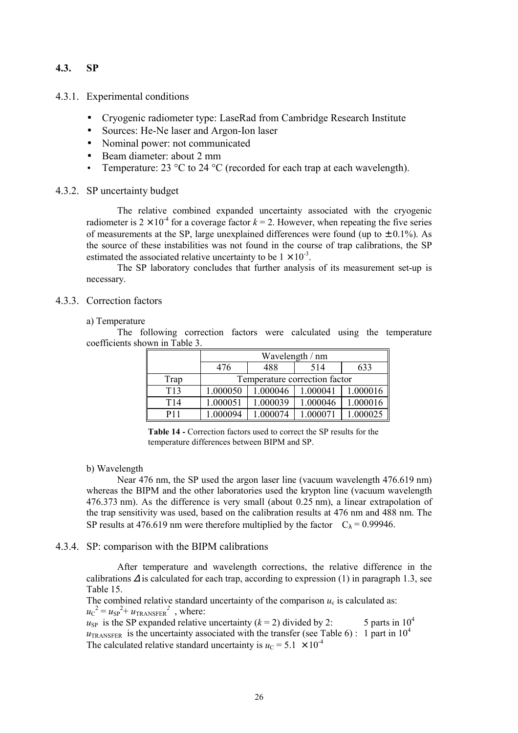# **4.3. SP**

4.3.1. Experimental conditions

- Cryogenic radiometer type: LaseRad from Cambridge Research Institute
- Sources: He-Ne laser and Argon-Ion laser
- Nominal power: not communicated
- Beam diameter: about 2 mm
- Temperature: 23  $\degree$ C to 24  $\degree$ C (recorded for each trap at each wavelength).

# 4.3.2. SP uncertainty budget

The relative combined expanded uncertainty associated with the cryogenic radiometer is  $2 \times 10^{-4}$  for a coverage factor  $k = 2$ . However, when repeating the five series of measurements at the SP, large unexplained differences were found (up to  $\pm$  0.1%). As the source of these instabilities was not found in the course of trap calibrations, the SP estimated the associated relative uncertainty to be  $1 \times 10^{-3}$ .

The SP laboratory concludes that further analysis of its measurement set-up is necessary.

# 4.3.3. Correction factors

#### a) Temperature

The following correction factors were calculated using the temperature coefficients shown in Table 3.

|                 | Wavelength / nm               |          |          |          |  |
|-----------------|-------------------------------|----------|----------|----------|--|
|                 | 476                           | 488      | 514      | 633      |  |
| Trap            | Temperature correction factor |          |          |          |  |
| T <sub>13</sub> | 1.000050                      | 1.000046 | 1.000041 | 1.000016 |  |
| T <sub>14</sub> | 1.000051                      | 1.000039 | 1.000046 | 1.000016 |  |
| P11             | 000094                        | 000074   |          | 000025   |  |

**Table 14 -** Correction factors used to correct the SP results for the temperature differences between BIPM and SP.

#### b) Wavelength

Near 476 nm, the SP used the argon laser line (vacuum wavelength 476.619 nm) whereas the BIPM and the other laboratories used the krypton line (vacuum wavelength 476.373 nm). As the difference is very small (about  $0.25$  nm), a linear extrapolation of the trap sensitivity was used, based on the calibration results at 476 nm and 488 nm. The SP results at 476.619 nm were therefore multiplied by the factor  $C_{\lambda} = 0.99946$ .

# 4.3.4. SP: comparison with the BIPM calibrations

After temperature and wavelength corrections, the relative difference in the calibrations  $\Delta$  is calculated for each trap, according to expression (1) in paragraph 1.3, see Table 15.

The combined relative standard uncertainty of the comparison  $u_c$  is calculated as:  $u_{\rm C}^{2} = u_{\rm SP}^{2} + u_{\rm TRANSFER}^{2}$ , where:

 $u_{SP}$  is the SP expanded relative uncertainty ( $k = 2$ ) divided by 2: 5 parts in 10<sup>4</sup>  $u_{\text{TRANSFER}}$  is the uncertainty associated with the transfer (see Table 6) : 1 part in 10<sup>4</sup> The calculated relative standard uncertainty is  $u_C = 5.1 \times 10^{-4}$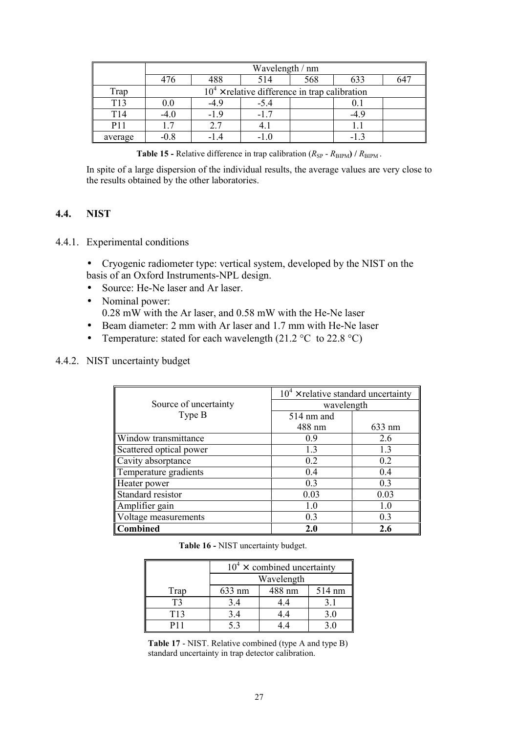|                 | Wavelength / nm |        |                                                 |     |        |     |
|-----------------|-----------------|--------|-------------------------------------------------|-----|--------|-----|
|                 | 476             | 488    | 514                                             | 568 | 633    | 647 |
| Trap            |                 |        | $104$ × relative difference in trap calibration |     |        |     |
| T <sub>13</sub> | 0.0             | $-4.9$ | $-5.4$                                          |     |        |     |
| T <sub>14</sub> | $-4.0$          | $-19$  | $-17$                                           |     | $-4.9$ |     |
| P <sub>11</sub> |                 | 2.7    |                                                 |     |        |     |
| average         | $-0.8$          | -14    | -10                                             |     |        |     |

**Table 15 -** Relative difference in trap calibration  $(R_{SP} - R_{BIPM}) / R_{BIPM}$ .

In spite of a large dispersion of the individual results, the average values are very close to the results obtained by the other laboratories.

# **4.4. NIST**

4.4.1. Experimental conditions

• Cryogenic radiometer type: vertical system, developed by the NIST on the basis of an Oxford Instruments-NPL design.

- Source: He-Ne laser and Ar laser.
- Nominal power: 0.28 mW with the Ar laser, and 0.58 mW with the He-Ne laser
- Beam diameter: 2 mm with Ar laser and 1.7 mm with He-Ne laser
- Temperature: stated for each wavelength  $(21.2 \degree C)$  to  $22.8 \degree C)$

# 4.4.2. NIST uncertainty budget

|                         | $104$ x relative standard uncertainty |        |  |
|-------------------------|---------------------------------------|--------|--|
| Source of uncertainty   | wavelength                            |        |  |
| Type B                  | $514 \text{ nm}$ and                  |        |  |
|                         | 488 nm                                | 633 nm |  |
| Window transmittance    | 0.9                                   | 2.6    |  |
| Scattered optical power | 1.3                                   | 1.3    |  |
| Cavity absorptance      | 0.2                                   | 0.2    |  |
| Temperature gradients   | 0.4                                   | 0.4    |  |
| Heater power            | 0.3                                   | 0.3    |  |
| Standard resistor       | 0.03                                  | 0.03   |  |
| Amplifier gain          | 1.0                                   | 1.0    |  |
| Voltage measurements    | 0.3                                   | 0.3    |  |
| <b>Combined</b>         | 2.0                                   | 2.6    |  |

|  | Table 16 - NIST uncertainty budget. |  |
|--|-------------------------------------|--|
|  |                                     |  |

|                 | $10^4 \times$ combined uncertainty |        |        |  |
|-----------------|------------------------------------|--------|--------|--|
|                 | Wavelength                         |        |        |  |
| Trap            | 633 nm                             | 488 nm | 514 nm |  |
| T3              | 3.4                                | 44     | 31     |  |
| T <sub>13</sub> | 3.4                                | 4.4    | 3.0    |  |
|                 |                                    |        |        |  |

**Table 17** - NIST. Relative combined (type A and type B) standard uncertainty in trap detector calibration.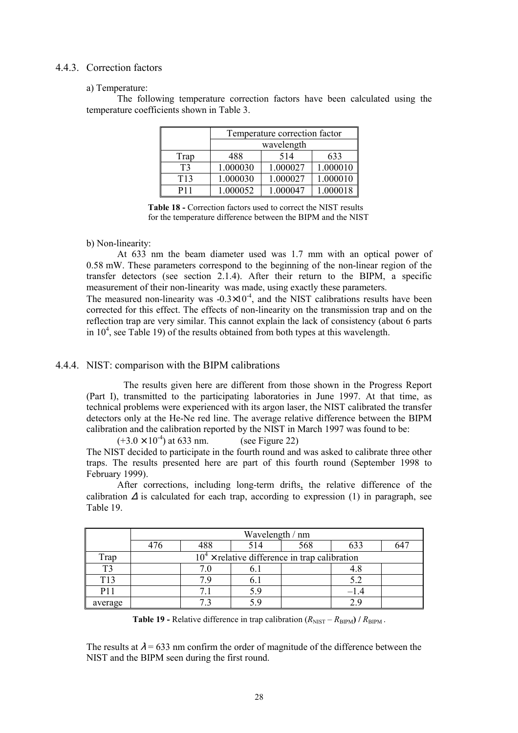# 4.4.3. Correction factors

#### a) Temperature:

The following temperature correction factors have been calculated using the temperature coefficients shown in Table 3.

|                 | Temperature correction factor |          |          |  |
|-----------------|-------------------------------|----------|----------|--|
|                 | wavelength                    |          |          |  |
| Trap            | 488                           | 514      | 633      |  |
| T3              | 1.000030                      | 1.000027 | 1.000010 |  |
| T <sub>13</sub> | 1.000030                      | 1.000027 | 1.000010 |  |
| P11             | 1.000052                      | 1.000047 | 1.000018 |  |

Table 18 - Correction factors used to correct the NIST results for the temperature difference between the BIPM and the NIST

# b) Non-linearity:

At 633 nm the beam diameter used was 1.7 mm with an optical power of 0.58 mW. These parameters correspond to the beginning of the non-linear region of the transfer detectors (see section 2.1.4). After their return to the BIPM, a specific measurement of their non-linearity was made, using exactly these parameters.

The measured non-linearity was  $-0.3 \times 10^{-4}$ , and the NIST calibrations results have been corrected for this effect. The effects of non-linearity on the transmission trap and on the reflection trap are very similar. This cannot explain the lack of consistency (about 6 parts in  $10<sup>4</sup>$ , see Table 19) of the results obtained from both types at this wavelength.

# 4.4.4. NIST: comparison with the BIPM calibrations

The results given here are different from those shown in the Progress Report (Part I), transmitted to the participating laboratories in June 1997. At that time, as technical problems were experienced with its argon laser, the NIST calibrated the transfer detectors only at the He-Ne red line. The average relative difference between the BIPM calibration and the calibration reported by the NIST in March 1997 was found to be:

 $(+3.0 \times 10^{-4})$  at 633 nm. (see Figure 22)

The NIST decided to participate in the fourth round and was asked to calibrate three other traps. The results presented here are part of this fourth round (September 1998 to February 1999).

After corrections, including long-term drifts, the relative difference of the calibration  $\Delta$  is calculated for each trap, according to expression (1) in paragraph, see Table 19.

|            | Wavelength / nm                                 |     |     |     |        |          |
|------------|-------------------------------------------------|-----|-----|-----|--------|----------|
|            | 476                                             | 488 | 514 | 568 | 633    | $64^{-}$ |
| Trap       | $104$ × relative difference in trap calibration |     |     |     |        |          |
| T3         |                                                 | 7.0 | 0.1 |     | 4.8    |          |
| T13        |                                                 | 7 Q | 0.1 |     | 5.2    |          |
| <b>P11</b> |                                                 |     | 5.9 |     | $-1.4$ |          |
| average    |                                                 |     |     |     |        |          |

**Table 19 -** Relative difference in trap calibration  $(R_{NIST} - R_{BIPM}) / R_{BIPM}$ .

The results at  $\lambda$  = 633 nm confirm the order of magnitude of the difference between the NIST and the BIPM seen during the first round.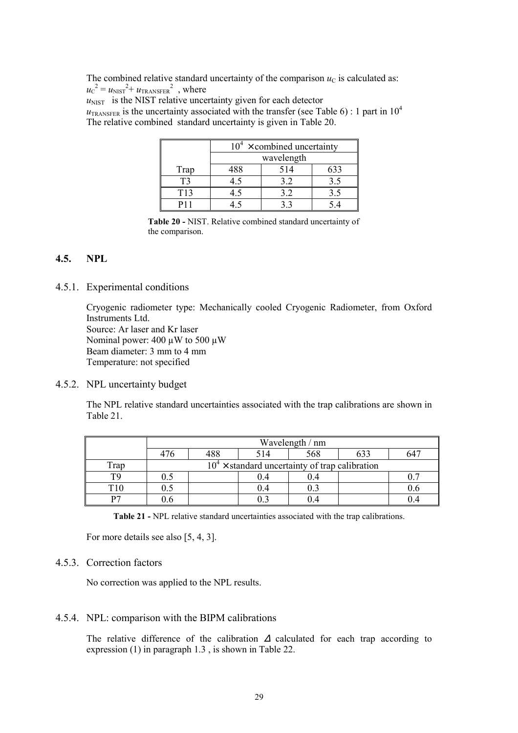The combined relative standard uncertainty of the comparison  $u<sub>C</sub>$  is calculated as:  $u_{\rm C}^{2} = u_{\rm NIST}^{2} + u_{\rm TRANSFER}^{2}$ , where

 $u<sub>NIST</sub>$  is the NIST relative uncertainty given for each detector  $u_{\text{TRANSFER}}$  is the uncertainty associated with the transfer (see Table 6) : 1 part in 10<sup>4</sup> The relative combined standard uncertainty is given in Table 20.

|                 | $10^4 \times$ combined uncertainty |  |     |  |  |
|-----------------|------------------------------------|--|-----|--|--|
|                 | wavelength                         |  |     |  |  |
| Trap            | 514<br>488<br>633                  |  |     |  |  |
| T3              | ר. ⊦                               |  |     |  |  |
| T <sub>13</sub> | 1.5                                |  | 3.5 |  |  |
|                 |                                    |  |     |  |  |

**Table 20 -** NIST. Relative combined standard uncertainty of the comparison.

# **4.5. NPL**

4.5.1. Experimental conditions

Cryogenic radiometer type: Mechanically cooled Cryogenic Radiometer, from Oxford Instruments Ltd. Source: Ar laser and Kr laser Nominal power: 400 µW to 500 µW Beam diameter: 3 mm to 4 mm Temperature: not specified

4.5.2. NPL uncertainty budget

The NPL relative standard uncertainties associated with the trap calibrations are shown in Table 21.

|                 | Wavelength / nm |                                                  |     |      |  |     |  |
|-----------------|-----------------|--------------------------------------------------|-----|------|--|-----|--|
|                 |                 | 488                                              | 514 | 568  |  |     |  |
| Trap            |                 | $104$ x standard uncertainty of trap calibration |     |      |  |     |  |
| T9              | 0.5             |                                                  | 0.4 | 0.4  |  |     |  |
| T <sub>10</sub> |                 |                                                  | 0.4 | 0.3  |  | U.6 |  |
| D7              | 1.6             |                                                  |     | I).4 |  |     |  |

**Table 21 -** NPL relative standard uncertainties associated with the trap calibrations.

For more details see also [5, 4, 3].

# 4.5.3. Correction factors

No correction was applied to the NPL results.

#### 4.5.4. NPL: comparison with the BIPM calibrations

The relative difference of the calibration ∆ calculated for each trap according to expression (1) in paragraph 1.3 , is shown in Table 22.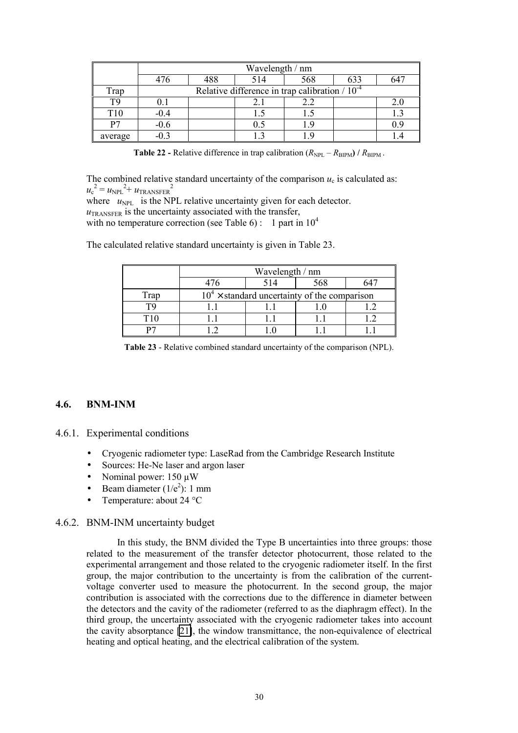|         | Wavelength / nm |     |     |                                                     |     |     |
|---------|-----------------|-----|-----|-----------------------------------------------------|-----|-----|
|         | 476             | 488 | 514 | 568                                                 | 633 | 54′ |
| Trap    |                 |     |     | Relative difference in trap calibration $/ 10^{-4}$ |     |     |
| TQ      | $\rm 0.1$       |     | 2.1 | 2.2                                                 |     | 2.0 |
| T10     | $-0.4$          |     | L.  |                                                     |     | 1.3 |
| P7      | $-0.6$          |     | 0.5 | 19                                                  |     | 9.9 |
| average | -03             |     |     | - Q                                                 |     |     |

**Table 22 -** Relative difference in trap calibration  $(R_{\text{NPL}} - R_{\text{BIPM}}) / R_{\text{BIPM}}$ .

The combined relative standard uncertainty of the comparison  $u_c$  is calculated as:  $u_{\rm c}^{\ 2}$  =  $u_{\rm NPL}^{\ 2+}$   $u_{\rm TRANSFER}^{\ 2}$ where  $u_{\text{NPL}}$  is the NPL relative uncertainty given for each detector.  $u_{\text{TRANSEER}}$  is the uncertainty associated with the transfer,

with no temperature correction (see Table 6): 1 part in  $10^4$ 

The calculated relative standard uncertainty is given in Table 23.

|             | Wavelength / nm                                |  |  |  |  |  |
|-------------|------------------------------------------------|--|--|--|--|--|
|             | 568<br>514                                     |  |  |  |  |  |
| <b>Trap</b> | $104$ × standard uncertainty of the comparison |  |  |  |  |  |
|             |                                                |  |  |  |  |  |
|             |                                                |  |  |  |  |  |
|             |                                                |  |  |  |  |  |

**Table 23** - Relative combined standard uncertainty of the comparison (NPL).

# **4.6. BNM-INM**

- 4.6.1. Experimental conditions
	- Cryogenic radiometer type: LaseRad from the Cambridge Research Institute
	- Sources: He-Ne laser and argon laser
	- Nominal power: 150 µW
	- Beam diameter  $(1/e^2)$ : 1 mm
	- Temperature: about 24 °C

#### 4.6.2. BNM-INM uncertainty budget

In this study, the BNM divided the Type B uncertainties into three groups: those related to the measurement of the transfer detector photocurrent, those related to the experimental arrangement and those related to the cryogenic radiometer itself. In the first group, the major contribution to the uncertainty is from the calibration of the currentvoltage converter used to measure the photocurrent. In the second group, the major contribution is associated with the corrections due to the difference in diameter between the detectors and the cavity of the radiometer (referred to as the diaphragm effect). In the third group, the uncertainty associated with the cryogenic radiometer takes into account the cavity absorptance [\[21\]](#page-68-0), the window transmittance, the non-equivalence of electrical heating and optical heating, and the electrical calibration of the system.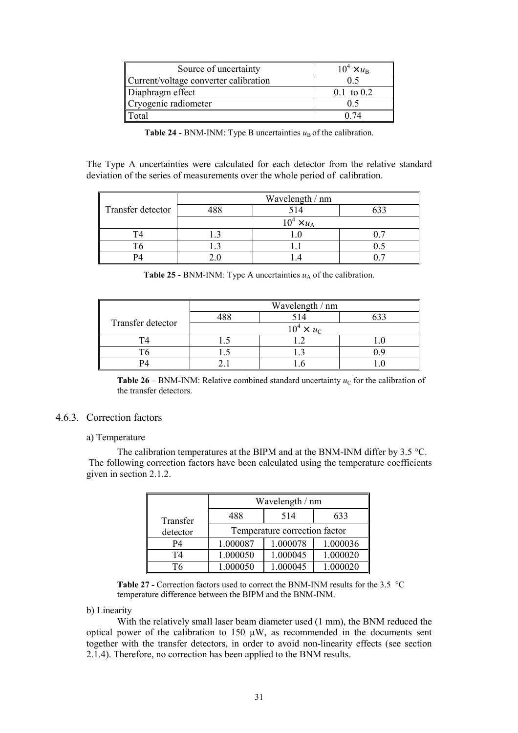| Source of uncertainty                 | $10^4 \times u_{\rm B}$ |
|---------------------------------------|-------------------------|
| Current/voltage converter calibration |                         |
| Diaphragm effect                      | $0.1 \text{ to } 0.2$   |
| Cryogenic radiometer                  |                         |
| Total                                 |                         |

| <b>Table 24 - BNM-INM:</b> Type B uncertainties $uB$ of the calibration. |  |  |  |  |
|--------------------------------------------------------------------------|--|--|--|--|
|--------------------------------------------------------------------------|--|--|--|--|

The Type A uncertainties were calculated for each detector from the relative standard deviation of the series of measurements over the whole period of calibration.

|                   | Wavelength / nm   |     |  |  |  |
|-------------------|-------------------|-----|--|--|--|
| Transfer detector | 10 C              | 514 |  |  |  |
|                   | $10^4 \times u_A$ |     |  |  |  |
|                   |                   |     |  |  |  |
|                   |                   |     |  |  |  |
|                   |                   |     |  |  |  |

| <b>Table 25 - BNM-INM:</b> Type A uncertainties $u_A$ of the calibration. |  |
|---------------------------------------------------------------------------|--|
|---------------------------------------------------------------------------|--|

|                   | Wavelength / nm   |    |  |  |  |
|-------------------|-------------------|----|--|--|--|
| Transfer detector |                   | 14 |  |  |  |
|                   | $10^4 \times u_C$ |    |  |  |  |
|                   |                   |    |  |  |  |
|                   |                   |    |  |  |  |
|                   |                   |    |  |  |  |

**Table 26** – BNM-INM: Relative combined standard uncertainty  $u<sub>C</sub>$  for the calibration of the transfer detectors.

# 4.6.3. Correction factors

#### a) Temperature

The calibration temperatures at the BIPM and at the BNM-INM differ by 3.5 °C. The following correction factors have been calculated using the temperature coefficients given in section 2.1.2.

|           | Wavelength / nm               |          |          |  |  |  |
|-----------|-------------------------------|----------|----------|--|--|--|
| Transfer  | 488                           | 514      | 633      |  |  |  |
| detector  | Temperature correction factor |          |          |  |  |  |
| <b>P4</b> | 1.000087                      | 1.000078 | 1.000036 |  |  |  |
| T4        | 1.000050                      | 1.000045 | 1.000020 |  |  |  |
| T6        | 1.000050                      | 1.000045 | 1.000020 |  |  |  |

Table 27 - Correction factors used to correct the BNM-INM results for the 3.5 °C temperature difference between the BIPM and the BNM-INM.

#### b) Linearity

With the relatively small laser beam diameter used (1 mm), the BNM reduced the optical power of the calibration to  $150 \mu W$ , as recommended in the documents sent together with the transfer detectors, in order to avoid non-linearity effects (see section 2.1.4). Therefore, no correction has been applied to the BNM results.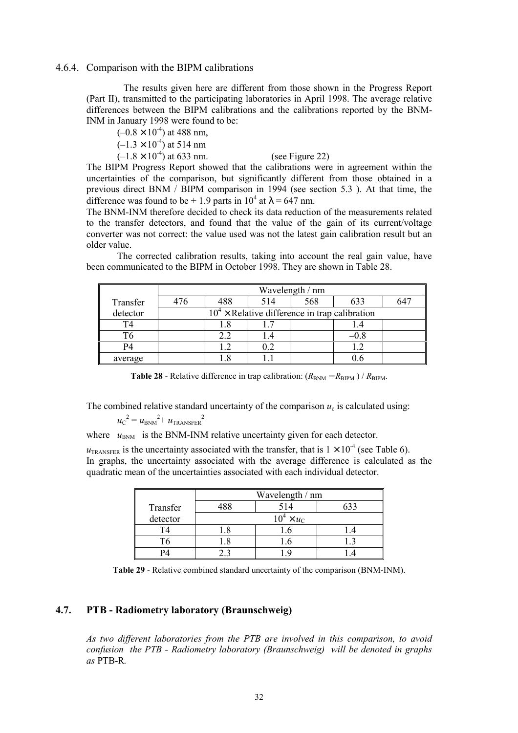#### 4.6.4. Comparison with the BIPM calibrations

The results given here are different from those shown in the Progress Report (Part II), transmitted to the participating laboratories in April 1998. The average relative differences between the BIPM calibrations and the calibrations reported by the BNM-INM in January 1998 were found to be:

$$
(-0.8 \times 10^4)
$$
 at 488 nm,  
\n $(-1.3 \times 10^4)$  at 514 nm  
\n $(-1.8 \times 10^4)$  at 633 nm. (see Figure 22)

The BIPM Progress Report showed that the calibrations were in agreement within the uncertainties of the comparison, but significantly different from those obtained in a previous direct BNM / BIPM comparison in 1994 (see section 5.3 ). At that time, the difference was found to be + 1.9 parts in  $10^4$  at  $\lambda$  = 647 nm.

The BNM-INM therefore decided to check its data reduction of the measurements related to the transfer detectors, and found that the value of the gain of its current/voltage converter was not correct: the value used was not the latest gain calibration result but an older value.

The corrected calibration results, taking into account the real gain value, have been communicated to the BIPM in October 1998. They are shown in Table 28.

|                | Wavelength / nm |                                                 |     |     |        |     |  |
|----------------|-----------------|-------------------------------------------------|-----|-----|--------|-----|--|
| Transfer       | 476             | 488                                             | 514 | 568 | 633    | 647 |  |
| detector       |                 | $104$ × Relative difference in trap calibration |     |     |        |     |  |
| T4             |                 | 1.8                                             |     |     |        |     |  |
| T <sub>6</sub> |                 | 2.2                                             | 1.4 |     | $-0.8$ |     |  |
| P4             |                 |                                                 | 0.2 |     |        |     |  |
| average        |                 |                                                 |     |     |        |     |  |

**Table 28** - Relative difference in trap calibration:  $(R_{BNM} - R_{BIPM}) / R_{BIPM}$ .

The combined relative standard uncertainty of the comparison  $u_c$  is calculated using:

$$
u_{\rm C}^2 = u_{\rm BNM}^2 + u_{\rm TRANSFER}^2
$$

where  $u_{\text{BNM}}$  is the BNM-INM relative uncertainty given for each detector.

 $u_{\text{TRANSFER}}$  is the uncertainty associated with the transfer, that is  $1 \times 10^{-4}$  (see Table 6). In graphs, the uncertainty associated with the average difference is calculated as the quadratic mean of the uncertainties associated with each individual detector.

|          | Wavelength / nm   |     |  |  |  |
|----------|-------------------|-----|--|--|--|
| Transfer |                   | 514 |  |  |  |
| detector | $10^4 \times u_C$ |     |  |  |  |
|          |                   |     |  |  |  |
|          |                   |     |  |  |  |
|          |                   |     |  |  |  |

**Table 29** - Relative combined standard uncertainty of the comparison (BNM-INM).

# **4.7. PTB - Radiometry laboratory (Braunschweig)**

*As two different laboratories from the PTB are involved in this comparison, to avoid confusion the PTB - Radiometry laboratory (Braunschweig) will be denoted in graphs as* PTB-R*.*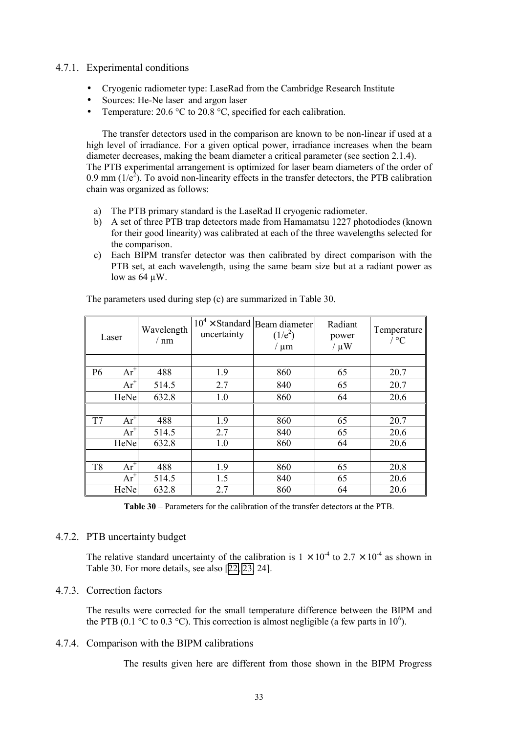# 4.7.1. Experimental conditions

- Cryogenic radiometer type: LaseRad from the Cambridge Research Institute
- Sources: He-Ne laser and argon laser
- Temperature:  $20.6 \degree C$  to  $20.8 \degree C$ , specified for each calibration.

The transfer detectors used in the comparison are known to be non-linear if used at a high level of irradiance. For a given optical power, irradiance increases when the beam diameter decreases, making the beam diameter a critical parameter (see section 2.1.4). The PTB experimental arrangement is optimized for laser beam diameters of the order of 0.9 mm ( $1/e<sup>2</sup>$ ). To avoid non-linearity effects in the transfer detectors, the PTB calibration chain was organized as follows:

- a) The PTB primary standard is the LaseRad II cryogenic radiometer.
- b) A set of three PTB trap detectors made from Hamamatsu 1227 photodiodes (known for their good linearity) was calibrated at each of the three wavelengths selected for the comparison.
- c) Each BIPM transfer detector was then calibrated by direct comparison with the PTB set, at each wavelength, using the same beam size but at a radiant power as low as  $64 \mu W$ .

|                | Laser    | Wavelength<br>/ nm | uncertainty | $10^4 \times$ Standard Beam diameter<br>$(1/e^2)$<br>/ $\mu$ m | Radiant<br>power<br>$/\mu W$ | Temperature<br>$/$ °C |
|----------------|----------|--------------------|-------------|----------------------------------------------------------------|------------------------------|-----------------------|
|                |          |                    |             |                                                                |                              |                       |
| P <sub>6</sub> | $Ar^{+}$ | 488                | 1.9         | 860                                                            | 65                           | 20.7                  |
|                | $Ar^{+}$ | 514.5              | 2.7         | 840                                                            | 65                           | 20.7                  |
|                | HeNe     | 632.8              | 1.0         | 860                                                            | 64                           | 20.6                  |
|                |          |                    |             |                                                                |                              |                       |
| T7             | $Ar^{+}$ | 488                | 1.9         | 860                                                            | 65                           | 20.7                  |
|                | $Ar^{+}$ | 514.5              | 2.7         | 840                                                            | 65                           | 20.6                  |
|                | HeNe     | 632.8              | 1.0         | 860                                                            | 64                           | 20.6                  |
|                |          |                    |             |                                                                |                              |                       |
| T <sub>8</sub> | $Ar^{+}$ | 488                | 1.9         | 860                                                            | 65                           | 20.8                  |
|                | $Ar^{+}$ | 514.5              | 1.5         | 840                                                            | 65                           | 20.6                  |
|                | HeNe     | 632.8              | 2.7         | 860                                                            | 64                           | 20.6                  |

The parameters used during step (c) are summarized in Table 30.

**Table 30** – Parameters for the calibration of the transfer detectors at the PTB.

# 4.7.2. PTB uncertainty budget

The relative standard uncertainty of the calibration is  $1 \times 10^{-4}$  to  $2.7 \times 10^{-4}$  as shown in Table 30. For more details, see also [\[22, 23,](#page-68-0) 24].

# 4.7.3. Correction factors

The results were corrected for the small temperature difference between the BIPM and the PTB (0.1 °C to 0.3 °C). This correction is almost negligible (a few parts in 10<sup>6</sup>).

# 4.7.4. Comparison with the BIPM calibrations

The results given here are different from those shown in the BIPM Progress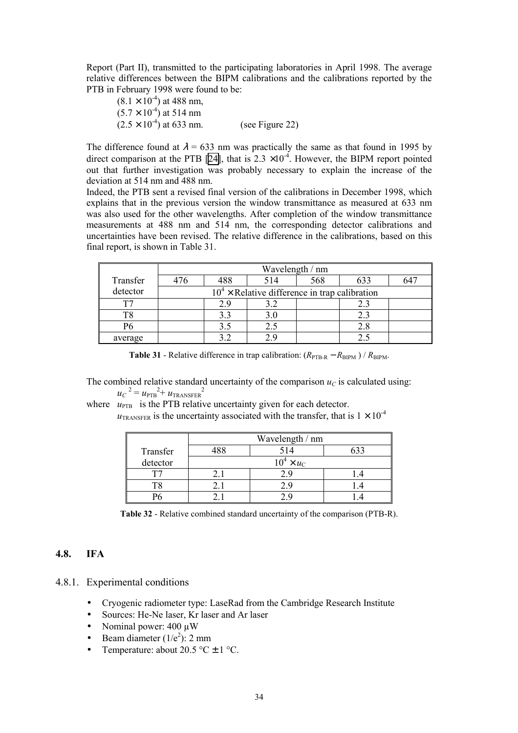Report (Part II), transmitted to the participating laboratories in April 1998. The average relative differences between the BIPM calibrations and the calibrations reported by the PTB in February 1998 were found to be:

 $(8.1 \times 10^{-4})$  at 488 nm,  $(5.7 \times 10^{-4})$  at 514 nm  $(2.5 \times 10^{-4})$  at 633 nm. (see Figure 22)

The difference found at  $\lambda = 633$  nm was practically the same as that found in 1995 by direct comparison at the PTB [\[24\]](#page-68-0), that is  $2.3 \times 10^{-4}$ . However, the BIPM report pointed out that further investigation was probably necessary to explain the increase of the deviation at 514 nm and 488 nm.

Indeed, the PTB sent a revised final version of the calibrations in December 1998, which explains that in the previous version the window transmittance as measured at 633 nm was also used for the other wavelengths. After completion of the window transmittance measurements at 488 nm and 514 nm, the corresponding detector calibrations and uncertainties have been revised. The relative difference in the calibrations, based on this final report, is shown in Table 31.

|          | Wavelength / nm |                                                 |     |     |     |     |  |  |  |
|----------|-----------------|-------------------------------------------------|-----|-----|-----|-----|--|--|--|
| Transfer | 476             | 488                                             | 514 | 568 | 633 | 647 |  |  |  |
| detector |                 | $104$ × Relative difference in trap calibration |     |     |     |     |  |  |  |
|          |                 | 2.9                                             | 3.2 |     |     |     |  |  |  |
| T8       |                 | 3.3                                             | 3.0 |     | 23  |     |  |  |  |
| Р6       |                 | 3.5                                             | 2.5 |     |     |     |  |  |  |
| average  |                 | 32                                              |     |     |     |     |  |  |  |

**Table 31** - Relative difference in trap calibration:  $(R_{\text{PTB-R}} - R_{\text{BIPM}}) / R_{\text{BIPM}}$ .

The combined relative standard uncertainty of the comparison  $u<sub>C</sub>$  is calculated using:  $u_C^2 = u_{\text{PTB}}^2 + u_{\text{TRANSFER}}^2$ 

where  $u_{\text{PTB}}$  is the PTB relative uncertainty given for each detector.

 $u_{\text{TRANSEER}}$  is the uncertainty associated with the transfer, that is  $1 \times 10^{-4}$ 

|          | Wavelength / nm |                   |  |  |  |  |  |
|----------|-----------------|-------------------|--|--|--|--|--|
| Transfer |                 |                   |  |  |  |  |  |
| detector |                 | $10^4 \times u_C$ |  |  |  |  |  |
|          |                 |                   |  |  |  |  |  |
|          |                 |                   |  |  |  |  |  |
|          |                 |                   |  |  |  |  |  |

**Table 32** - Relative combined standard uncertainty of the comparison (PTB-R).

# **4.8. IFA**

- 4.8.1. Experimental conditions
	- Cryogenic radiometer type: LaseRad from the Cambridge Research Institute
	- Sources: He-Ne laser, Kr laser and Ar laser
	- Nominal power:  $400 \mu W$
	- Beam diameter  $(1/e^2)$ : 2 mm
	- Temperature: about  $20.5 \degree C \pm 1 \degree C$ .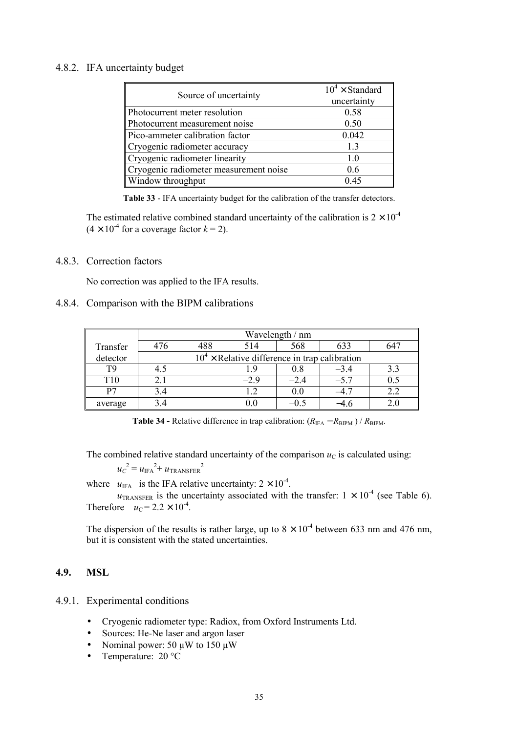# 4.8.2. IFA uncertainty budget

| Source of uncertainty                  | $10^4 \times$ Standard<br>uncertainty |
|----------------------------------------|---------------------------------------|
| Photocurrent meter resolution          | 0.58                                  |
| Photocurrent measurement noise         | 0.50                                  |
| Pico-ammeter calibration factor        | 0.042                                 |
| Cryogenic radiometer accuracy          | 13                                    |
| Cryogenic radiometer linearity         | 1.0                                   |
| Cryogenic radiometer measurement noise | 0.6                                   |
| Window throughput                      | 0.45                                  |

**Table 33** - IFA uncertainty budget for the calibration of the transfer detectors.

The estimated relative combined standard uncertainty of the calibration is  $2 \times 10^{-4}$  $(4 \times 10^{-4}$  for a coverage factor  $k = 2$ ).

# 4.8.3. Correction factors

No correction was applied to the IFA results.

# 4.8.4. Comparison with the BIPM calibrations

|                 | Wavelength / nm |                                                 |       |        |        |     |  |  |  |  |
|-----------------|-----------------|-------------------------------------------------|-------|--------|--------|-----|--|--|--|--|
| Transfer        | 476             | 488                                             | 514   | 568    | 633    | 641 |  |  |  |  |
| detector        |                 | $104$ × Relative difference in trap calibration |       |        |        |     |  |  |  |  |
| T9              | 4.5             |                                                 |       | 0.8    | $-3.4$ |     |  |  |  |  |
| T <sub>10</sub> | 2.1             |                                                 | $-29$ | $-2.4$ | $-5.7$ |     |  |  |  |  |
| P7              | 3.4             |                                                 |       | 0.0    | $-4.7$ |     |  |  |  |  |
| average         | 34              |                                                 |       |        |        |     |  |  |  |  |

**Table 34 -** Relative difference in trap calibration:  $(R_{\text{IFA}} - R_{\text{BIPM}}) / R_{\text{BIPM}}$ .

The combined relative standard uncertainty of the comparison  $u<sub>C</sub>$  is calculated using:

 $u_C^2 = u_{\text{IFA}}^2 + u_{\text{TRANSFER}}^2$ 

where  $u_{\text{IFA}}$  is the IFA relative uncertainty:  $2 \times 10^{-4}$ .

 $u_{\text{TRANSFER}}$  is the uncertainty associated with the transfer:  $1 \times 10^{-4}$  (see Table 6). Therefore  $u_C = 2.2 \times 10^{-4}$ .

The dispersion of the results is rather large, up to  $8 \times 10^{-4}$  between 633 nm and 476 nm. but it is consistent with the stated uncertainties.

# **4.9. MSL**

- 4.9.1. Experimental conditions
	- Cryogenic radiometer type: Radiox, from Oxford Instruments Ltd.
	- Sources: He-Ne laser and argon laser
	- Nominal power: 50  $\mu$ W to 150  $\mu$ W
	- Temperature: 20 °C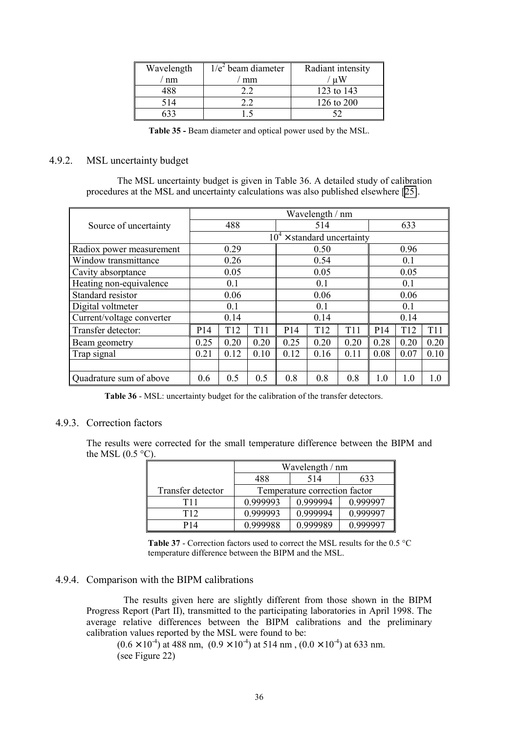| Wavelength | $1/e2$ beam diameter | Radiant intensity |
|------------|----------------------|-------------------|
| nm         | mm                   | цW                |
| 188        |                      | 123 to 143        |
| 514        |                      | 126 to 200        |
|            |                      |                   |

**Table 35 -** Beam diameter and optical power used by the MSL.

# 4.9.2. MSL uncertainty budget

The MSL uncertainty budget is given in Table 36. A detailed study of calibration procedures at the MSL and uncertainty calculations was also published elsewhere [\[25\]](#page-68-0).

|                           | Wavelength / nm      |                                    |      |                 |                 |                 |                 |                 |      |  |
|---------------------------|----------------------|------------------------------------|------|-----------------|-----------------|-----------------|-----------------|-----------------|------|--|
| Source of uncertainty     | 488                  |                                    |      | 514             |                 |                 | 633             |                 |      |  |
|                           |                      | $10^4 \times$ standard uncertainty |      |                 |                 |                 |                 |                 |      |  |
| Radiox power measurement  |                      | 0.29                               |      |                 | 0.50            |                 |                 | 0.96            |      |  |
| Window transmittance      |                      | 0.26                               |      |                 | 0.54            |                 |                 | 0.1             |      |  |
| Cavity absorptance        |                      | 0.05                               |      |                 | 0.05            |                 | 0.05            |                 |      |  |
| Heating non-equivalence   | 0.1                  |                                    |      | 0.1             |                 |                 | 0.1             |                 |      |  |
| Standard resistor         |                      | 0.06                               |      | 0.06            |                 |                 | 0.06            |                 |      |  |
| Digital voltmeter         |                      | 0.1                                |      | 0.1             |                 |                 | 0.1             |                 |      |  |
| Current/voltage converter |                      | 0.14                               |      | 0.14            |                 | 0.14            |                 |                 |      |  |
| Transfer detector:        | P14                  | T <sub>12</sub>                    | T11  | P <sub>14</sub> | T <sub>12</sub> | T <sub>11</sub> | P <sub>14</sub> | T <sub>12</sub> | T11  |  |
| Beam geometry             | 0.25                 | 0.20                               | 0.20 | 0.25            | 0.20            | 0.20            | 0.28            | 0.20            | 0.20 |  |
| Trap signal               | 0.21<br>0.12<br>0.10 |                                    | 0.12 | 0.16            | 0.11            | 0.08            | 0.07            | 0.10            |      |  |
|                           |                      |                                    |      |                 |                 |                 |                 |                 |      |  |
| Quadrature sum of above   | 0.6                  | 0.5                                | 0.5  | 0.8             | 0.8             | 0.8             | 1.0             | 1.0             | 1.0  |  |

**Table 36** - MSL: uncertainty budget for the calibration of the transfer detectors.

# 4.9.3. Correction factors

The results were corrected for the small temperature difference between the BIPM and the MSL  $(0.5 \degree C)$ .

|                   | Wavelength / nm               |          |          |  |  |  |  |
|-------------------|-------------------------------|----------|----------|--|--|--|--|
|                   | 514<br>488<br>633             |          |          |  |  |  |  |
| Transfer detector | Temperature correction factor |          |          |  |  |  |  |
| T11               | 0.999993                      | 0.999994 | 0.999997 |  |  |  |  |
| T <sub>12</sub>   | 0.999993                      | 0.999994 | 0.999997 |  |  |  |  |
| P <sub>14</sub>   | 0.999988                      | 0.999989 | 0.999997 |  |  |  |  |

**Table 37** - Correction factors used to correct the MSL results for the 0.5 °C temperature difference between the BIPM and the MSL.

# 4.9.4. Comparison with the BIPM calibrations

The results given here are slightly different from those shown in the BIPM Progress Report (Part II), transmitted to the participating laboratories in April 1998. The average relative differences between the BIPM calibrations and the preliminary calibration values reported by the MSL were found to be:

 $(0.6 \times 10^{-4})$  at 488 nm,  $(0.9 \times 10^{-4})$  at 514 nm,  $(0.0 \times 10^{-4})$  at 633 nm. (see Figure 22)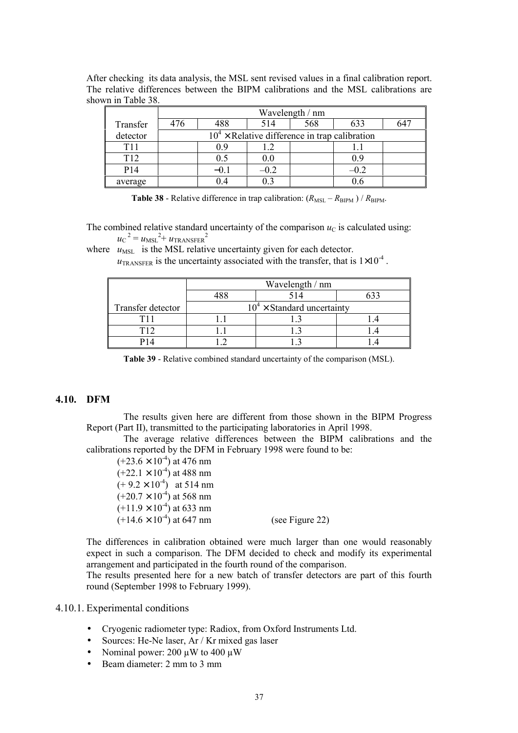|                    | After checking its data analysis, the MSL sent revised values in a final calibration report. |  |  |  |
|--------------------|----------------------------------------------------------------------------------------------|--|--|--|
|                    | The relative differences between the BIPM calibrations and the MSL calibrations are          |  |  |  |
| shown in Table 38. |                                                                                              |  |  |  |

|                 | Wavelength / nm |                                                 |         |     |        |     |  |  |  |
|-----------------|-----------------|-------------------------------------------------|---------|-----|--------|-----|--|--|--|
| Transfer        | 476             | 488                                             | 514     | 568 | 633    | 647 |  |  |  |
| detector        |                 | $104$ × Relative difference in trap calibration |         |     |        |     |  |  |  |
| T <sub>11</sub> |                 | 09                                              | 19      |     |        |     |  |  |  |
| T <sub>12</sub> |                 | 0.5                                             | $0.0\,$ |     | 0.9    |     |  |  |  |
| P <sub>14</sub> |                 | $-0.1$                                          | $-0.2$  |     | $-0.2$ |     |  |  |  |
| average         |                 |                                                 |         |     |        |     |  |  |  |

**Table 38** - Relative difference in trap calibration:  $(R_{\text{MSL}} - R_{\text{BIPM}}) / R_{\text{BIPM}}$ .

The combined relative standard uncertainty of the comparison  $u<sub>C</sub>$  is calculated using:  $u_{\rm C}^{2} = u_{\rm MSL}^{2} + u_{\rm TRANSFER}^{2}$ 

where  $u_{\text{MSL}}$  is the MSL relative uncertainty given for each detector.

 $u_{\text{TRANSFER}}$  is the uncertainty associated with the transfer, that is  $1\times10^{-4}$ .

|                   | Wavelength / nm |                                    |  |  |  |  |  |  |  |
|-------------------|-----------------|------------------------------------|--|--|--|--|--|--|--|
|                   |                 | 514                                |  |  |  |  |  |  |  |
| Transfer detector |                 | $10^4 \times$ Standard uncertainty |  |  |  |  |  |  |  |
|                   |                 |                                    |  |  |  |  |  |  |  |
| T12               |                 |                                    |  |  |  |  |  |  |  |
|                   |                 |                                    |  |  |  |  |  |  |  |

**Table 39** - Relative combined standard uncertainty of the comparison (MSL).

# **4.10. DFM**

The results given here are different from those shown in the BIPM Progress Report (Part II), transmitted to the participating laboratories in April 1998.

The average relative differences between the BIPM calibrations and the calibrations reported by the DFM in February 1998 were found to be:

 $(+23.6 \times 10^{-4})$  at 476 nm  $(+22.1 \times 10^{-4})$  at 488 nm  $(+ 9.2 \times 10^{-4})$  at 514 nm  $(+20.7 \times 10^{-4})$  at 568 nm  $(+11.9 \times 10^{-4})$  at 633 nm  $(+14.6 \times 10^{-4})$  at 647 nm (see Figure 22)

The differences in calibration obtained were much larger than one would reasonably expect in such a comparison. The DFM decided to check and modify its experimental arrangement and participated in the fourth round of the comparison.

The results presented here for a new batch of transfer detectors are part of this fourth round (September 1998 to February 1999).

#### 4.10.1. Experimental conditions

- Cryogenic radiometer type: Radiox, from Oxford Instruments Ltd.
- Sources: He-Ne laser, Ar / Kr mixed gas laser
- Nominal power: 200  $\mu$ W to 400  $\mu$ W
- Beam diameter: 2 mm to 3 mm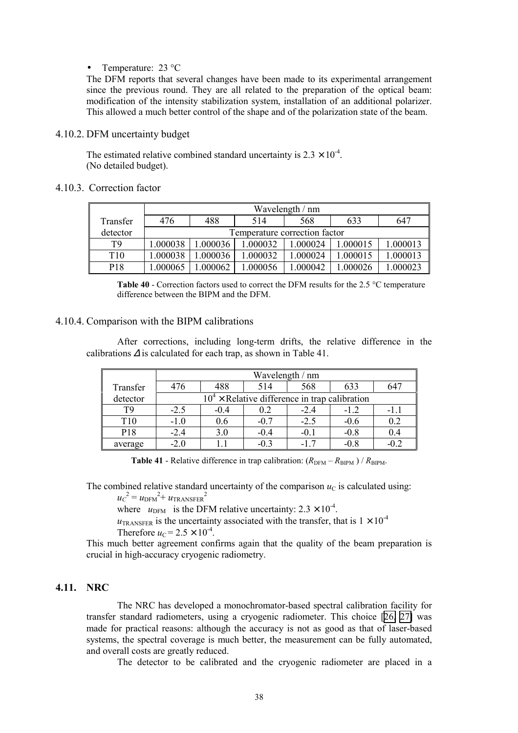Temperature: 23 °C

The DFM reports that several changes have been made to its experimental arrangement since the previous round. They are all related to the preparation of the optical beam: modification of the intensity stabilization system, installation of an additional polarizer. This allowed a much better control of the shape and of the polarization state of the beam.

#### 4.10.2. DFM uncertainty budget

The estimated relative combined standard uncertainty is  $2.3 \times 10^{-4}$ . (No detailed budget).

# 4.10.3. Correction factor

|          | Wavelength / nm |                               |          |          |         |          |  |  |  |  |
|----------|-----------------|-------------------------------|----------|----------|---------|----------|--|--|--|--|
| Transfer | 476             | 488                           | 514      | 568      | 633     | 647      |  |  |  |  |
| detector |                 | Temperature correction factor |          |          |         |          |  |  |  |  |
| T9       | .000038         | .000036                       | 1.000032 | .000024  | .000015 | 1.000013 |  |  |  |  |
| T10      | .000038         | .000036                       | 1.000032 | 1.000024 | .000015 | 1.000013 |  |  |  |  |
| P18      | .000065         | 000062                        | .000056  | .000042  | .000026 | .000023  |  |  |  |  |

**Table 40** - Correction factors used to correct the DFM results for the 2.5 °C temperature difference between the BIPM and the DFM.

#### 4.10.4. Comparison with the BIPM calibrations

After corrections, including long-term drifts, the relative difference in the calibrations  $\Delta$  is calculated for each trap, as shown in Table 41.

|          | Wavelength / nm |        |                                                 |        |        |        |  |  |  |
|----------|-----------------|--------|-------------------------------------------------|--------|--------|--------|--|--|--|
| Transfer | 476             | 488    | 514                                             | 568    | 633    | 647    |  |  |  |
| detector |                 |        | $104$ × Relative difference in trap calibration |        |        |        |  |  |  |
| T9       | $-2.5$          | $-0.4$ | 0.2                                             | $-2.4$ | $-1.2$ | -1.1   |  |  |  |
| T10      | $-1.0$          | 0.6    | $-0.7$                                          | $-2.5$ | $-0.6$ | 0.2    |  |  |  |
| P18      | $-2.4$          | 3.0    | $-0.4$                                          | $-0.1$ | $-0.8$ | 0.4    |  |  |  |
| average  | $-2.0$          |        | $-0.3$                                          |        | $-0.8$ | $-0.2$ |  |  |  |

**Table 41** - Relative difference in trap calibration:  $(R_{\text{DFM}} - R_{\text{BIPM}}) / R_{\text{BIPM}}$ .

The combined relative standard uncertainty of the comparison  $u<sub>C</sub>$  is calculated using:

# $u_C^2 = u_{\rm DFM}^2 + u_{\rm TRANSFER}^2$

where  $u_{\text{DFM}}$  is the DFM relative uncertainty:  $2.3 \times 10^{-4}$ .

 $u_{\text{TRANSFER}}$  is the uncertainty associated with the transfer, that is  $1 \times 10^{-4}$ Therefore  $u_C = 2.5 \times 10^{-4}$ .

This much better agreement confirms again that the quality of the beam preparation is crucial in high-accuracy cryogenic radiometry.

# **4.11. NRC**

The NRC has developed a monochromator-based spectral calibration facility for transfer standard radiometers, using a cryogenic radiometer. This choice [\[26,](#page-68-0) [27\]](#page-68-0) was made for practical reasons: although the accuracy is not as good as that of laser-based systems, the spectral coverage is much better, the measurement can be fully automated, and overall costs are greatly reduced.

The detector to be calibrated and the cryogenic radiometer are placed in a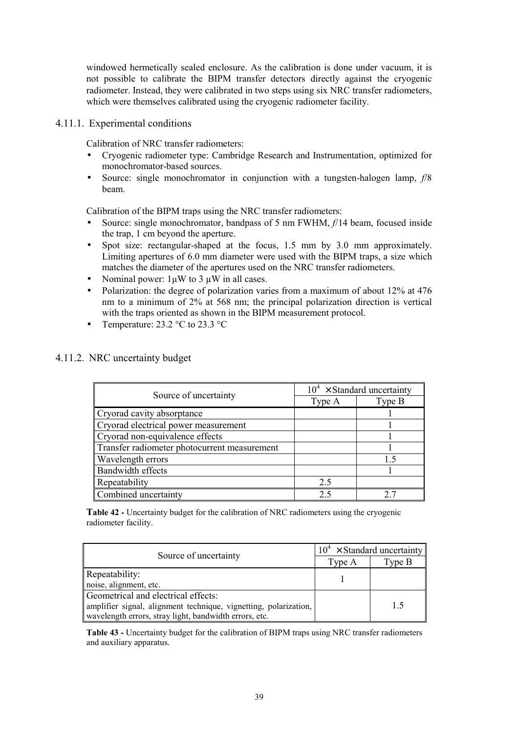windowed hermetically sealed enclosure. As the calibration is done under vacuum, it is not possible to calibrate the BIPM transfer detectors directly against the cryogenic radiometer. Instead, they were calibrated in two steps using six NRC transfer radiometers, which were themselves calibrated using the cryogenic radiometer facility.

4.11.1. Experimental conditions

Calibration of NRC transfer radiometers:

- Cryogenic radiometer type: Cambridge Research and Instrumentation, optimized for monochromator-based sources.
- Source: single monochromator in conjunction with a tungsten-halogen lamp, *f*/8 beam.

Calibration of the BIPM traps using the NRC transfer radiometers:

- Source: single monochromator, bandpass of 5 nm FWHM, *f*/14 beam, focused inside the trap, 1 cm beyond the aperture.
- Spot size: rectangular-shaped at the focus, 1.5 mm by 3.0 mm approximately. Limiting apertures of 6.0 mm diameter were used with the BIPM traps, a size which matches the diameter of the apertures used on the NRC transfer radiometers.
- Nominal power:  $1\mu W$  to 3  $\mu W$  in all cases.
- Polarization: the degree of polarization varies from a maximum of about 12% at 476 nm to a minimum of 2% at 568 nm; the principal polarization direction is vertical with the traps oriented as shown in the BIPM measurement protocol.
- Temperature:  $23.2 \text{ °C}$  to  $23.3 \text{ °C}$

| 4.11.2. NRC uncertainty budget |  |  |  |  |
|--------------------------------|--|--|--|--|
|--------------------------------|--|--|--|--|

|                                              |        | $10^4 \times$ Standard uncertainty |  |  |
|----------------------------------------------|--------|------------------------------------|--|--|
| Source of uncertainty                        | Type A | Type B                             |  |  |
| Cryorad cavity absorptance                   |        |                                    |  |  |
| Cryorad electrical power measurement         |        |                                    |  |  |
| Cryorad non-equivalence effects              |        |                                    |  |  |
| Transfer radiometer photocurrent measurement |        |                                    |  |  |
| Wavelength errors                            |        |                                    |  |  |
| Bandwidth effects                            |        |                                    |  |  |
| Repeatability                                | 2.5    |                                    |  |  |
| Combined uncertainty                         | 75     |                                    |  |  |

**Table 42 -** Uncertainty budget for the calibration of NRC radiometers using the cryogenic radiometer facility.

| Source of uncertainty                                            | $10^4 \times$ Standard uncertainty |        |  |
|------------------------------------------------------------------|------------------------------------|--------|--|
|                                                                  | Type A                             | Type B |  |
| Repeatability:                                                   |                                    |        |  |
| noise, alignment, etc.                                           |                                    |        |  |
| Geometrical and electrical effects:                              |                                    |        |  |
| amplifier signal, alignment technique, vignetting, polarization, |                                    | 15     |  |
| wavelength errors, stray light, bandwidth errors, etc.           |                                    |        |  |

**Table 43 -** Uncertainty budget for the calibration of BIPM traps using NRC transfer radiometers and auxiliary apparatus.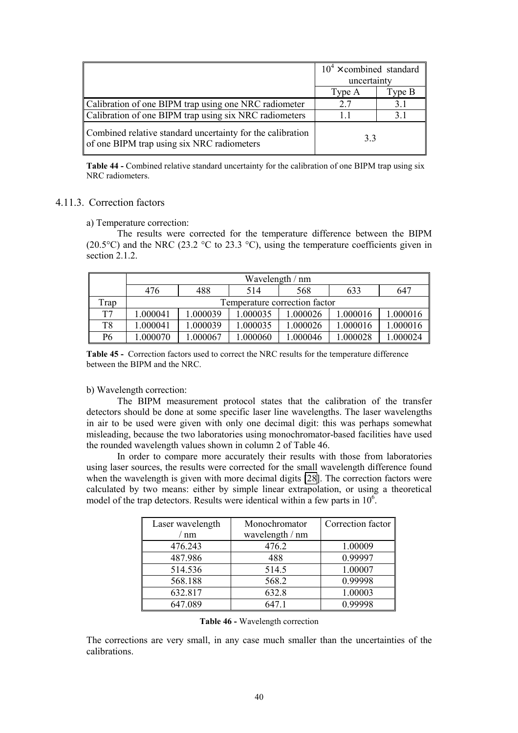|                                                                                                          | $10^4 \times$ combined standard<br>uncertainty |          |
|----------------------------------------------------------------------------------------------------------|------------------------------------------------|----------|
|                                                                                                          | Type A                                         | Type $B$ |
| Calibration of one BIPM trap using one NRC radiometer                                                    | 27                                             | 3.1      |
| Calibration of one BIPM trap using six NRC radiometers                                                   |                                                | 31       |
| Combined relative standard uncertainty for the calibration<br>of one BIPM trap using six NRC radiometers | 33                                             |          |

Table 44 - Combined relative standard uncertainty for the calibration of one BIPM trap using six NRC radiometers.

#### 4.11.3. Correction factors

a) Temperature correction:

The results were corrected for the temperature difference between the BIPM (20.5 $\degree$ C) and the NRC (23.2  $\degree$ C to 23.3  $\degree$ C), using the temperature coefficients given in section 2.1.2.

|      | Wavelength / nm |                               |          |          |          |          |  |  |  |
|------|-----------------|-------------------------------|----------|----------|----------|----------|--|--|--|
|      | 476             | 488                           | 514      | 568      | 633      | 647      |  |  |  |
| Trap |                 | Temperature correction factor |          |          |          |          |  |  |  |
| T7   | 1.000041        | 1.000039                      | 1.000035 | 1.000026 | 1.000016 | 1.000016 |  |  |  |
| T8   | 1.000041        | 1.000039                      | 1.000035 | 1.000026 | 1.000016 | 1.000016 |  |  |  |
| P6   | .000070         | 1.000067                      | 1.000060 | 1.000046 | 1.000028 | .000024  |  |  |  |

**Table 45 -** Correction factors used to correct the NRC results for the temperature difference between the BIPM and the NRC.

b) Wavelength correction:

The BIPM measurement protocol states that the calibration of the transfer detectors should be done at some specific laser line wavelengths. The laser wavelengths in air to be used were given with only one decimal digit: this was perhaps somewhat misleading, because the two laboratories using monochromator-based facilities have used the rounded wavelength values shown in column 2 of Table 46.

In order to compare more accurately their results with those from laboratories using laser sources, the results were corrected for the small wavelength difference found when the wavelength is given with more decimal digits [\[28\]](#page-68-0). The correction factors were calculated by two means: either by simple linear extrapolation, or using a theoretical model of the trap detectors. Results were identical within a few parts in  $10<sup>6</sup>$ .

| Laser wavelength | Monochromator   | Correction factor |
|------------------|-----------------|-------------------|
| nm               | wavelength / nm |                   |
| 476.243          | 476.2           | 1.00009           |
| 487.986          | 488             | 0.99997           |
| 514.536          | 514.5           | 1.00007           |
| 568.188          | 568.2           | 0.99998           |
| 632.817          | 632.8           | 1.00003           |
| 647.089          | 647.1           | 0.99998           |

**Table 46 -** Wavelength correction

The corrections are very small, in any case much smaller than the uncertainties of the calibrations.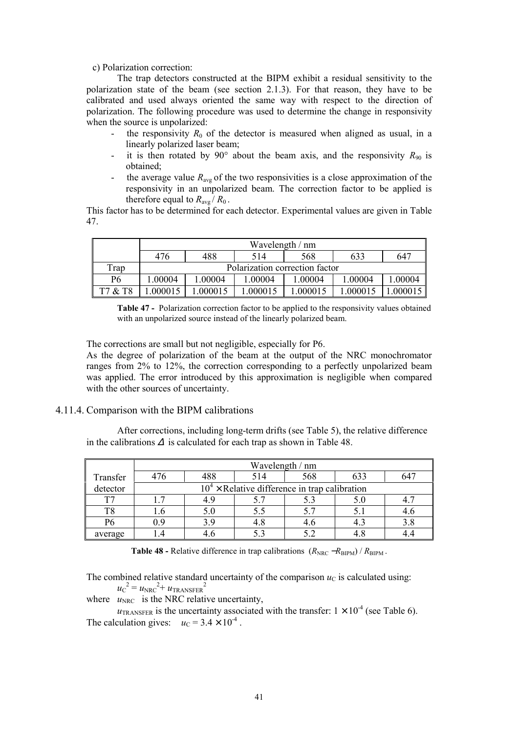c) Polarization correction:

The trap detectors constructed at the BIPM exhibit a residual sensitivity to the polarization state of the beam (see section 2.1.3). For that reason, they have to be calibrated and used always oriented the same way with respect to the direction of polarization. The following procedure was used to determine the change in responsivity when the source is unpolarized:

- the responsivity  $R_0$  of the detector is measured when aligned as usual, in a linearly polarized laser beam;
- it is then rotated by 90° about the beam axis, and the responsivity  $R_{90}$  is obtained;
- the average value  $R_{avg}$  of the two responsivities is a close approximation of the responsivity in an unpolarized beam. The correction factor to be applied is therefore equal to  $R_{\text{avg}}/R_0$ .

This factor has to be determined for each detector. Experimental values are given in Table 47.

|                | Wavelength / nm                |         |         |         |         |          |
|----------------|--------------------------------|---------|---------|---------|---------|----------|
|                | 476                            | 488     | 514     | 568     | 633     | 647      |
| Trap           | Polarization correction factor |         |         |         |         |          |
| P <sub>6</sub> | 00004                          | 1.00004 | 1.00004 | 1.00004 | 1.00004 | 1.00004  |
| T7 & T8        | .000015                        | .000015 | .000015 | .000015 | .000015 | 1.000015 |

**Table 47 -** Polarization correction factor to be applied to the responsivity values obtained with an unpolarized source instead of the linearly polarized beam.

The corrections are small but not negligible, especially for P6.

As the degree of polarization of the beam at the output of the NRC monochromator ranges from 2% to 12%, the correction corresponding to a perfectly unpolarized beam was applied. The error introduced by this approximation is negligible when compared with the other sources of uncertainty.

#### 4.11.4. Comparison with the BIPM calibrations

After corrections, including long-term drifts (see Table 5), the relative difference in the calibrations  $\Delta$  is calculated for each trap as shown in Table 48.

|          | Wavelength / nm                                 |     |     |     |     |  |  |
|----------|-------------------------------------------------|-----|-----|-----|-----|--|--|
| Transfer | 476                                             | 488 | 514 | 568 | 633 |  |  |
| detector | $104$ × Relative difference in trap calibration |     |     |     |     |  |  |
| T7       | . 7                                             | 4.9 |     |     | 5.0 |  |  |
| T8       | l.6                                             | 5.0 | 5.5 | 5.7 |     |  |  |
| P6       | 0.9                                             | 3.9 | 4.8 | 4.6 | 4.3 |  |  |
| average  | $\overline{4}$                                  |     |     |     |     |  |  |

**Table 48 -** Relative difference in trap calibrations  $(R_{\text{NRC}} - R_{\text{BIPM}}) / R_{\text{BIPM}}$ .

The combined relative standard uncertainty of the comparison  $u<sub>C</sub>$  is calculated using:

 $u_{\rm C}^{\;\;2}$  =  $u_{\rm NRC}^{\;\;2+}$   $u_{\rm TRANSFER}^{\;\;2}$ 

where  $u_{\text{NRC}}$  is the NRC relative uncertainty,

 $u_{\text{TRANSFER}}$  is the uncertainty associated with the transfer:  $1 \times 10^{-4}$  (see Table 6). The calculation gives:  $u_C = 3.4 \times 10^{-4}$ .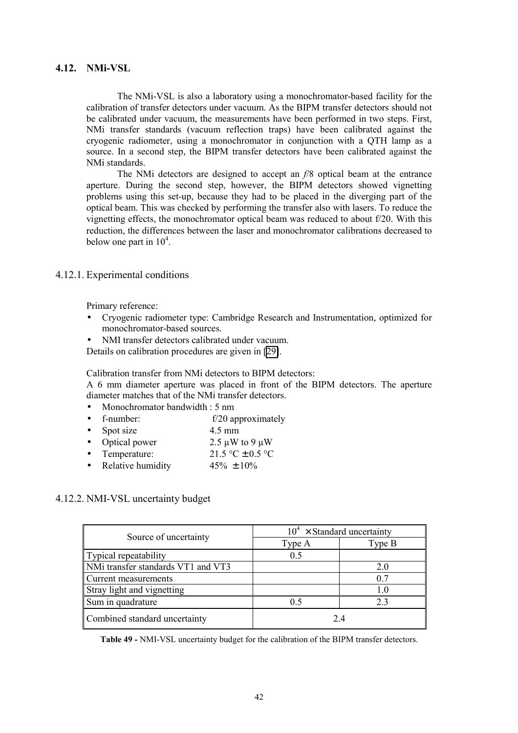# **4.12. NMi-VSL**

The NMi-VSL is also a laboratory using a monochromator-based facility for the calibration of transfer detectors under vacuum. As the BIPM transfer detectors should not be calibrated under vacuum, the measurements have been performed in two steps. First, NMi transfer standards (vacuum reflection traps) have been calibrated against the cryogenic radiometer, using a monochromator in conjunction with a QTH lamp as a source. In a second step, the BIPM transfer detectors have been calibrated against the NMi standards.

The NMi detectors are designed to accept an *f*/8 optical beam at the entrance aperture. During the second step, however, the BIPM detectors showed vignetting problems using this set-up, because they had to be placed in the diverging part of the optical beam. This was checked by performing the transfer also with lasers. To reduce the vignetting effects, the monochromator optical beam was reduced to about f/20. With this reduction, the differences between the laser and monochromator calibrations decreased to below one part in  $10^4$ .

# 4.12.1. Experimental conditions

Primary reference:

- Cryogenic radiometer type: Cambridge Research and Instrumentation, optimized for monochromator-based sources.
- NMI transfer detectors calibrated under vacuum.

Details on calibration procedures are given in [\[29\]](#page-68-0).

Calibration transfer from NMi detectors to BIPM detectors:

A 6 mm diameter aperture was placed in front of the BIPM detectors. The aperture diameter matches that of the NMi transfer detectors.

- Monochromator bandwidth : 5 nm
- f-number: f/20 approximately
- Spot size 4.5 mm
- Optical power 2.5  $\mu$ W to 9  $\mu$ W
- Temperature:  $21.5 \text{ °C} \pm 0.5 \text{ °C}$
- Relative humidity  $45\% \pm 10\%$

# 4.12.2. NMI-VSL uncertainty budget

| Source of uncertainty              | $10^4 \times$ Standard uncertainty |        |  |  |
|------------------------------------|------------------------------------|--------|--|--|
|                                    | Type A                             | Type B |  |  |
| Typical repeatability              | 0.5                                |        |  |  |
| NMi transfer standards VT1 and VT3 |                                    | 2.0    |  |  |
| Current measurements               |                                    | 0.7    |  |  |
| Stray light and vignetting         |                                    | 1.0    |  |  |
| Sum in quadrature                  | 0.5                                | 23     |  |  |
| Combined standard uncertainty      |                                    | 24     |  |  |

**Table 49 -** NMI-VSL uncertainty budget for the calibration of the BIPM transfer detectors.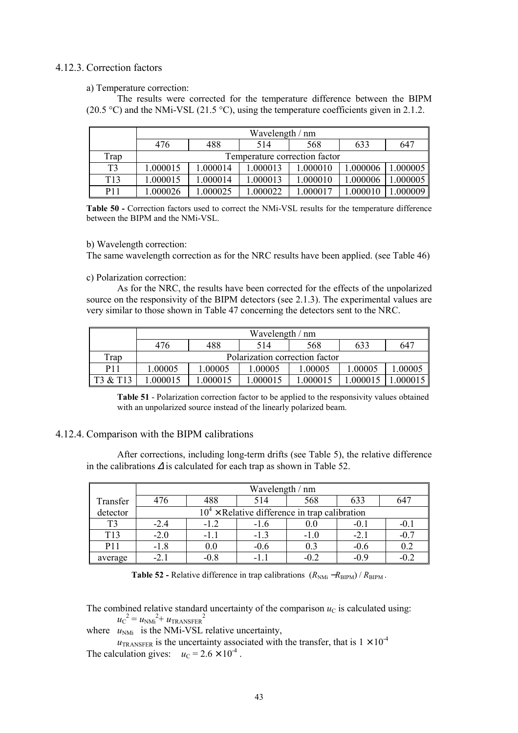# 4.12.3. Correction factors

a) Temperature correction:

The results were corrected for the temperature difference between the BIPM (20.5 °C) and the NMi-VSL (21.5 °C), using the temperature coefficients given in 2.1.2.

|                 | Wavelength / nm |                               |          |          |          |         |  |  |
|-----------------|-----------------|-------------------------------|----------|----------|----------|---------|--|--|
|                 | 476             | 488                           | 514      | 568      | 633      | 647     |  |  |
| Trap            |                 | Temperature correction factor |          |          |          |         |  |  |
| T <sub>3</sub>  | 1.000015        | 1.000014                      | 1.000013 | 1.000010 | 1.000006 | .000005 |  |  |
| T <sub>13</sub> | 1.000015        | 1.000014                      | 1.000013 | 1.000010 | 1.000006 | .000005 |  |  |
| P <sub>11</sub> | .000026         | .000025                       | 1.000022 | 1.000017 | .000010  | 000009  |  |  |

**Table 50 -** Correction factors used to correct the NMi-VSL results for the temperature difference between the BIPM and the NMi-VSL.

b) Wavelength correction:

The same wavelength correction as for the NRC results have been applied. (see Table 46)

c) Polarization correction:

As for the NRC, the results have been corrected for the effects of the unpolarized source on the responsivity of the BIPM detectors (see 2.1.3). The experimental values are very similar to those shown in Table 47 concerning the detectors sent to the NRC.

|            | Wavelength / nm                |          |          |          |          |         |
|------------|--------------------------------|----------|----------|----------|----------|---------|
|            | 476                            | 488      | 514      | 568      | 633      | 647     |
| Trap       | Polarization correction factor |          |          |          |          |         |
| <b>P11</b> | 1.00005                        | 1.00005  | 1.00005  | 1.00005  | 1.00005  | 1.00005 |
| T3 & T13   | 1.000015                       | 1.000015 | 1.000015 | 1.000015 | 1.000015 | .000015 |

**Table 51** - Polarization correction factor to be applied to the responsivity values obtained with an unpolarized source instead of the linearly polarized beam.

# 4.12.4. Comparison with the BIPM calibrations

After corrections, including long-term drifts (see Table 5), the relative difference in the calibrations  $\Delta$  is calculated for each trap as shown in Table 52.

|            | Wavelength / nm                                 |           |        |        |        |        |  |
|------------|-------------------------------------------------|-----------|--------|--------|--------|--------|--|
| Transfer   | 476                                             | 488       | 514    | 568    | 633    | 641    |  |
| detector   | $104$ × Relative difference in trap calibration |           |        |        |        |        |  |
| T3         | $-2.4$                                          | $-1.2$    | $-1.6$ | 0.0    | $-0.1$ | $-0.1$ |  |
| T13        | $-2.0$                                          | $-1 \; 1$ | $-13$  | $-1.0$ | $-2.1$ | $-0.7$ |  |
| <b>P11</b> | $-1.8$                                          | 0.0       | $-0.6$ | 0.3    | $-0.6$ | 0.2    |  |
| average    | $-2.1$                                          | -08       | -11    |        | -09    | $-0.2$ |  |

**Table 52 -** Relative difference in trap calibrations  $(R_{NMi} - R_{BIPM}) / R_{BIPM}$ .

The combined relative standard uncertainty of the comparison  $u<sub>C</sub>$  is calculated using:  $u_{\rm C}^{\;\;2}$  =  $u_{\rm NMi}^{\;\;2}$  +  $u_{\rm TRANSFER}^{\;\;2}$ 

where  $u_{NMi}$  is the NMi-VSL relative uncertainty,

 $u_{\text{TRANSFER}}$  is the uncertainty associated with the transfer, that is  $1 \times 10^{-4}$ The calculation gives:  $u_C = 2.6 \times 10^{-4}$ .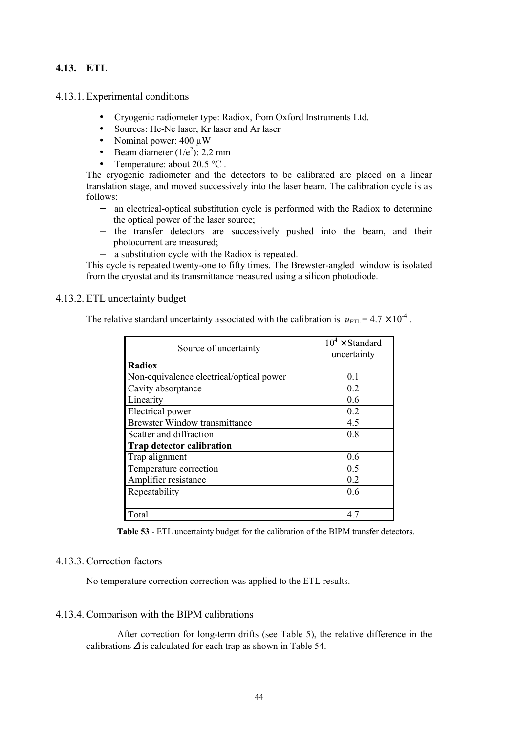# **4.13. ETL**

4.13.1. Experimental conditions

- Cryogenic radiometer type: Radiox, from Oxford Instruments Ltd.
- Sources: He-Ne laser, Kr laser and Ar laser
- Nominal power:  $400 \mu W$
- Beam diameter  $(1/e^2)$ : 2.2 mm
- Temperature: about  $20.5 \text{ °C}$ .

The cryogenic radiometer and the detectors to be calibrated are placed on a linear translation stage, and moved successively into the laser beam. The calibration cycle is as follows:

- − an electrical-optical substitution cycle is performed with the Radiox to determine the optical power of the laser source;
- − the transfer detectors are successively pushed into the beam, and their photocurrent are measured;
- − a substitution cycle with the Radiox is repeated.

This cycle is repeated twenty-one to fifty times. The Brewster-angled window is isolated from the cryostat and its transmittance measured using a silicon photodiode.

# 4.13.2. ETL uncertainty budget

The relative standard uncertainty associated with the calibration is  $u_{\text{ETL}} = 4.7 \times 10^{-4}$ .

| Source of uncertainty                    | $10^4 \times$ Standard<br>uncertainty |
|------------------------------------------|---------------------------------------|
| <b>Radiox</b>                            |                                       |
| Non-equivalence electrical/optical power | 0 <sub>1</sub>                        |
| Cavity absorptance                       | 0.2                                   |
| Linearity                                | 0.6                                   |
| Electrical power                         | 0.2                                   |
| <b>Brewster Window transmittance</b>     | 4.5                                   |
| Scatter and diffraction                  | 0.8                                   |
| <b>Trap detector calibration</b>         |                                       |
| Trap alignment                           | 0.6                                   |
| Temperature correction                   | 0.5                                   |
| Amplifier resistance                     | 0.2                                   |
| Repeatability                            | 0.6                                   |
|                                          |                                       |
| Total                                    | 47                                    |

**Table 53** - ETL uncertainty budget for the calibration of the BIPM transfer detectors.

# 4.13.3. Correction factors

No temperature correction correction was applied to the ETL results.

# 4.13.4. Comparison with the BIPM calibrations

After correction for long-term drifts (see Table 5), the relative difference in the calibrations <sup>∆</sup> is calculated for each trap as shown in Table 54.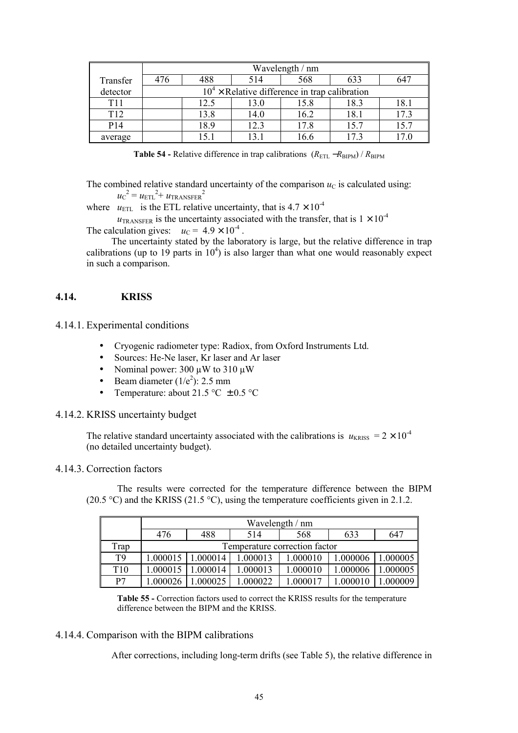|                 | Wavelength / nm                                 |        |      |      |                 |      |  |  |
|-----------------|-------------------------------------------------|--------|------|------|-----------------|------|--|--|
| Transfer        | 476                                             | 488    | 514  | 568  | 633             | 647  |  |  |
| detector        | $104$ × Relative difference in trap calibration |        |      |      |                 |      |  |  |
| T <sub>11</sub> |                                                 | 12.5   | 13.0 | 15.8 | 18.3            | 18.1 |  |  |
| T <sub>12</sub> |                                                 | 13.8   | 14.0 | 16.2 | 18.1            | 17.3 |  |  |
| P <sub>14</sub> |                                                 | 18.9   | 12.3 | 17.8 | 15.7            | 15.7 |  |  |
| average         |                                                 | $\sim$ |      | 16.6 | 17 <sup>2</sup> |      |  |  |

Table 54 - Relative difference in trap calibrations ( $R_{\text{ETL}}$  − $R_{\text{BIPM}}$ ) /  $R_{\text{BIPM}}$ 

The combined relative standard uncertainty of the comparison  $u<sub>C</sub>$  is calculated using:  $u_{\rm C}^{\;\;2}$  =  $u_{\rm ETL}^{\;\;2}$  +  $u_{\rm TRANSFER}^{\;\;2}$ 

where  $u_{\text{ETL}}$  is the ETL relative uncertainty, that is  $4.7 \times 10^{-4}$ 

 $u_{\text{TRANSFER}}$  is the uncertainty associated with the transfer, that is  $1 \times 10^{-4}$ The calculation gives:  $u_C = 4.9 \times 10^{-4}$ .

The uncertainty stated by the laboratory is large, but the relative difference in trap calibrations (up to 19 parts in  $10<sup>4</sup>$ ) is also larger than what one would reasonably expect in such a comparison.

# **4.14. KRISS**

# 4.14.1. Experimental conditions

- Cryogenic radiometer type: Radiox, from Oxford Instruments Ltd.
- Sources: He-Ne laser, Kr laser and Ar laser
- Nominal power: 300  $\mu$ W to 310  $\mu$ W
- Beam diameter  $(1/e^2)$ : 2.5 mm
- Temperature: about 21.5 °C  $\pm$  0.5 °C

# 4.14.2. KRISS uncertainty budget

The relative standard uncertainty associated with the calibrations is  $u_{KRISS} = 2 \times 10^{-4}$ (no detailed uncertainty budget).

# 4.14.3. Correction factors

The results were corrected for the temperature difference between the BIPM (20.5 °C) and the KRISS (21.5 °C), using the temperature coefficients given in 2.1.2.

|                 | Wavelength / nm |                               |          |          |          |          |  |  |
|-----------------|-----------------|-------------------------------|----------|----------|----------|----------|--|--|
|                 | 476             | 488                           | 514      | 568      | 633      | 647      |  |  |
| Trap            |                 | Temperature correction factor |          |          |          |          |  |  |
| T <sub>9</sub>  | 1.000015        | 1.000014                      | 1.000013 | 1.000010 | 1.000006 | 1.000005 |  |  |
| T <sub>10</sub> | 1.000015        | 1.000014                      | 1.000013 | 1.000010 | 1.000006 | 1.000005 |  |  |
| P7              | 1.000026        | .000025                       | 1.000022 | 1.000017 | 1.000010 |          |  |  |

**Table 55 -** Correction factors used to correct the KRISS results for the temperature difference between the BIPM and the KRISS.

# 4.14.4. Comparison with the BIPM calibrations

After corrections, including long-term drifts (see Table 5), the relative difference in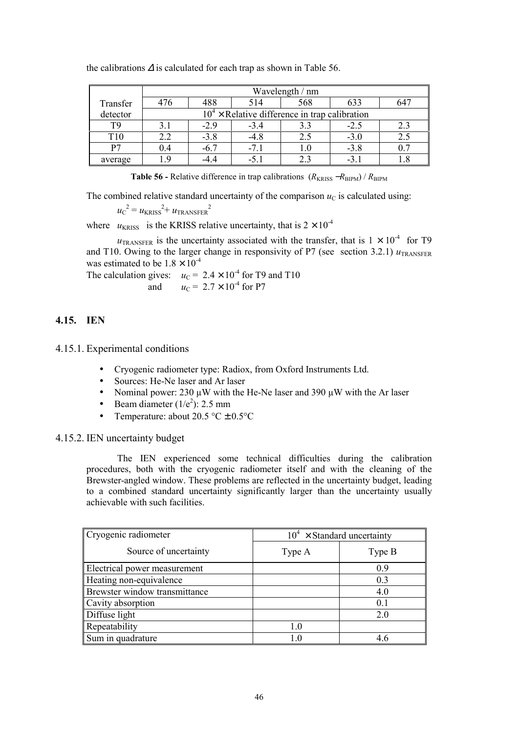|                 | Wavelength / nm                                 |            |        |           |                |     |  |
|-----------------|-------------------------------------------------|------------|--------|-----------|----------------|-----|--|
| Transfer        | 476                                             | 488        | 514    | 568       | 633            | 64′ |  |
| detector        | $104$ × Relative difference in trap calibration |            |        |           |                |     |  |
| T9              | 3.1                                             | $-29$      | $-3.4$ | 3.3       | $-2.5$         | 2.3 |  |
| T <sub>10</sub> | 2.2                                             | $-3.8$     | -4.8   | 2.5       | $-3.0$         |     |  |
| P7              | 0.4                                             | $-6.7$     | $-71$  | $\cdot 0$ | $-3.8$         |     |  |
| average         | O                                               | $-4\theta$ |        |           | $-3$ $\degree$ |     |  |

the calibrations  $\Delta$  is calculated for each trap as shown in Table 56.

**Table 56 -** Relative difference in trap calibrations  $(R_{KRISS} - R_{BIPM}) / R_{BIPM}$ 

The combined relative standard uncertainty of the comparison  $u<sub>C</sub>$  is calculated using:

$$
u_{\rm C}^2 = u_{\rm KRISS}^2 + u_{\rm TRANSFER}^2
$$

where  $u_{KRISS}$  is the KRISS relative uncertainty, that is  $2 \times 10^{-4}$ 

 $u_{\text{TRANSFER}}$  is the uncertainty associated with the transfer, that is  $1 \times 10^{-4}$  for T9 and T10. Owing to the larger change in responsivity of P7 (see section 3.2.1)  $u_{\text{TRANSFER}}$ was estimated to be  $1.8 \times 10^{-4}$ 

The calculation gives:  $u_C = 2.4 \times 10^{-4}$  for T9 and T10 and  $u_C = 2.7 \times 10^{-4}$  for P7

# **4.15. IEN**

4.15.1. Experimental conditions

- Cryogenic radiometer type: Radiox, from Oxford Instruments Ltd.
- Sources: He-Ne laser and Ar laser
- Nominal power:  $230 \mu W$  with the He-Ne laser and  $390 \mu W$  with the Ar laser
- Beam diameter  $(1/e^2)$ : 2.5 mm
- Temperature: about 20.5 °C + 0.5 °C

#### 4.15.2. IEN uncertainty budget

The IEN experienced some technical difficulties during the calibration procedures, both with the cryogenic radiometer itself and with the cleaning of the Brewster-angled window. These problems are reflected in the uncertainty budget, leading to a combined standard uncertainty significantly larger than the uncertainty usually achievable with such facilities.

| Cryogenic radiometer          | $10^4 \times$ Standard uncertainty |        |  |
|-------------------------------|------------------------------------|--------|--|
| Source of uncertainty         | Type A                             | Type B |  |
| Electrical power measurement  |                                    | 09     |  |
| Heating non-equivalence       |                                    | 0.3    |  |
| Brewster window transmittance |                                    | 4.0    |  |
| Cavity absorption             |                                    | 0.1    |  |
| Diffuse light                 |                                    | 2.0    |  |
| Repeatability                 | 10                                 |        |  |
| Sum in quadrature             | 10                                 | 4.6    |  |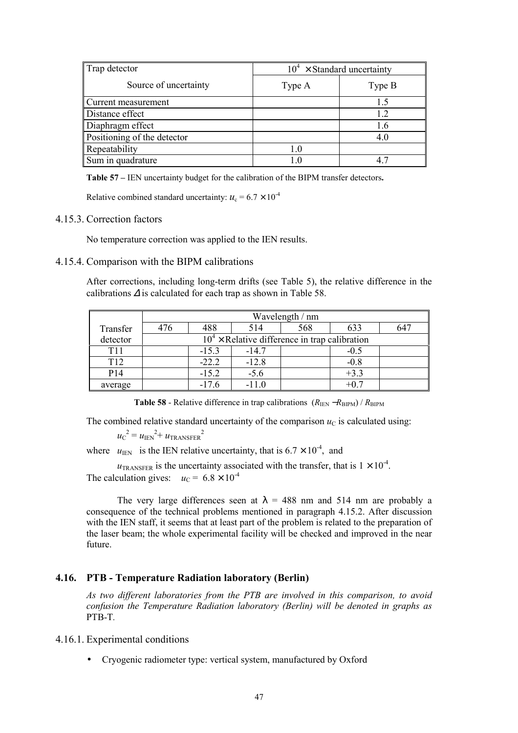| Trap detector               |        | $10^4 \times$ Standard uncertainty |
|-----------------------------|--------|------------------------------------|
| Source of uncertainty       | Type A | Type B                             |
| Current measurement         |        | 15                                 |
| Distance effect             |        | 12                                 |
| Diaphragm effect            |        | 1.6                                |
| Positioning of the detector |        | 4.0                                |
| Repeatability               | 1.0    |                                    |
| Sum in quadrature           |        |                                    |

**Table 57** – IEN uncertainty budget for the calibration of the BIPM transfer detectors.

Relative combined standard uncertainty:  $u_c = 6.7 \times 10^{-4}$ 

# 4.15.3. Correction factors

No temperature correction was applied to the IEN results.

#### 4.15.4. Comparison with the BIPM calibrations

After corrections, including long-term drifts (see Table 5), the relative difference in the calibrations <sup>∆</sup> is calculated for each trap as shown in Table 58.

|                 | Wavelength / nm |                                                 |         |     |        |     |  |  |
|-----------------|-----------------|-------------------------------------------------|---------|-----|--------|-----|--|--|
| Transfer        | 476             | 488                                             | 514     | 568 | 633    | 647 |  |  |
| detector        |                 | $104$ × Relative difference in trap calibration |         |     |        |     |  |  |
| T <sub>11</sub> |                 | $-15.3$                                         | $-14.7$ |     | $-0.5$ |     |  |  |
| T <sub>12</sub> |                 | $-22.2$                                         | $-12.8$ |     | $-0.8$ |     |  |  |
| P <sub>14</sub> |                 | $-15.2$                                         | $-5.6$  |     | $+3.3$ |     |  |  |
| average         |                 | $-176$                                          | $-110$  |     |        |     |  |  |

**Table 58** - Relative difference in trap calibrations  $(R_{\text{IEN}} - R_{\text{BIPM}}) / R_{\text{BIPM}}$ 

The combined relative standard uncertainty of the comparison  $u<sub>C</sub>$  is calculated using:

 $u_{\rm C}^{\;\;2}$  =  $u_{\rm IEN}^{\;\;2+}$   $u_{\rm TRANSFER}^{\;\;2}$ 

where  $u_{\text{IEN}}$  is the IEN relative uncertainty, that is  $6.7 \times 10^{-4}$ , and

 $u_{\text{TRANSFER}}$  is the uncertainty associated with the transfer, that is  $1 \times 10^{-4}$ . The calculation gives:  $u_C = 6.8 \times 10^{-4}$ 

The very large differences seen at  $\lambda$  = 488 nm and 514 nm are probably a consequence of the technical problems mentioned in paragraph 4.15.2. After discussion with the IEN staff, it seems that at least part of the problem is related to the preparation of the laser beam; the whole experimental facility will be checked and improved in the near future.

# **4.16. PTB - Temperature Radiation laboratory (Berlin)**

*As two different laboratories from the PTB are involved in this comparison, to avoid confusion the Temperature Radiation laboratory (Berlin) will be denoted in graphs as* PTB-T*.*

4.16.1. Experimental conditions

• Cryogenic radiometer type: vertical system, manufactured by Oxford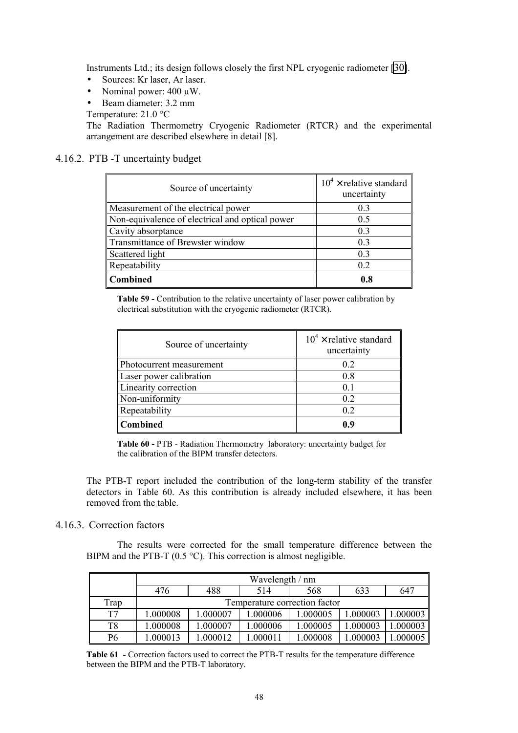Instruments Ltd.; its design follows closely the first NPL cryogenic radiometer [\[30\]](#page-68-0).

- Sources: Kr laser, Ar laser.
- Nominal power:  $400 \mu W$ .
- Beam diameter: 3.2 mm

Temperature: 21.0 °C

The Radiation Thermometry Cryogenic Radiometer (RTCR) and the experimental arrangement are described elsewhere in detail [8].

# 4.16.2. PTB -T uncertainty budget

| Source of uncertainty                           | $10^4 \times$ relative standard<br>uncertainty |
|-------------------------------------------------|------------------------------------------------|
| Measurement of the electrical power             | 0.3                                            |
| Non-equivalence of electrical and optical power | 0.5                                            |
| Cavity absorptance                              | 0.3                                            |
| Transmittance of Brewster window                | 0 <sub>3</sub>                                 |
| Scattered light                                 | 0.3                                            |
| Repeatability                                   | 0.2                                            |
| <b>Combined</b>                                 | 0.8                                            |

**Table 59 -** Contribution to the relative uncertainty of laser power calibration by electrical substitution with the cryogenic radiometer (RTCR).

| Source of uncertainty    | $10^4 \times$ relative standard<br>uncertainty |
|--------------------------|------------------------------------------------|
| Photocurrent measurement | 0.2                                            |
| Laser power calibration  | 0.8                                            |
| Linearity correction     | 0.1                                            |
| Non-uniformity           | 0.2                                            |
| Repeatability            | 0.2                                            |
| <b>Combined</b>          | 09                                             |

**Table 60 -** PTB - Radiation Thermometry laboratory: uncertainty budget for the calibration of the BIPM transfer detectors.

The PTB-T report included the contribution of the long-term stability of the transfer detectors in Table 60. As this contribution is already included elsewhere, it has been removed from the table.

# 4.16.3. Correction factors

The results were corrected for the small temperature difference between the BIPM and the PTB-T (0.5 °C). This correction is almost negligible.

|                | Wavelength / nm |                               |          |          |          |         |  |  |
|----------------|-----------------|-------------------------------|----------|----------|----------|---------|--|--|
|                | 476             | 488                           | 514      | 568      | 633      | 647     |  |  |
| Frap           |                 | Temperature correction factor |          |          |          |         |  |  |
| T7             | .000008         | 1.000007                      | 1.000006 | 1.000005 | .000003  | .000003 |  |  |
| T <sub>8</sub> | .000008         | 1.000007                      | 1.000006 | 1.000005 | 1.000003 | .000003 |  |  |
| P6             | .000013         | .000012                       | 1.000011 | .000008  | .000003  | .000005 |  |  |

**Table 61 -** Correction factors used to correct the PTB-T results for the temperature difference between the BIPM and the PTB-T laboratory.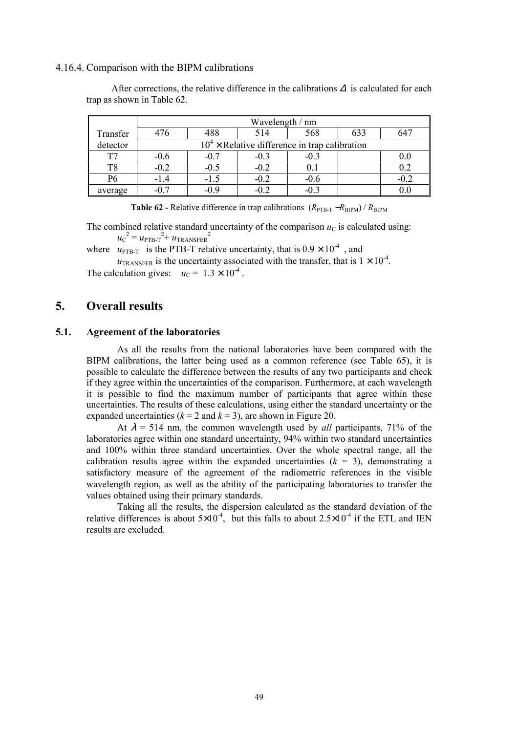#### 4.16.4. Comparison with the BIPM calibrations

|                | Wavelength / nm |                                                 |        |        |     |        |  |  |
|----------------|-----------------|-------------------------------------------------|--------|--------|-----|--------|--|--|
|                |                 |                                                 |        |        |     |        |  |  |
| Transfer       | 476             | 488                                             | 514    | 568    | 633 | 647    |  |  |
| detector       |                 | $104$ × Relative difference in trap calibration |        |        |     |        |  |  |
| T7             | $-0.6$          | $-0.7$                                          | $-0.3$ | $-0.3$ |     |        |  |  |
| T <sub>8</sub> | $-0.2$          | $-0.5$                                          | $-0.2$ | 0.1    |     | 0.2    |  |  |
| P6             | $-1.4$          | $-1.5$                                          | $-0.2$ | $-0.6$ |     | $-0.2$ |  |  |
| average        |                 | $-0.9$                                          | $-0.2$ | $-0.2$ |     |        |  |  |

After corrections, the relative difference in the calibrations  $\Delta$  is calculated for each trap as shown in Table 62.

**Table 62 -** Relative difference in trap calibrations  $(R_{\text{PTB-T}} - R_{\text{RIPM}}) / R_{\text{RIPM}}$ 

The combined relative standard uncertainty of the comparison  $u<sub>C</sub>$  is calculated using:  $u_{\rm C}^{\;\;2}$  =  $u_{\rm PTB-T}^{\;\;2+}$   $u_{\rm TRANSFER}^{\;\;2}$ 

where  $u_{\text{PTB-T}}$  is the PTB-T relative uncertainty, that is  $0.9 \times 10^{-4}$ , and

 $u_{\text{TRANSFER}}$  is the uncertainty associated with the transfer, that is  $1 \times 10^{-4}$ . The calculation gives:  $u_C = 1.3 \times 10^{-4}$ .

# **5. Overall results**

#### **5.1. Agreement of the laboratories**

As all the results from the national laboratories have been compared with the BIPM calibrations, the latter being used as a common reference (see Table 65), it is possible to calculate the difference between the results of any two participants and check if they agree within the uncertainties of the comparison. Furthermore, at each wavelength it is possible to find the maximum number of participants that agree within these uncertainties. The results of these calculations, using either the standard uncertainty or the expanded uncertainties  $(k = 2$  and  $k = 3)$ , are shown in Figure 20.

At  $\lambda$  = 514 nm, the common wavelength used by *all* participants, 71% of the laboratories agree within one standard uncertainty, 94% within two standard uncertainties and 100% within three standard uncertainties. Over the whole spectral range, all the calibration results agree within the expanded uncertainties  $(k = 3)$ , demonstrating a satisfactory measure of the agreement of the radiometric references in the visible wavelength region, as well as the ability of the participating laboratories to transfer the values obtained using their primary standards.

Taking all the results, the dispersion calculated as the standard deviation of the relative differences is about  $5\times10^{-4}$ , but this falls to about  $2.5\times10^{-4}$  if the ETL and IEN results are excluded.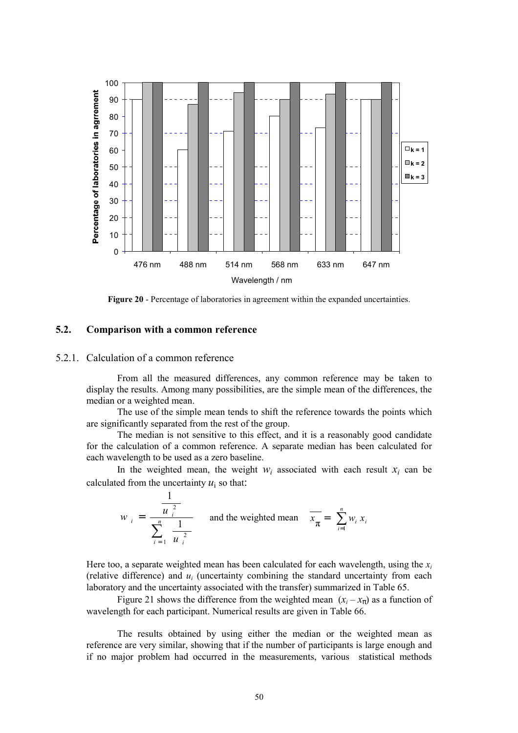

**Figure 20** - Percentage of laboratories in agreement within the expanded uncertainties.

# **5.2. Comparison with a common reference**

#### 5.2.1. Calculation of a common reference

From all the measured differences, any common reference may be taken to display the results. Among many possibilities, are the simple mean of the differences, the median or a weighted mean.

The use of the simple mean tends to shift the reference towards the points which are significantly separated from the rest of the group.

The median is not sensitive to this effect, and it is a reasonably good candidate for the calculation of a common reference. A separate median has been calculated for each wavelength to be used as a zero baseline.

In the weighted mean, the weight  $w_i$  associated with each result  $x_i$  can be calculated from the uncertainty  $u_i$  so that:

$$
w_{i} = \frac{\frac{1}{u_{i}^{2}}}{\sum_{i=1}^{n} \frac{1}{u_{i}^{2}}}
$$
 and the weighted mean  $\overline{x_{\pi}} = \sum_{i=1}^{n} w_{i} x_{i}$ 

Here too, a separate weighted mean has been calculated for each wavelength, using the  $x_i$ (relative difference) and  $u_i$  (uncertainty combining the standard uncertainty from each laboratory and the uncertainty associated with the transfer) summarized in Table 65.

Figure 21 shows the difference from the weighted mean  $(x_i - x_\pi)$  as a function of wavelength for each participant. Numerical results are given in Table 66.

The results obtained by using either the median or the weighted mean as reference are very similar, showing that if the number of participants is large enough and if no major problem had occurred in the measurements, various statistical methods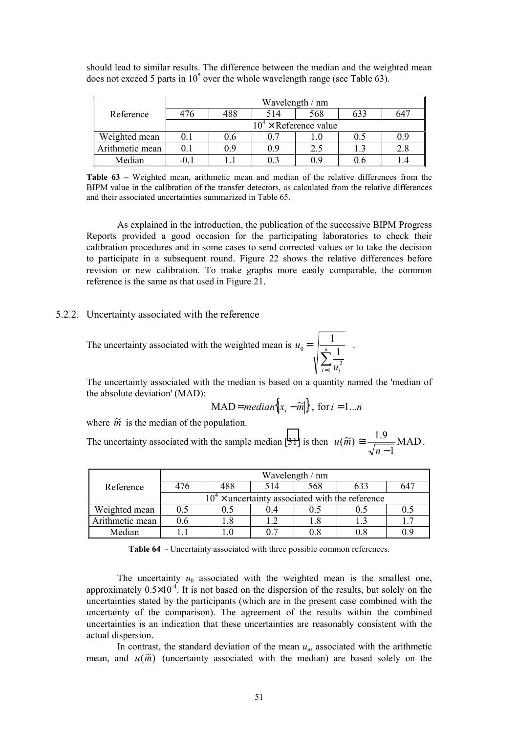|                 |                               |     |     | Wavelength / nm |     |     |  |  |
|-----------------|-------------------------------|-----|-----|-----------------|-----|-----|--|--|
| Reference       | 476                           | 488 | 514 | 568             | 633 | 647 |  |  |
|                 | $10^4 \times$ Reference value |     |     |                 |     |     |  |  |
| Weighted mean   | 0.1                           | 0.6 | 0.7 |                 | 0.5 | 0.9 |  |  |
| Arithmetic mean | 0.1                           | 09  | 09  | 2.5             |     | 2.8 |  |  |
| Median          |                               |     | 03  | 0 O             |     |     |  |  |

should lead to similar results. The difference between the median and the weighted mean does not exceed 5 parts in  $10^5$  over the whole wavelength range (see Table 63).

**Table 63** – Weighted mean, arithmetic mean and median of the relative differences from the BIPM value in the calibration of the transfer detectors, as calculated from the relative differences and their associated uncertainties summarized in Table 65.

As explained in the introduction, the publication of the successive BIPM Progress Reports provided a good occasion for the participating laboratories to check their calibration procedures and in some cases to send corrected values or to take the decision to participate in a subsequent round. Figure 22 shows the relative differences before revision or new calibration. To make graphs more easily comparable, the common reference is the same as that used in Figure 21.

#### 5.2.2. Uncertainty associated with the reference

The uncertainty associated with the weighted mean is  $=$   $\frac{1}{n}$ *u*  $\begin{bmatrix} 0 \\ -1 \end{bmatrix}$   $\begin{bmatrix} n \\ n \end{bmatrix}$  1

The uncertainty associated with the median is based on a quantity named the 'median of the absolute deviation' (MAD):

$$
MAD = median\{|x_i - \widetilde{m}|\}, \text{ for } i = 1...n
$$

 $\sum\limits_{ }^{n}%$ =

 $\sum_{i=1}^{\infty} u_i^i$ 

 $\overline{u}_i^2$ 

 $\frac{1}{1}$ .

where  $\tilde{m}$  is the median of the population.

The uncertainty associated with the sample median [\[31\]](#page-68-0) is then  $u(\tilde{m}) \approx \frac{1.7}{\sqrt{1.7}}$  MAD  $(m) \equiv \frac{1.9}{\sqrt{n-1}}$  $u(\widetilde{m}) \cong \frac{1.5}{\sqrt{1.2}} \text{MAD}.$ 

|                 | Wavelength / nm                                   |     |      |     |     |     |  |  |  |  |
|-----------------|---------------------------------------------------|-----|------|-----|-----|-----|--|--|--|--|
| Reference       | 476                                               | 488 | 514  | 568 | 633 | 647 |  |  |  |  |
|                 | $104$ × uncertainty associated with the reference |     |      |     |     |     |  |  |  |  |
| Weighted mean   | 0.5                                               | 0.5 | () 4 |     |     | 0.5 |  |  |  |  |
| Arithmetic mean | 0.6                                               | 18  |      | 1.8 |     |     |  |  |  |  |
| Median          |                                                   | - 0 | 0.7  |     | 0.8 | 09  |  |  |  |  |

**Table 64** - Uncertainty associated with three possible common references.

The uncertainty  $u_0$  associated with the weighted mean is the smallest one, approximately  $0.5\times10^{-4}$ . It is not based on the dispersion of the results, but solely on the uncertainties stated by the participants (which are in the present case combined with the uncertainty of the comparison). The agreement of the results within the combined uncertainties is an indication that these uncertainties are reasonably consistent with the actual dispersion.

In contrast, the standard deviation of the mean  $u_a$ , associated with the arithmetic mean, and  $u(\tilde{m})$  (uncertainty associated with the median) are based solely on the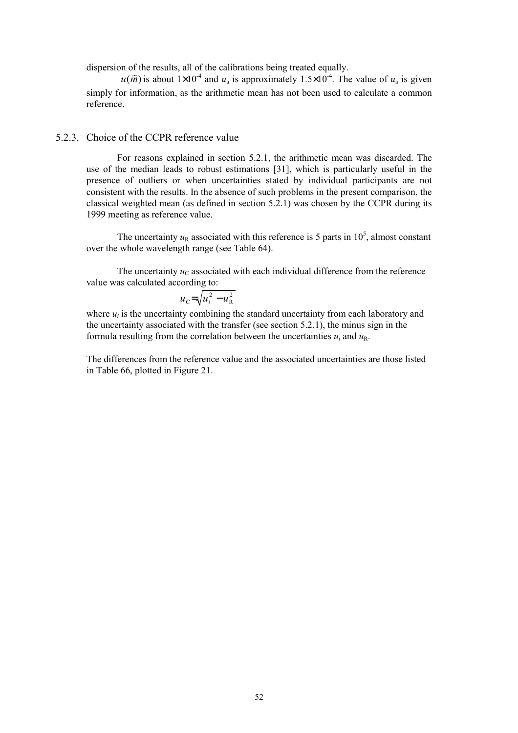dispersion of the results, all of the calibrations being treated equally.

 $u(\widetilde{m})$  is about  $1\times10^{-4}$  and  $u_a$  is approximately  $1.5\times10^{-4}$ . The value of  $u_a$  is given simply for information, as the arithmetic mean has not been used to calculate a common reference.

# 5.2.3. Choice of the CCPR reference value

 For reasons explained in section 5.2.1, the arithmetic mean was discarded. The use of the median leads to robust estimations [31], which is particularly useful in the presence of outliers or when uncertainties stated by individual participants are not consistent with the results. In the absence of such problems in the present comparison, the classical weighted mean (as defined in section 5.2.1) was chosen by the CCPR during its 1999 meeting as reference value.

The uncertainty  $u_R$  associated with this reference is 5 parts in 10<sup>5</sup>, almost constant over the whole wavelength range (see Table 64).

The uncertainty  $u<sub>C</sub>$  associated with each individual difference from the reference value was calculated according to:

$$
u_{\rm C} = \sqrt{u_i^2 - u_{\rm R}^2}
$$

where  $u_i$  is the uncertainty combining the standard uncertainty from each laboratory and the uncertainty associated with the transfer (see section 5.2.1), the minus sign in the formula resulting from the correlation between the uncertainties  $u_i$  and  $u_R$ .

The differences from the reference value and the associated uncertainties are those listed in Table 66, plotted in Figure 21.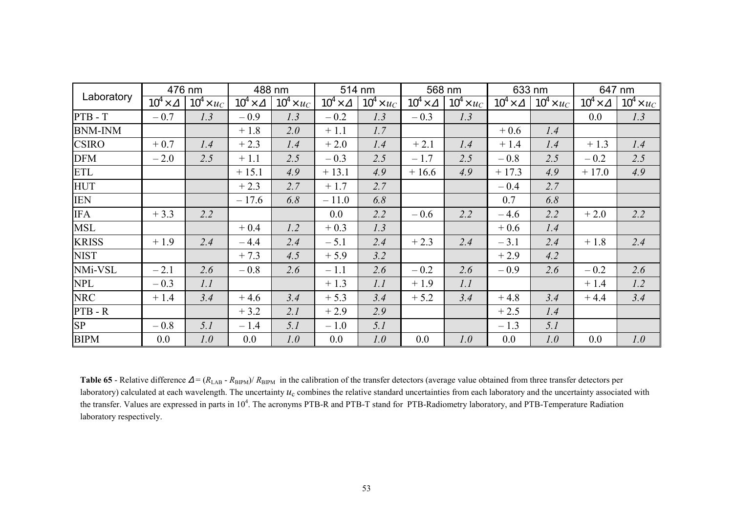| Laboratory     | 476 nm               |                   | 488 nm               |                   | 514 nm               |                   | 568 nm               |                   | 633 nm               |                   | 647 nm               |                   |
|----------------|----------------------|-------------------|----------------------|-------------------|----------------------|-------------------|----------------------|-------------------|----------------------|-------------------|----------------------|-------------------|
|                | $10^4 \times \Delta$ | $10^4 \times u_C$ | $10^4 \times \Delta$ | $10^4 \times u_C$ | $10^4 \times \Delta$ | $10^4 \times u_C$ | $10^4 \times \Delta$ | $10^4 \times u_C$ | $10^4 \times \Delta$ | $10^4 \times u_C$ | $10^4 \times \Delta$ | $10^4 \times u_C$ |
| $PTB - T$      | $-0.7$               | 1.3               | $-0.9$               | 1.3               | $-0.2$               | 1.3               | $-0.3$               | 1.3               |                      |                   | 0.0                  | 1.3               |
| <b>BNM-INM</b> |                      |                   | $+1.8$               | 2.0               | $+1.1$               | 1.7               |                      |                   | $+0.6$               | 1.4               |                      |                   |
| <b>CSIRO</b>   | $+0.7$               | 1.4               | $+2.3$               | 1.4               | $+2.0$               | 1.4               | $+2.1$               | 1.4               | $+1.4$               | 1.4               | $+1.3$               | 1.4               |
| <b>DFM</b>     | $-2.0$               | 2.5               | $+1.1$               | 2.5               | $-0.3$               | 2.5               | $-1.7$               | 2.5               | $-0.8$               | 2.5               | $-0.2$               | 2.5               |
| <b>ETL</b>     |                      |                   | $+15.1$              | 4.9               | $+13.1$              | 4.9               | $+16.6$              | 4.9               | $+17.3$              | 4.9               | $+17.0$              | 4.9               |
| <b>HUT</b>     |                      |                   | $+2.3$               | 2.7               | $+1.7$               | 2.7               |                      |                   | $-0.4$               | 2.7               |                      |                   |
| <b>IEN</b>     |                      |                   | $-17.6$              | 6.8               | $-11.0$              | 6.8               |                      |                   | 0.7                  | 6.8               |                      |                   |
| <b>IFA</b>     | $+3.3$               | 2.2               |                      |                   | $0.0\,$              | 2.2               | $-0.6$               | 2.2               | $-4.6$               | 2.2               | $+2.0$               | 2.2               |
| <b>MSL</b>     |                      |                   | $+0.4$               | 1.2               | $+0.3$               | 1.3               |                      |                   | $+0.6$               | 1.4               |                      |                   |
| <b>KRISS</b>   | $+1.9$               | 2.4               | $-4.4$               | 2.4               | $-5.1$               | 2.4               | $+2.3$               | 2.4               | $-3.1$               | 2.4               | $+1.8$               | 2.4               |
| <b>NIST</b>    |                      |                   | $+7.3$               | 4.5               | $+5.9$               | 3.2               |                      |                   | $+2.9$               | 4.2               |                      |                   |
| NMi-VSL        | $-2.1$               | 2.6               | $-0.8$               | 2.6               | $-1.1$               | 2.6               | $-0.2$               | 2.6               | $-0.9$               | 2.6               | $-0.2$               | 2.6               |
| <b>NPL</b>     | $-0.3$               | 1.1               |                      |                   | $+1.3$               | 1.1               | $+1.9$               | 1.1               |                      |                   | $+1.4$               | 1.2               |
| <b>NRC</b>     | $+1.4$               | 3.4               | $+4.6$               | 3.4               | $+5.3$               | 3.4               | $+5.2$               | 3.4               | $+4.8$               | 3.4               | $+4.4$               | 3.4               |
| $PTB - R$      |                      |                   | $+3.2$               | 2.1               | $+2.9$               | 2.9               |                      |                   | $+2.5$               | 1.4               |                      |                   |
| SP             | $-0.8$               | 5.1               | $-1.4$               | 5.1               | $-1.0$               | 5.1               |                      |                   | $-1.3$               | 5.1               |                      |                   |
| <b>BIPM</b>    | 0.0                  | 1.0               | 0.0                  | 1.0               | 0.0                  | 1.0               | 0.0                  | 1.0               | 0.0                  | 1.0               | 0.0                  | 1.0               |

**Table 65** - Relative difference  $\Delta = (R_{LAB} - R_{BIPM})/R_{BIPM}$  in the calibration of the transfer detectors (average value obtained from three transfer detectors per laboratory) calculated at each wavelength. The uncertainty  $u_c$  combines the relative standard uncertainties from each laboratory and the uncertainty associated with the transfer. Values are expressed in parts in 10<sup>4</sup>. The acronyms PTB-R and PTB-T stand for PTB-Radiometry laboratory, and PTB-Temperature Radiation laboratory respectively.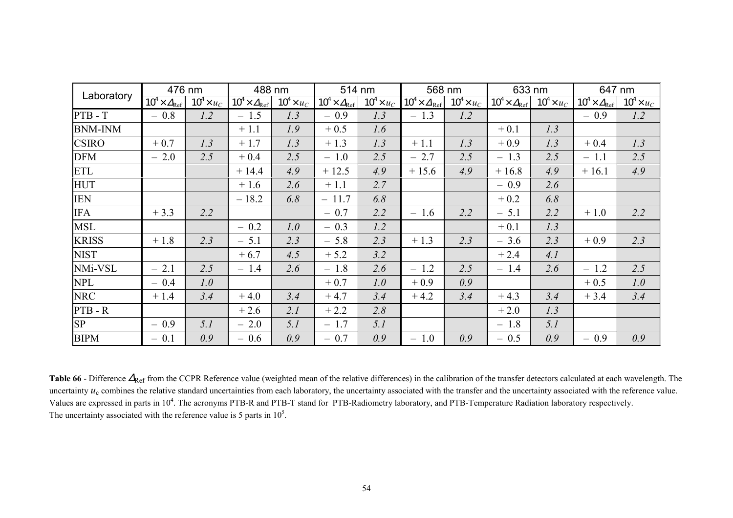| Laboratory     | 476 nm                         |                   | 488 nm                         |                   | 514 nm                         |                   | 568 nm                         |                   | 633 nm                         |                   | 647 nm                         |                   |
|----------------|--------------------------------|-------------------|--------------------------------|-------------------|--------------------------------|-------------------|--------------------------------|-------------------|--------------------------------|-------------------|--------------------------------|-------------------|
|                | $10^4 \times \Delta_{\rm Ref}$ | $10^4 \times u_C$ | $10^4 \times \Delta_{\rm Ref}$ | $10^4 \times u_C$ | $10^4 \times \Delta_{\rm Ref}$ | $10^4 \times u_C$ | $10^4 \times \Delta_{\rm Ref}$ | $10^4 \times u_C$ | $10^4 \times \Delta_{\rm Ref}$ | $10^4 \times u_C$ | $10^4 \times \Delta_{\rm Ref}$ | $10^4 \times u_C$ |
| $PTB - T$      | $-0.8$                         | 1.2               | $-1.5$                         | 1.3               | $-0.9$                         | 1.3               | $-1.3$                         | 1.2               |                                |                   | $-0.9$                         | 1.2               |
| <b>BNM-INM</b> |                                |                   | $+1.1$                         | 1.9               | $+0.5$                         | 1.6               |                                |                   | $+0.1$                         | 1.3               |                                |                   |
| <b>CSIRO</b>   | $+0.7$                         | 1.3               | $+1.7$                         | 1.3               | $+1.3$                         | 1.3               | $+1.1$                         | 1.3               | $+0.9$                         | 1.3               | $+0.4$                         | 1.3               |
| <b>DFM</b>     | $-2.0$                         | 2.5               | $+0.4$                         | 2.5               | $-1.0$                         | 2.5               | $-2.7$                         | 2.5               | $-1.3$                         | 2.5               | $-1.1$                         | 2.5               |
| <b>ETL</b>     |                                |                   | $+14.4$                        | 4.9               | $+12.5$                        | 4.9               | $+15.6$                        | 4.9               | $+16.8$                        | 4.9               | $+16.1$                        | 4.9               |
| <b>HUT</b>     |                                |                   | $+1.6$                         | 2.6               | $+1.1$                         | 2.7               |                                |                   | $-0.9$                         | 2.6               |                                |                   |
| <b>IEN</b>     |                                |                   | $-18.2$                        | 6.8               | $-11.7$                        | 6.8               |                                |                   | $+0.2$                         | 6.8               |                                |                   |
| <b>IFA</b>     | $+3.3$                         | 2.2               |                                |                   | $-0.7$                         | 2.2               | $-1.6$                         | 2.2               | $-5.1$                         | 2.2               | $+1.0$                         | 2.2               |
| <b>MSL</b>     |                                |                   | $-0.2$                         | 1.0               | $-0.3$                         | 1.2               |                                |                   | $+0.1$                         | 1.3               |                                |                   |
| <b>KRISS</b>   | $+1.8$                         | 2.3               | $-5.1$                         | 2.3               | $-5.8$                         | 2.3               | $+1.3$                         | 2.3               | $-3.6$                         | 2.3               | $+0.9$                         | 2.3               |
| <b>NIST</b>    |                                |                   | $+6.7$                         | 4.5               | $+ 5.2$                        | 3.2               |                                |                   | $+2.4$                         | 4.1               |                                |                   |
| NMi-VSL        | $-2.1$                         | 2.5               | $-1.4$                         | 2.6               | $-1.8$                         | 2.6               | $-1.2$                         | 2.5               | $-1.4$                         | 2.6               | $-1.2$                         | 2.5               |
| <b>NPL</b>     | $-0.4$                         | 1.0               |                                |                   | $+0.7$                         | 1.0               | $+0.9$                         | 0.9               |                                |                   | $+0.5$                         | 1.0               |
| <b>NRC</b>     | $+1.4$                         | 3.4               | $+4.0$                         | 3.4               | $+4.7$                         | 3.4               | $+4.2$                         | 3.4               | $+4.3$                         | 3.4               | $+3.4$                         | 3.4               |
| PTB-R          |                                |                   | $+2.6$                         | 2.1               | $+2.2$                         | 2.8               |                                |                   | $+2.0$                         | 1.3               |                                |                   |
| <b>SP</b>      | $-0.9$                         | 5.1               | $-2.0$                         | 5.1               | $-1.7$                         | 5.1               |                                |                   | $-1.8$                         | 5.1               |                                |                   |
| <b>BIPM</b>    | $-0.1$                         | 0.9               | $-0.6$                         | 0.9               | $-0.7$                         | 0.9               | $-1.0$                         | 0.9               | $-0.5$                         | 0.9               | $-0.9$                         | 0.9               |

Table 66 - Difference  $\Delta_{\text{Ref}}$  from the CCPR Reference value (weighted mean of the relative differences) in the calibration of the transfer detectors calculated at each wavelength. The uncertainty  $u_c$  combines the relative standard uncertainties from each laboratory, the uncertainty associated with the transfer and the uncertainty associated with the reference value. Values are expressed in parts in 10<sup>4</sup>. The acronyms PTB-R and PTB-T stand for PTB-Radiometry laboratory, and PTB-Temperature Radiation laboratory respectively. The uncertainty associated with the reference value is 5 parts in  $10<sup>5</sup>$ .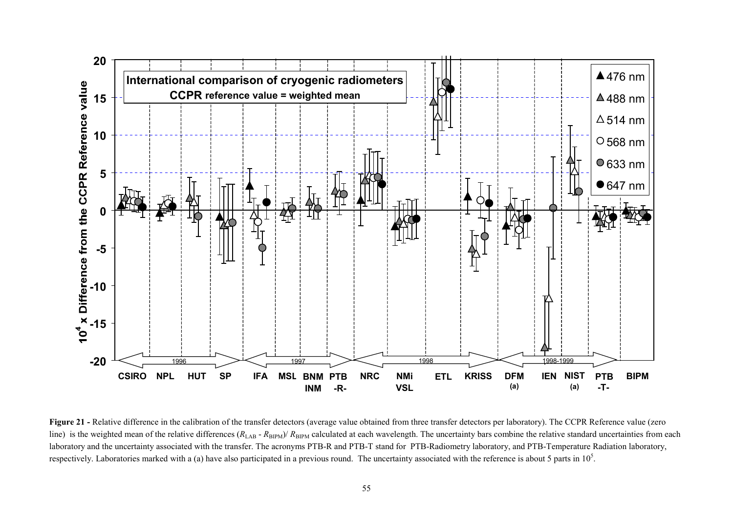

Figure 21 - Relative difference in the calibration of the transfer detectors (average value obtained from three transfer detectors per laboratory). The CCPR Reference value (zero line) is the weighted mean of the relative differences  $(R_{\text{LAB}} - R_{\text{BIPM}})/R_{\text{BIPM}}$  calculated at each wavelength. The uncertainty bars combine the relative standard uncertainties from each laboratory and the uncertainty associated with the transfer. The acronyms PTB-R and PTB-T stand for PTB-Radiometry laboratory, and PTB-Temperature Radiation laboratory, respectively. Laboratories marked with a (a) have also participated in a previous round. The uncertainty associated with the reference is about 5 parts in  $10<sup>5</sup>$ .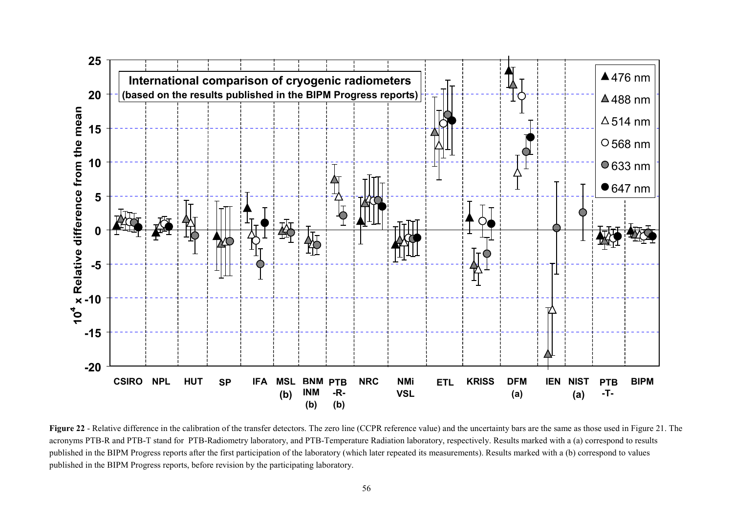

**Figure 22** - Relative difference in the calibration of the transfer detectors. The zero line (CCPR reference value) and the uncertainty bars are the same as those used in Figure 21. The acronyms PTB-R and PTB-T stand for PTB-Radiometry laboratory, and PTB-Temperature Radiation laboratory, respectively. Results marked with a (a) correspond to results published in the BIPM Progress reports after the first participation of the laboratory (which later repeated its measurements). Results marked with a (b) correspond to values published in the BIPM Progress reports, before revision by the participating laboratory.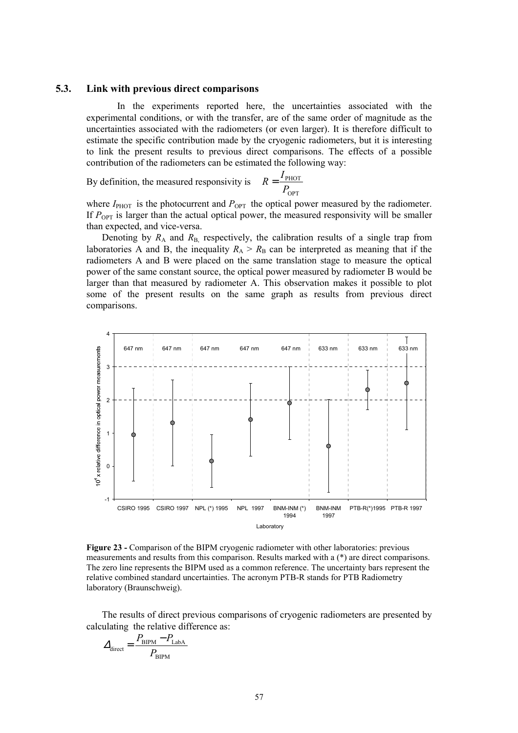#### **5.3. Link with previous direct comparisons**

In the experiments reported here, the uncertainties associated with the experimental conditions, or with the transfer, are of the same order of magnitude as the uncertainties associated with the radiometers (or even larger). It is therefore difficult to estimate the specific contribution made by the cryogenic radiometers, but it is interesting to link the present results to previous direct comparisons. The effects of a possible contribution of the radiometers can be estimated the following way:

By definition, the measured responsivity is  $P_{\text{OPT}}$  $R = \frac{I_{\text{PHOT}}}{R}$ 

where  $I_{\text{PHOT}}$  is the photocurrent and  $P_{\text{OPT}}$  the optical power measured by the radiometer. If  $P_{\text{OPT}}$  is larger than the actual optical power, the measured responsivity will be smaller than expected, and vice-versa.

Denoting by  $R_A$  and  $R_B$ , respectively, the calibration results of a single trap from laboratories A and B, the inequality  $R_A > R_B$  can be interpreted as meaning that if the radiometers A and B were placed on the same translation stage to measure the optical power of the same constant source, the optical power measured by radiometer B would be larger than that measured by radiometer A. This observation makes it possible to plot some of the present results on the same graph as results from previous direct comparisons.



**Figure 23 -** Comparison of the BIPM cryogenic radiometer with other laboratories: previous measurements and results from this comparison. Results marked with a (\*) are direct comparisons. The zero line represents the BIPM used as a common reference. The uncertainty bars represent the relative combined standard uncertainties. The acronym PTB-R stands for PTB Radiometry laboratory (Braunschweig).

The results of direct previous comparisons of cryogenic radiometers are presented by calculating the relative difference as:

$$
\Delta_{\text{direct}} = \frac{P_{\text{BIPM}} - P_{\text{LabA}}}{P_{\text{BIPM}}}
$$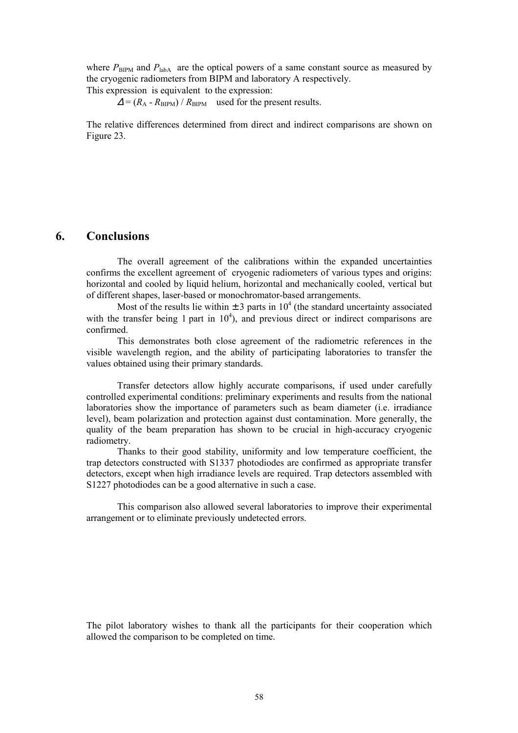where  $P_{\text{BIPM}}$  and  $P_{\text{labA}}$  are the optical powers of a same constant source as measured by the cryogenic radiometers from BIPM and laboratory A respectively.

This expression is equivalent to the expression:

 $\Delta = (R_A - R_{\text{BIPM}}) / R_{\text{BIPM}}$  used for the present results.

The relative differences determined from direct and indirect comparisons are shown on Figure 23.

# **6. Conclusions**

The overall agreement of the calibrations within the expanded uncertainties confirms the excellent agreement of cryogenic radiometers of various types and origins: horizontal and cooled by liquid helium, horizontal and mechanically cooled, vertical but of different shapes, laser-based or monochromator-based arrangements.

Most of the results lie within  $\pm 3$  parts in 10<sup>4</sup> (the standard uncertainty associated with the transfer being 1 part in  $10<sup>4</sup>$ ), and previous direct or indirect comparisons are confirmed.

This demonstrates both close agreement of the radiometric references in the visible wavelength region, and the ability of participating laboratories to transfer the values obtained using their primary standards.

Transfer detectors allow highly accurate comparisons, if used under carefully controlled experimental conditions: preliminary experiments and results from the national laboratories show the importance of parameters such as beam diameter (i.e. irradiance level), beam polarization and protection against dust contamination. More generally, the quality of the beam preparation has shown to be crucial in high-accuracy cryogenic radiometry.

Thanks to their good stability, uniformity and low temperature coefficient, the trap detectors constructed with S1337 photodiodes are confirmed as appropriate transfer detectors, except when high irradiance levels are required. Trap detectors assembled with S1227 photodiodes can be a good alternative in such a case.

This comparison also allowed several laboratories to improve their experimental arrangement or to eliminate previously undetected errors.

The pilot laboratory wishes to thank all the participants for their cooperation which allowed the comparison to be completed on time.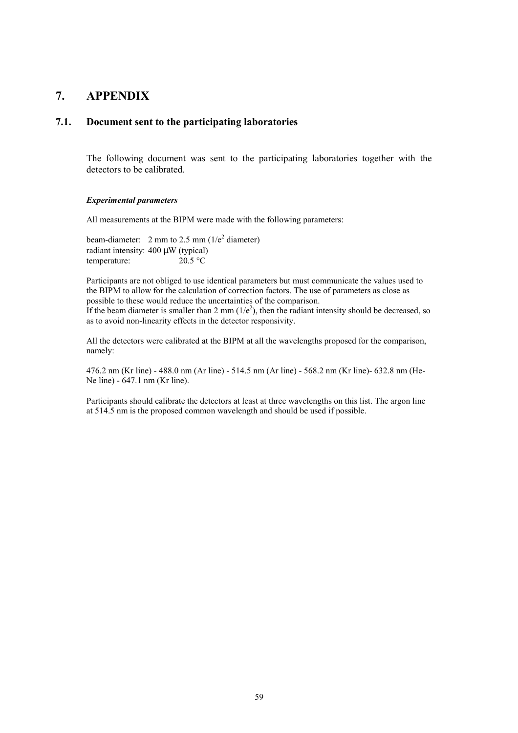# **7. APPENDIX**

# **7.1. Document sent to the participating laboratories**

The following document was sent to the participating laboratories together with the detectors to be calibrated.

#### *Experimental parameters*

All measurements at the BIPM were made with the following parameters:

beam-diameter: 2 mm to 2.5 mm  $(1/e^2)$  diameter) radiant intensity:  $400 \mu W$  (typical)<br>temperature:  $20.5 \text{ °C}$ temperature:

Participants are not obliged to use identical parameters but must communicate the values used to the BIPM to allow for the calculation of correction factors. The use of parameters as close as possible to these would reduce the uncertainties of the comparison. If the beam diameter is smaller than 2 mm  $(1/e^2)$ , then the radiant intensity should be decreased, so as to avoid non-linearity effects in the detector responsivity.

All the detectors were calibrated at the BIPM at all the wavelengths proposed for the comparison, namely:

476.2 nm (Kr line) - 488.0 nm (Ar line) - 514.5 nm (Ar line) - 568.2 nm (Kr line)- 632.8 nm (He-Ne line) - 647.1 nm (Kr line).

Participants should calibrate the detectors at least at three wavelengths on this list. The argon line at 514.5 nm is the proposed common wavelength and should be used if possible.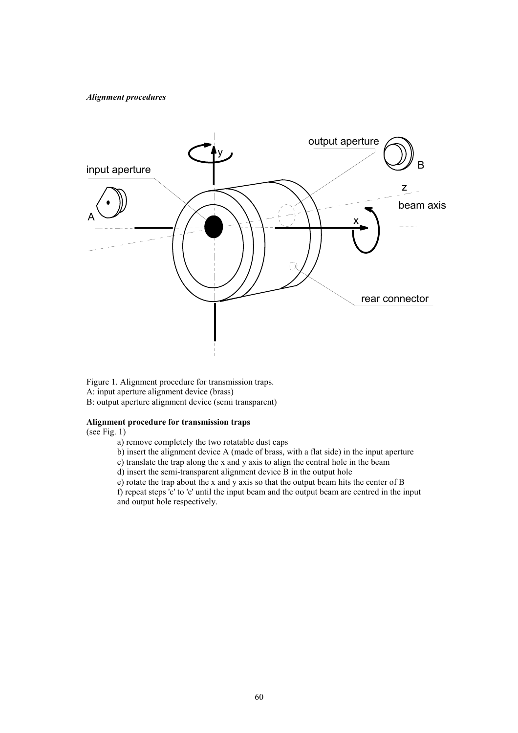#### *Alignment procedures*



Figure 1. Alignment procedure for transmission traps. A: input aperture alignment device (brass) B: output aperture alignment device (semi transparent)

#### **Alignment procedure for transmission traps**

(see Fig. 1)

- a) remove completely the two rotatable dust caps
- b) insert the alignment device A (made of brass, with a flat side) in the input aperture
- c) translate the trap along the x and y axis to align the central hole in the beam
- d) insert the semi-transparent alignment device B in the output hole
- e) rotate the trap about the x and y axis so that the output beam hits the center of B

f) repeat steps 'c' to 'e' until the input beam and the output beam are centred in the input and output hole respectively.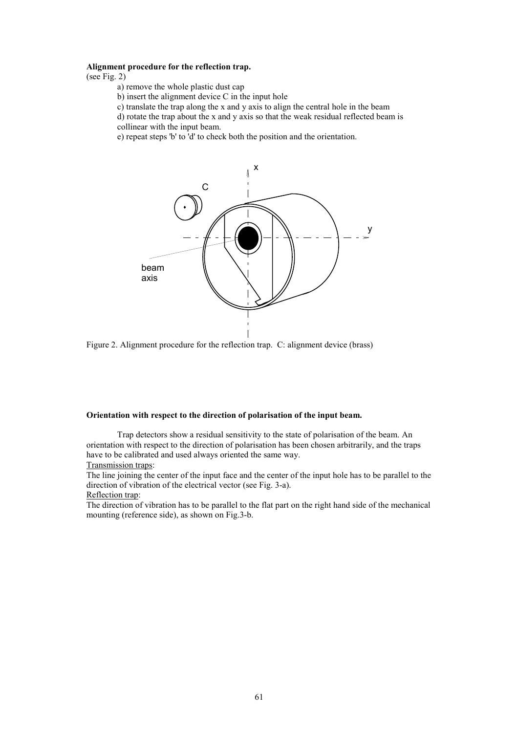#### **Alignment procedure for the reflection trap.**

(see Fig. 2)

- a) remove the whole plastic dust cap
- b) insert the alignment device C in the input hole
- c) translate the trap along the x and y axis to align the central hole in the beam
- d) rotate the trap about the x and y axis so that the weak residual reflected beam is collinear with the input beam.
- 
- e) repeat steps 'b' to 'd' to check both the position and the orientation.



Figure 2. Alignment procedure for the reflection trap. C: alignment device (brass)

#### **Orientation with respect to the direction of polarisation of the input beam.**

Trap detectors show a residual sensitivity to the state of polarisation of the beam. An orientation with respect to the direction of polarisation has been chosen arbitrarily, and the traps have to be calibrated and used always oriented the same way.

Transmission traps:

The line joining the center of the input face and the center of the input hole has to be parallel to the direction of vibration of the electrical vector (see Fig. 3-a).

Reflection trap:

The direction of vibration has to be parallel to the flat part on the right hand side of the mechanical mounting (reference side), as shown on Fig.3-b.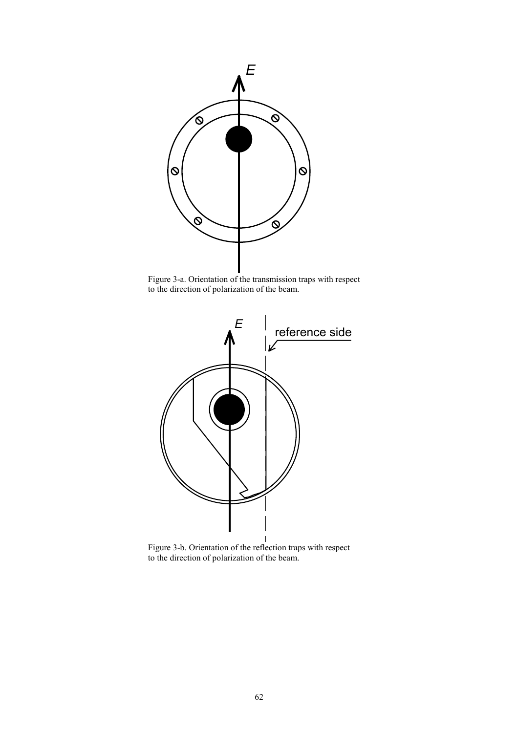

Figure 3-a. Orientation of the transmission traps with respect to the direction of polarization of the beam.



Figure 3-b. Orientation of the reflection traps with respect to the direction of polarization of the beam.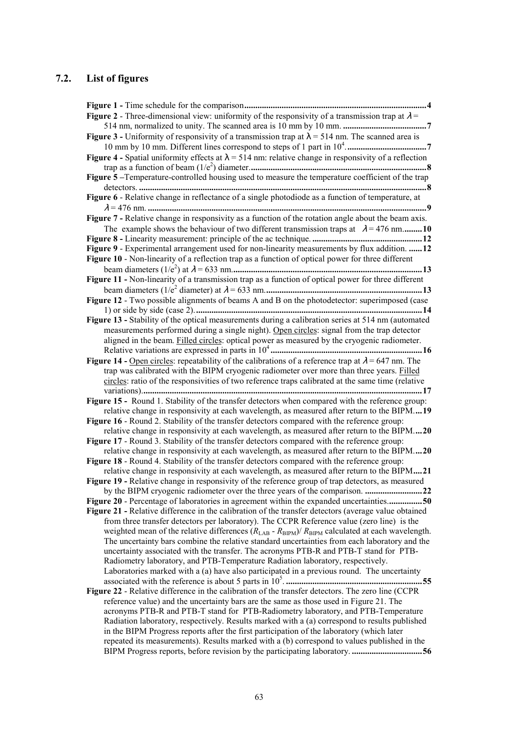# **7.2. List of figures**

| <b>Figure 2</b> - Three-dimensional view: uniformity of the responsivity of a transmission trap at $\lambda$ =                                                                            |
|-------------------------------------------------------------------------------------------------------------------------------------------------------------------------------------------|
|                                                                                                                                                                                           |
| Figure 3 - Uniformity of responsivity of a transmission trap at $\lambda$ = 514 nm. The scanned area is                                                                                   |
|                                                                                                                                                                                           |
| Figure 4 - Spatial uniformity effects at $\lambda$ = 514 nm: relative change in responsivity of a reflection                                                                              |
|                                                                                                                                                                                           |
| Figure 5-Temperature-controlled housing used to measure the temperature coefficient of the trap                                                                                           |
|                                                                                                                                                                                           |
| Figure 6 - Relative change in reflectance of a single photodiode as a function of temperature, at                                                                                         |
|                                                                                                                                                                                           |
| Figure 7 - Relative change in responsivity as a function of the rotation angle about the beam axis.                                                                                       |
| The example shows the behaviour of two different transmission traps at $\lambda = 476$ nm 10                                                                                              |
|                                                                                                                                                                                           |
| Figure 9 - Experimental arrangement used for non-linearity measurements by flux addition.  12                                                                                             |
| Figure 10 - Non-linearity of a reflection trap as a function of optical power for three different                                                                                         |
|                                                                                                                                                                                           |
| Figure 11 - Non-linearity of a transmission trap as a function of optical power for three different                                                                                       |
|                                                                                                                                                                                           |
| Figure 12 - Two possible alignments of beams A and B on the photodetector: superimposed (case                                                                                             |
|                                                                                                                                                                                           |
| Figure 13 - Stability of the optical measurements during a calibration series at 514 nm (automated                                                                                        |
| measurements performed during a single night). Open circles: signal from the trap detector                                                                                                |
| aligned in the beam. Filled circles: optical power as measured by the cryogenic radiometer.                                                                                               |
|                                                                                                                                                                                           |
| Figure 14 - Open circles: repeatability of the calibrations of a reference trap at $\lambda$ = 647 nm. The                                                                                |
| trap was calibrated with the BIPM cryogenic radiometer over more than three years. Filled                                                                                                 |
| circles: ratio of the responsivities of two reference traps calibrated at the same time (relative                                                                                         |
|                                                                                                                                                                                           |
| Figure 15 - Round 1. Stability of the transfer detectors when compared with the reference group:                                                                                          |
| relative change in responsivity at each wavelength, as measured after return to the BIPM19                                                                                                |
| Figure 16 - Round 2. Stability of the transfer detectors compared with the reference group:                                                                                               |
| relative change in responsivity at each wavelength, as measured after return to the BIPM20                                                                                                |
| Figure 17 - Round 3. Stability of the transfer detectors compared with the reference group:                                                                                               |
| relative change in responsivity at each wavelength, as measured after return to the BIPM20<br>Figure 18 - Round 4. Stability of the transfer detectors compared with the reference group: |
| relative change in responsivity at each wavelength, as measured after return to the BIPM21                                                                                                |
| Figure 19 - Relative change in responsivity of the reference group of trap detectors, as measured                                                                                         |
| by the BIPM cryogenic radiometer over the three years of the comparison.                                                                                                                  |
| Figure 20 - Percentage of laboratories in agreement within the expanded uncertainties50                                                                                                   |
| Figure 21 - Relative difference in the calibration of the transfer detectors (average value obtained                                                                                      |
| from three transfer detectors per laboratory). The CCPR Reference value (zero line) is the                                                                                                |
| weighted mean of the relative differences $(R_{LAB} - R_{BPM})/R_{BPM}$ calculated at each wavelength.                                                                                    |
| The uncertainty bars combine the relative standard uncertainties from each laboratory and the                                                                                             |
| uncertainty associated with the transfer. The acronyms PTB-R and PTB-T stand for PTB-                                                                                                     |
| Radiometry laboratory, and PTB-Temperature Radiation laboratory, respectively.                                                                                                            |
| Laboratories marked with a (a) have also participated in a previous round. The uncertainty                                                                                                |
|                                                                                                                                                                                           |
| Figure 22 - Relative difference in the calibration of the transfer detectors. The zero line (CCPR                                                                                         |
| reference value) and the uncertainty bars are the same as those used in Figure 21. The                                                                                                    |
| acronyms PTB-R and PTB-T stand for PTB-Radiometry laboratory, and PTB-Temperature                                                                                                         |
| Radiation laboratory, respectively. Results marked with a (a) correspond to results published                                                                                             |
| in the BIPM Progress reports after the first participation of the laboratory (which later                                                                                                 |
| repeated its measurements). Results marked with a (b) correspond to values published in the                                                                                               |
|                                                                                                                                                                                           |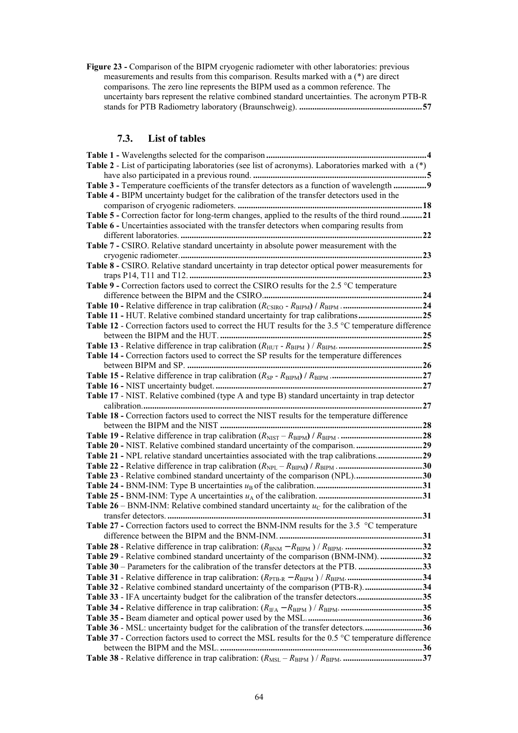**Figure 23 -** Comparison of the BIPM cryogenic radiometer with other laboratories: previous measurements and results from this comparison. Results marked with a (\*) are direct comparisons. The zero line represents the BIPM used as a common reference. The uncertainty bars represent the relative combined standard uncertainties. The acronym PTB-R stands for PTB Radiometry laboratory (Braunschweig). **........................................................57**

# **7.3. List of tables**

| Table 2 - List of participating laboratories (see list of acronyms). Laboratories marked with $a(*)$         |  |
|--------------------------------------------------------------------------------------------------------------|--|
|                                                                                                              |  |
| Table 3 - Temperature coefficients of the transfer detectors as a function of wavelength  9                  |  |
| Table 4 - BIPM uncertainty budget for the calibration of the transfer detectors used in the                  |  |
|                                                                                                              |  |
| Table 5 - Correction factor for long-term changes, applied to the results of the third round21               |  |
| Table 6 - Uncertainties associated with the transfer detectors when comparing results from                   |  |
|                                                                                                              |  |
| Table 7 - CSIRO. Relative standard uncertainty in absolute power measurement with the                        |  |
|                                                                                                              |  |
| Table 8 - CSIRO. Relative standard uncertainty in trap detector optical power measurements for               |  |
|                                                                                                              |  |
| Table 9 - Correction factors used to correct the CSIRO results for the 2.5 °C temperature                    |  |
|                                                                                                              |  |
|                                                                                                              |  |
| Table 11 - HUT. Relative combined standard uncertainty for trap calibrations25                               |  |
| Table 12 - Correction factors used to correct the HUT results for the 3.5 °C temperature difference          |  |
|                                                                                                              |  |
|                                                                                                              |  |
| Table 14 - Correction factors used to correct the SP results for the temperature differences                 |  |
|                                                                                                              |  |
|                                                                                                              |  |
|                                                                                                              |  |
| Table 17 - NIST. Relative combined (type A and type B) standard uncertainty in trap detector                 |  |
|                                                                                                              |  |
| Table 18 - Correction factors used to correct the NIST results for the temperature difference                |  |
|                                                                                                              |  |
|                                                                                                              |  |
| Table 20 - NIST. Relative combined standard uncertainty of the comparison. 29                                |  |
| Table 21 - NPL relative standard uncertainties associated with the trap calibrations29                       |  |
|                                                                                                              |  |
| Table 23 - Relative combined standard uncertainty of the comparison (NPL)30                                  |  |
|                                                                                                              |  |
|                                                                                                              |  |
| <b>Table 26</b> – BNM-INM: Relative combined standard uncertainty $u_c$ for the calibration of the           |  |
|                                                                                                              |  |
| Table 27 - Correction factors used to correct the BNM-INM results for the 3.5 °C temperature                 |  |
|                                                                                                              |  |
|                                                                                                              |  |
| Table 29 - Relative combined standard uncertainty of the comparison (BNM-INM). 32                            |  |
| Table 30 – Parameters for the calibration of the transfer detectors at the PTB. 33                           |  |
|                                                                                                              |  |
| Table 32 - Relative combined standard uncertainty of the comparison (PTB-R). 34                              |  |
| Table 33 - IFA uncertainty budget for the calibration of the transfer detectors35                            |  |
|                                                                                                              |  |
|                                                                                                              |  |
| Table 36 - MSL: uncertainty budget for the calibration of the transfer detectors36                           |  |
| Table 37 - Correction factors used to correct the MSL results for the 0.5 $\degree$ C temperature difference |  |
|                                                                                                              |  |
|                                                                                                              |  |
|                                                                                                              |  |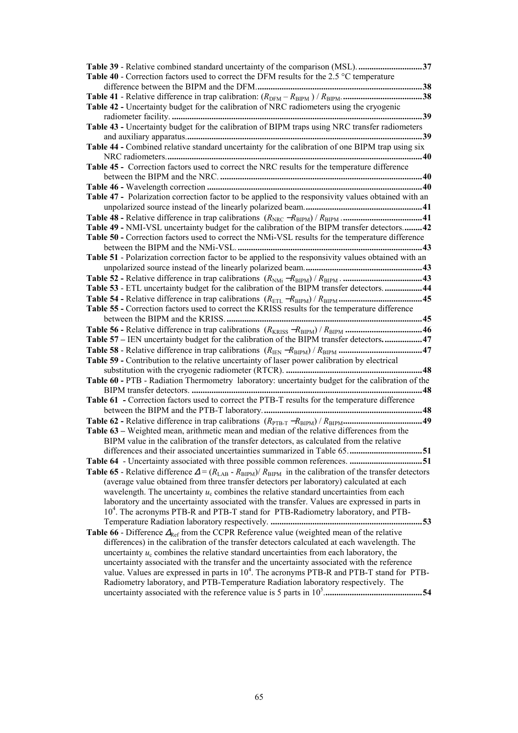| Table 39 - Relative combined standard uncertainty of the comparison (MSL). 37                                                                                                        |
|--------------------------------------------------------------------------------------------------------------------------------------------------------------------------------------|
| <b>Table 40</b> - Correction factors used to correct the DFM results for the 2.5 $^{\circ}$ C temperature                                                                            |
|                                                                                                                                                                                      |
|                                                                                                                                                                                      |
| Table 42 - Uncertainty budget for the calibration of NRC radiometers using the cryogenic                                                                                             |
|                                                                                                                                                                                      |
| Table 43 - Uncertainty budget for the calibration of BIPM traps using NRC transfer radiometers                                                                                       |
|                                                                                                                                                                                      |
| Table 44 - Combined relative standard uncertainty for the calibration of one BIPM trap using six                                                                                     |
| Table 45 - Correction factors used to correct the NRC results for the temperature difference                                                                                         |
|                                                                                                                                                                                      |
|                                                                                                                                                                                      |
| Table 47 - Polarization correction factor to be applied to the responsivity values obtained with an                                                                                  |
|                                                                                                                                                                                      |
|                                                                                                                                                                                      |
| Table 49 - NMI-VSL uncertainty budget for the calibration of the BIPM transfer detectors 42                                                                                          |
| Table 50 - Correction factors used to correct the NMi-VSL results for the temperature difference                                                                                     |
|                                                                                                                                                                                      |
| Table 51 - Polarization correction factor to be applied to the responsivity values obtained with an                                                                                  |
|                                                                                                                                                                                      |
|                                                                                                                                                                                      |
| Table 53 - ETL uncertainty budget for the calibration of the BIPM transfer detectors.  44                                                                                            |
|                                                                                                                                                                                      |
| Table 55 - Correction factors used to correct the KRISS results for the temperature difference                                                                                       |
|                                                                                                                                                                                      |
| Table 57 – IEN uncertainty budget for the calibration of the BIPM transfer detectors 47                                                                                              |
|                                                                                                                                                                                      |
| Table 59 - Contribution to the relative uncertainty of laser power calibration by electrical                                                                                         |
|                                                                                                                                                                                      |
| Table 60 - PTB - Radiation Thermometry laboratory: uncertainty budget for the calibration of the                                                                                     |
|                                                                                                                                                                                      |
| Table 61 - Correction factors used to correct the PTB-T results for the temperature difference                                                                                       |
|                                                                                                                                                                                      |
|                                                                                                                                                                                      |
| Table 63 – Weighted mean, arithmetic mean and median of the relative differences from the                                                                                            |
| BIPM value in the calibration of the transfer detectors, as calculated from the relative                                                                                             |
| 51<br>differences and their associated uncertainties summarized in Table 65.                                                                                                         |
| Table 64 - Uncertainty associated with three possible common references. 51                                                                                                          |
| <b>Table 65</b> - Relative difference $\Delta = (R_{LAB} - R_{BIPM})/R_{BIPM}$ in the calibration of the transfer detectors                                                          |
| (average value obtained from three transfer detectors per laboratory) calculated at each<br>wavelength. The uncertainty $u_c$ combines the relative standard uncertainties from each |
| laboratory and the uncertainty associated with the transfer. Values are expressed in parts in                                                                                        |
| 10 <sup>4</sup> . The acronyms PTB-R and PTB-T stand for PTB-Radiometry laboratory, and PTB-                                                                                         |
| 53                                                                                                                                                                                   |
| <b>Table 66</b> - Difference $\Delta_{\text{Ref}}$ from the CCPR Reference value (weighted mean of the relative                                                                      |
| differences) in the calibration of the transfer detectors calculated at each wavelength. The                                                                                         |
| uncertainty $u_c$ combines the relative standard uncertainties from each laboratory, the                                                                                             |
| uncertainty associated with the transfer and the uncertainty associated with the reference                                                                                           |
| value. Values are expressed in parts in $10^4$ . The acronyms PTB-R and PTB-T stand for PTB-                                                                                         |
| Radiometry laboratory, and PTB-Temperature Radiation laboratory respectively. The                                                                                                    |
|                                                                                                                                                                                      |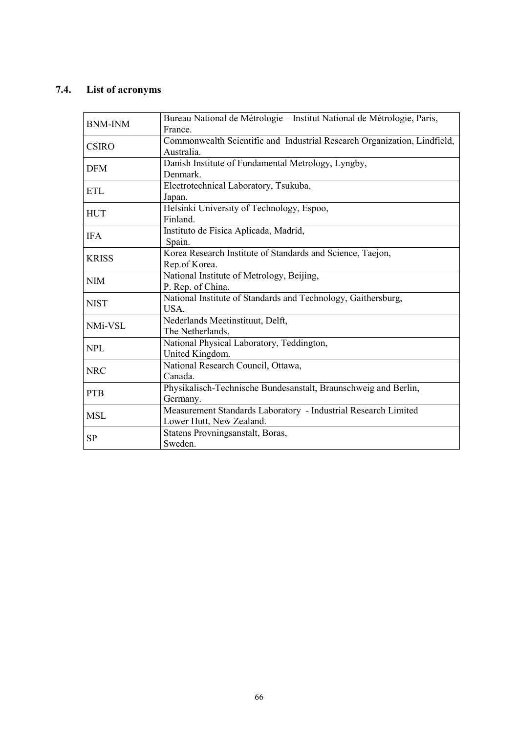# **7.4. List of acronyms**

| <b>BNM-INM</b>                                           | Bureau National de Métrologie - Institut National de Métrologie, Paris,<br>France.         |  |  |  |  |  |  |  |
|----------------------------------------------------------|--------------------------------------------------------------------------------------------|--|--|--|--|--|--|--|
| <b>CSIRO</b>                                             | Commonwealth Scientific and Industrial Research Organization, Lindfield,<br>Australia.     |  |  |  |  |  |  |  |
| <b>DFM</b>                                               | Danish Institute of Fundamental Metrology, Lyngby,<br>Denmark.                             |  |  |  |  |  |  |  |
| ETL                                                      | Electrotechnical Laboratory, Tsukuba,<br>Japan.                                            |  |  |  |  |  |  |  |
| <b>HUT</b>                                               | Helsinki University of Technology, Espoo,<br>Finland.                                      |  |  |  |  |  |  |  |
| <b>IFA</b>                                               | Instituto de Fisica Aplicada, Madrid,<br>Spain.                                            |  |  |  |  |  |  |  |
| <b>KRISS</b>                                             | Korea Research Institute of Standards and Science, Taejon,<br>Rep.of Korea.                |  |  |  |  |  |  |  |
| <b>NIM</b>                                               | National Institute of Metrology, Beijing,<br>P. Rep. of China.                             |  |  |  |  |  |  |  |
| <b>NIST</b>                                              | National Institute of Standards and Technology, Gaithersburg,<br>USA.                      |  |  |  |  |  |  |  |
| NMi-VSL                                                  | Nederlands Meetinstituut, Delft,<br>The Netherlands.                                       |  |  |  |  |  |  |  |
| <b>NPL</b>                                               | National Physical Laboratory, Teddington,<br>United Kingdom.                               |  |  |  |  |  |  |  |
| <b>NRC</b>                                               | National Research Council, Ottawa,<br>Canada.                                              |  |  |  |  |  |  |  |
| <b>PTB</b>                                               | Physikalisch-Technische Bundesanstalt, Braunschweig and Berlin,<br>Germany.                |  |  |  |  |  |  |  |
| <b>MSL</b>                                               | Measurement Standards Laboratory - Industrial Research Limited<br>Lower Hutt, New Zealand. |  |  |  |  |  |  |  |
| Statens Provningsanstalt, Boras,<br><b>SP</b><br>Sweden. |                                                                                            |  |  |  |  |  |  |  |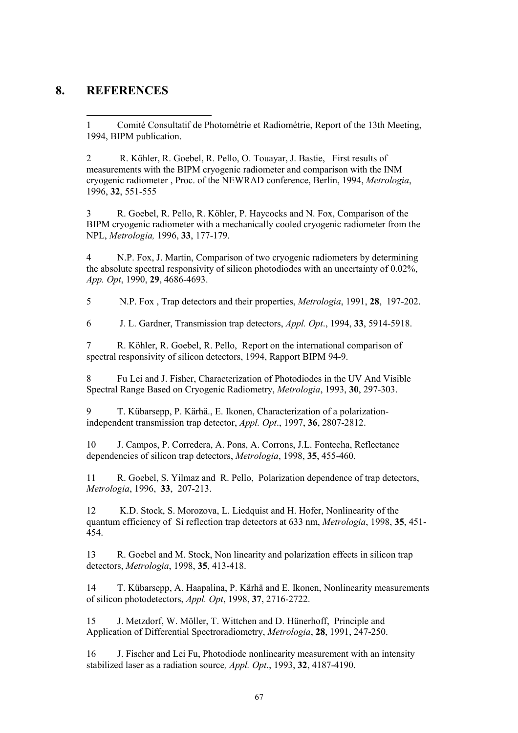# **8. REFERENCES**

l

1 Comité Consultatif de Photométrie et Radiométrie, Report of the 13th Meeting, 1994, BIPM publication.

2 R. Köhler, R. Goebel, R. Pello, O. Touavar, J. Bastie, First results of measurements with the BIPM cryogenic radiometer and comparison with the INM cryogenic radiometer , Proc. of the NEWRAD conference, Berlin, 1994, *Metrologia*, 1996, **32**, 551-555

3 R. Goebel, R. Pello, R. Köhler, P. Haycocks and N. Fox, Comparison of the BIPM cryogenic radiometer with a mechanically cooled cryogenic radiometer from the NPL, *Metrologia,* 1996, **33**, 177-179.

4 N.P. Fox, J. Martin, Comparison of two cryogenic radiometers by determining the absolute spectral responsivity of silicon photodiodes with an uncertainty of 0.02%, *App. Opt*, 1990, **29**, 4686-4693.

5 N.P. Fox , Trap detectors and their properties, *Metrologia*, 1991, **28**, 197-202.

6 J. L. Gardner, Transmission trap detectors, *Appl. Opt*., 1994, **33**, 5914-5918.

7 R. Kˆhler, R. Goebel, R. Pello, Report on the international comparison of spectral responsivity of silicon detectors, 1994, Rapport BIPM 94-9.

8 Fu Lei and J. Fisher, Characterization of Photodiodes in the UV And Visible Spectral Range Based on Cryogenic Radiometry, *Metrologia*, 1993, **30**, 297-303.

9 T. Kübarsepp, P. Kärhä., E. Ikonen, Characterization of a polarizationindependent transmission trap detector, *Appl. Opt*., 1997, **36**, 2807-2812.

10 J. Campos, P. Corredera, A. Pons, A. Corrons, J.L. Fontecha, Reflectance dependencies of silicon trap detectors, *Metrologia*, 1998, **35**, 455-460.

11 R. Goebel, S. Yilmaz and R. Pello, Polarization dependence of trap detectors, *Metrologia*, 1996, **33**, 207-213.

12 K.D. Stock, S. Morozova, L. Liedquist and H. Hofer, Nonlinearity of the quantum efficiency of Si reflection trap detectors at 633 nm, *Metrologia*, 1998, **35**, 451- 454.

13 R. Goebel and M. Stock, Non linearity and polarization effects in silicon trap detectors, *Metrologia*, 1998, **35**, 413-418.

14 T. Kübarsepp, A. Haapalina, P. Kärhä and E. Ikonen, Nonlinearity measurements of silicon photodetectors, *Appl. Opt*, 1998, **37**, 2716-2722.

15 J. Metzdorf, W. Möller, T. Wittchen and D. Hünerhoff, Principle and Application of Differential Spectroradiometry, *Metrologia*, **28**, 1991, 247-250.

16 J. Fischer and Lei Fu, Photodiode nonlinearity measurement with an intensity stabilized laser as a radiation source*, Appl. Opt*., 1993, **32**, 4187-4190.